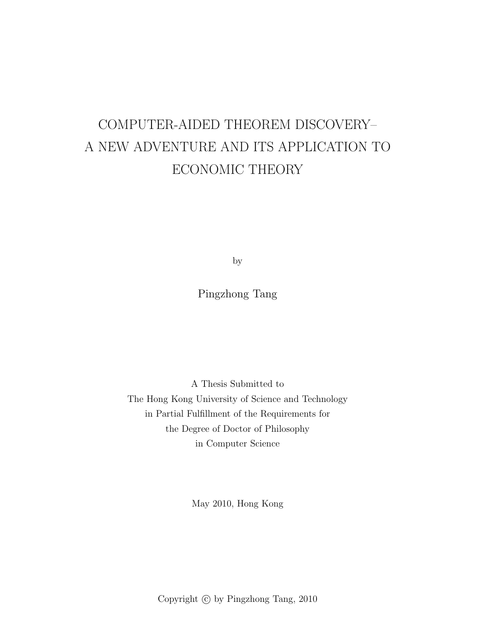# COMPUTER-AIDED THEOREM DISCOVERY– A NEW ADVENTURE AND ITS APPLICATION TO ECONOMIC THEORY

by

Pingzhong Tang

A Thesis Submitted to The Hong Kong University of Science and Technology in Partial Fulfillment of the Requirements for the Degree of Doctor of Philosophy in Computer Science

May 2010, Hong Kong

Copyright  $\odot$  by Pingzhong Tang, 2010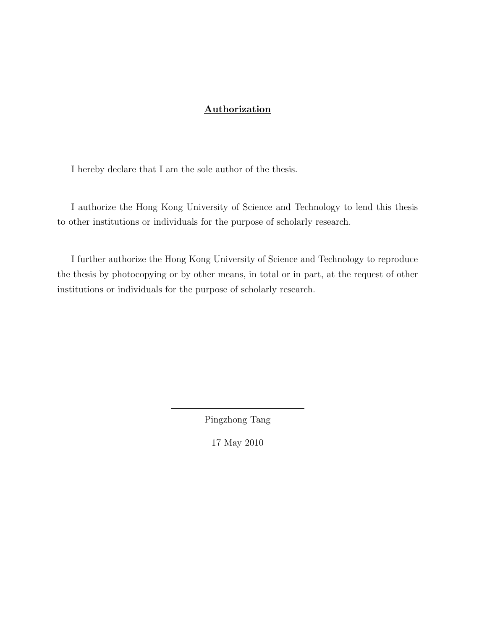### Authorization

I hereby declare that I am the sole author of the thesis.

I authorize the Hong Kong University of Science and Technology to lend this thesis to other institutions or individuals for the purpose of scholarly research.

I further authorize the Hong Kong University of Science and Technology to reproduce the thesis by photocopying or by other means, in total or in part, at the request of other institutions or individuals for the purpose of scholarly research.

Pingzhong Tang

17 May 2010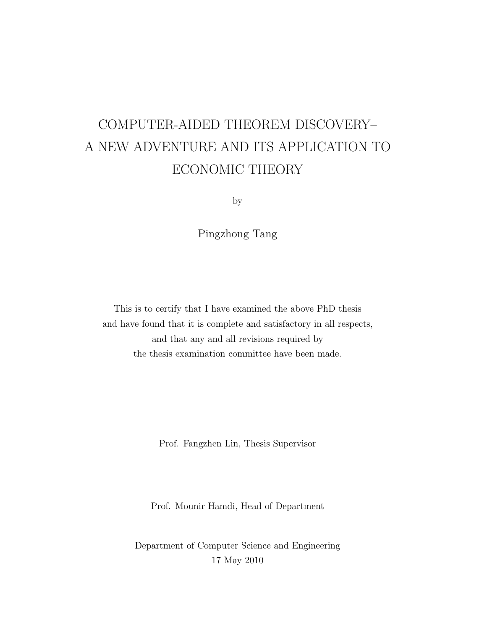# COMPUTER-AIDED THEOREM DISCOVERY– A NEW ADVENTURE AND ITS APPLICATION TO ECONOMIC THEORY

by

Pingzhong Tang

This is to certify that I have examined the above PhD thesis and have found that it is complete and satisfactory in all respects, and that any and all revisions required by the thesis examination committee have been made.

Prof. Fangzhen Lin, Thesis Supervisor

Prof. Mounir Hamdi, Head of Department

Department of Computer Science and Engineering 17 May 2010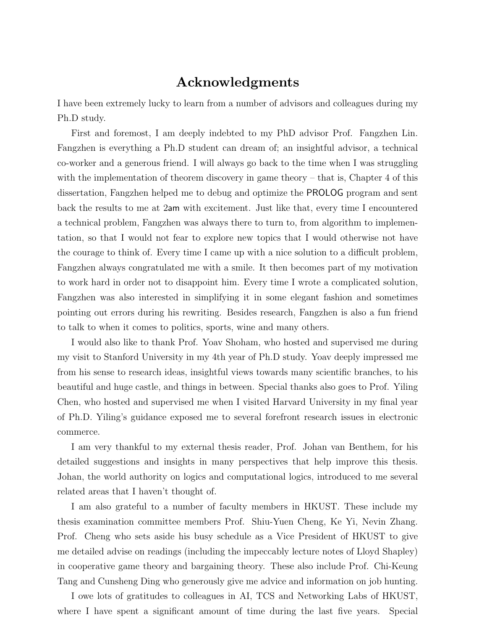## Acknowledgments

I have been extremely lucky to learn from a number of advisors and colleagues during my Ph.D study.

First and foremost, I am deeply indebted to my PhD advisor Prof. Fangzhen Lin. Fangzhen is everything a Ph.D student can dream of; an insightful advisor, a technical co-worker and a generous friend. I will always go back to the time when I was struggling with the implementation of theorem discovery in game theory – that is, Chapter 4 of this dissertation, Fangzhen helped me to debug and optimize the PROLOG program and sent back the results to me at 2am with excitement. Just like that, every time I encountered a technical problem, Fangzhen was always there to turn to, from algorithm to implementation, so that I would not fear to explore new topics that I would otherwise not have the courage to think of. Every time I came up with a nice solution to a difficult problem, Fangzhen always congratulated me with a smile. It then becomes part of my motivation to work hard in order not to disappoint him. Every time I wrote a complicated solution, Fangzhen was also interested in simplifying it in some elegant fashion and sometimes pointing out errors during his rewriting. Besides research, Fangzhen is also a fun friend to talk to when it comes to politics, sports, wine and many others.

I would also like to thank Prof. Yoav Shoham, who hosted and supervised me during my visit to Stanford University in my 4th year of Ph.D study. Yoav deeply impressed me from his sense to research ideas, insightful views towards many scientific branches, to his beautiful and huge castle, and things in between. Special thanks also goes to Prof. Yiling Chen, who hosted and supervised me when I visited Harvard University in my final year of Ph.D. Yiling's guidance exposed me to several forefront research issues in electronic commerce.

I am very thankful to my external thesis reader, Prof. Johan van Benthem, for his detailed suggestions and insights in many perspectives that help improve this thesis. Johan, the world authority on logics and computational logics, introduced to me several related areas that I haven't thought of.

I am also grateful to a number of faculty members in HKUST. These include my thesis examination committee members Prof. Shiu-Yuen Cheng, Ke Yi, Nevin Zhang. Prof. Cheng who sets aside his busy schedule as a Vice President of HKUST to give me detailed advise on readings (including the impeccably lecture notes of Lloyd Shapley) in cooperative game theory and bargaining theory. These also include Prof. Chi-Keung Tang and Cunsheng Ding who generously give me advice and information on job hunting.

I owe lots of gratitudes to colleagues in AI, TCS and Networking Labs of HKUST, where I have spent a significant amount of time during the last five years. Special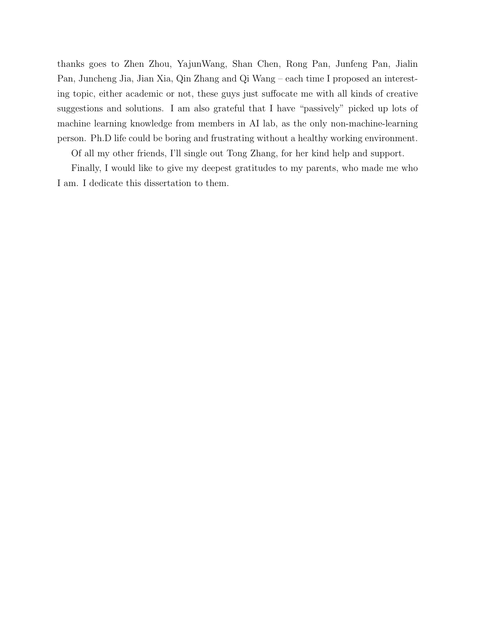thanks goes to Zhen Zhou, YajunWang, Shan Chen, Rong Pan, Junfeng Pan, Jialin Pan, Juncheng Jia, Jian Xia, Qin Zhang and Qi Wang – each time I proposed an interesting topic, either academic or not, these guys just suffocate me with all kinds of creative suggestions and solutions. I am also grateful that I have "passively" picked up lots of machine learning knowledge from members in AI lab, as the only non-machine-learning person. Ph.D life could be boring and frustrating without a healthy working environment.

Of all my other friends, I'll single out Tong Zhang, for her kind help and support.

Finally, I would like to give my deepest gratitudes to my parents, who made me who I am. I dedicate this dissertation to them.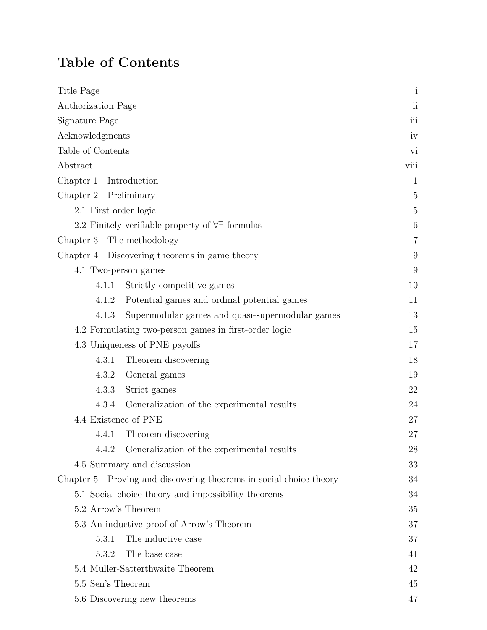## Table of Contents

| Title Page            |                                                                    | $\mathbf{i}$   |
|-----------------------|--------------------------------------------------------------------|----------------|
| Authorization Page    |                                                                    | ii             |
| Signature Page        |                                                                    | iii            |
| Acknowledgments       |                                                                    | iv             |
| Table of Contents     |                                                                    | vi             |
| Abstract              |                                                                    | viii           |
| Chapter 1             | Introduction                                                       | $\mathbf{1}$   |
| Chapter 2             | Preliminary                                                        | 5              |
| 2.1 First order logic |                                                                    | 5              |
|                       | 2.2 Finitely verifiable property of $\forall \exists$ formulas     | 6              |
| Chapter 3             | The methodology                                                    | $\overline{7}$ |
|                       | Chapter 4 Discovering theorems in game theory                      | 9              |
|                       | 4.1 Two-person games                                               | 9              |
| 4.1.1                 | Strictly competitive games                                         | 10             |
| 4.1.2                 | Potential games and ordinal potential games                        | 11             |
| 4.1.3                 | Supermodular games and quasi-supermodular games                    | 13             |
|                       | 4.2 Formulating two-person games in first-order logic              | 15             |
|                       | 4.3 Uniqueness of PNE payoffs                                      | 17             |
| 4.3.1                 | Theorem discovering                                                | 18             |
| 4.3.2                 | General games                                                      | 19             |
| 4.3.3                 | Strict games                                                       | 22             |
| 4.3.4                 | Generalization of the experimental results                         | 24             |
| 4.4 Existence of PNE  |                                                                    | 27             |
| 4.4.1                 | Theorem discovering                                                | 27             |
| 4.4.2                 | Generalization of the experimental results                         | 28             |
|                       | 4.5 Summary and discussion                                         | 33             |
|                       | Chapter 5 Proving and discovering theorems in social choice theory | 34             |
|                       | 5.1 Social choice theory and impossibility theorems                | 34             |
| 5.2 Arrow's Theorem   |                                                                    | 35             |
|                       | 5.3 An inductive proof of Arrow's Theorem                          | 37             |
| 5.3.1                 | The inductive case                                                 | 37             |
| 5.3.2                 | The base case                                                      | 41             |
|                       | 5.4 Muller-Satterthwaite Theorem                                   | 42             |
| 5.5 Sen's Theorem     |                                                                    | 45             |
|                       | 5.6 Discovering new theorems                                       | 47             |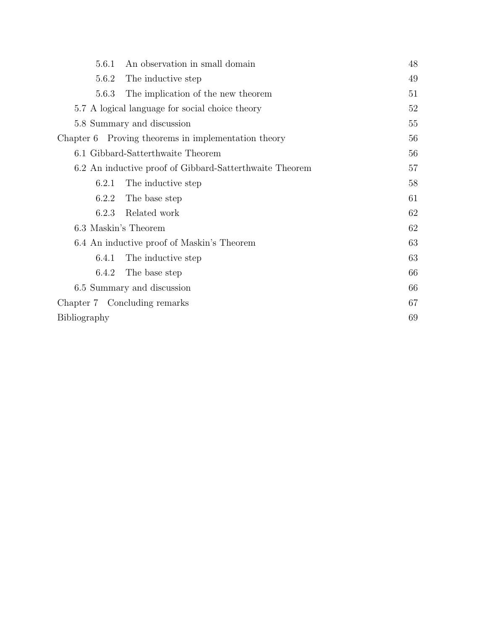| 5.6.1        | An observation in small domain                          | 48 |
|--------------|---------------------------------------------------------|----|
| 5.6.2        | The inductive step                                      | 49 |
| 5.6.3        | The implication of the new theorem                      | 51 |
|              | 5.7 A logical language for social choice theory         | 52 |
|              | 5.8 Summary and discussion                              | 55 |
|              | Chapter 6 Proving theorems in implementation theory     | 56 |
|              | 6.1 Gibbard-Satterthwaite Theorem                       | 56 |
|              | 6.2 An inductive proof of Gibbard-Satterthwaite Theorem | 57 |
| 6.2.1        | The inductive step                                      | 58 |
| 6.2.2        | The base step                                           | 61 |
| 6.2.3        | Related work                                            | 62 |
|              | 6.3 Maskin's Theorem                                    | 62 |
|              | 6.4 An inductive proof of Maskin's Theorem              | 63 |
| 6.4.1        | The inductive step                                      | 63 |
| 6.4.2        | The base step                                           | 66 |
|              | 6.5 Summary and discussion                              | 66 |
|              | Chapter 7 Concluding remarks                            | 67 |
| Bibliography |                                                         | 69 |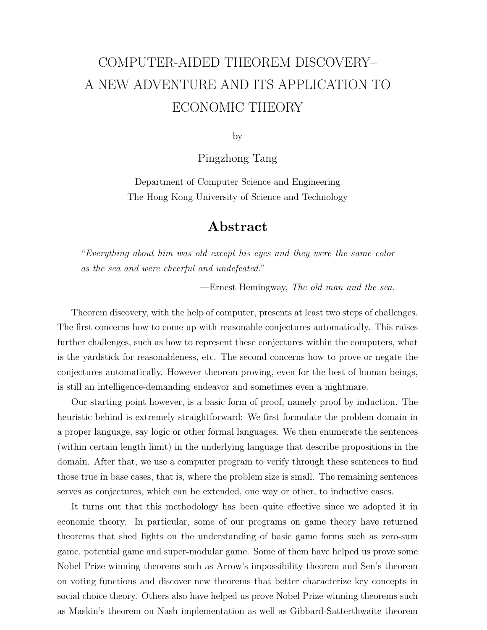# COMPUTER-AIDED THEOREM DISCOVERY– A NEW ADVENTURE AND ITS APPLICATION TO ECONOMIC THEORY

by

Pingzhong Tang

Department of Computer Science and Engineering The Hong Kong University of Science and Technology

## Abstract

"Everything about him was old except his eyes and they were the same color as the sea and were cheerful and undefeated."

—Ernest Hemingway, The old man and the sea.

Theorem discovery, with the help of computer, presents at least two steps of challenges. The first concerns how to come up with reasonable conjectures automatically. This raises further challenges, such as how to represent these conjectures within the computers, what is the yardstick for reasonableness, etc. The second concerns how to prove or negate the conjectures automatically. However theorem proving, even for the best of human beings, is still an intelligence-demanding endeavor and sometimes even a nightmare.

Our starting point however, is a basic form of proof, namely proof by induction. The heuristic behind is extremely straightforward: We first formulate the problem domain in a proper language, say logic or other formal languages. We then enumerate the sentences (within certain length limit) in the underlying language that describe propositions in the domain. After that, we use a computer program to verify through these sentences to find those true in base cases, that is, where the problem size is small. The remaining sentences serves as conjectures, which can be extended, one way or other, to inductive cases.

It turns out that this methodology has been quite effective since we adopted it in economic theory. In particular, some of our programs on game theory have returned theorems that shed lights on the understanding of basic game forms such as zero-sum game, potential game and super-modular game. Some of them have helped us prove some Nobel Prize winning theorems such as Arrow's impossibility theorem and Sen's theorem on voting functions and discover new theorems that better characterize key concepts in social choice theory. Others also have helped us prove Nobel Prize winning theorems such as Maskin's theorem on Nash implementation as well as Gibbard-Satterthwaite theorem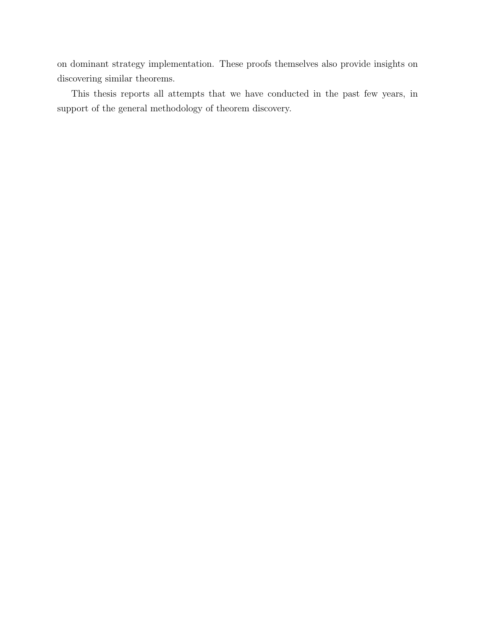on dominant strategy implementation. These proofs themselves also provide insights on discovering similar theorems.

This thesis reports all attempts that we have conducted in the past few years, in support of the general methodology of theorem discovery.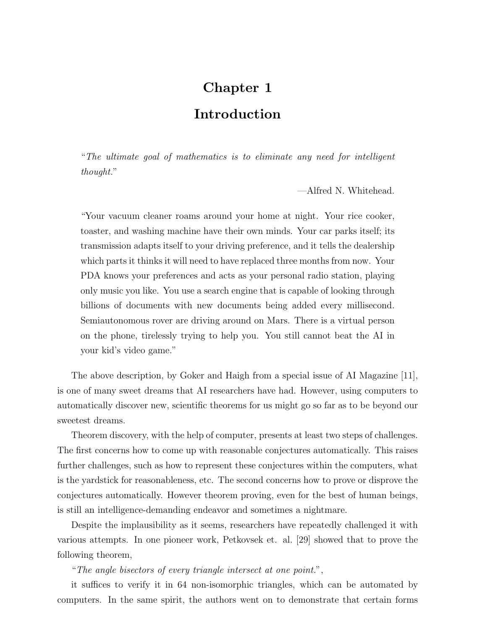## Chapter 1

## Introduction

"The ultimate goal of mathematics is to eliminate any need for intelligent thought."

—Alfred N. Whitehead.

"Your vacuum cleaner roams around your home at night. Your rice cooker, toaster, and washing machine have their own minds. Your car parks itself; its transmission adapts itself to your driving preference, and it tells the dealership which parts it thinks it will need to have replaced three months from now. Your PDA knows your preferences and acts as your personal radio station, playing only music you like. You use a search engine that is capable of looking through billions of documents with new documents being added every millisecond. Semiautonomous rover are driving around on Mars. There is a virtual person on the phone, tirelessly trying to help you. You still cannot beat the AI in your kid's video game."

The above description, by Goker and Haigh from a special issue of AI Magazine [11], is one of many sweet dreams that AI researchers have had. However, using computers to automatically discover new, scientific theorems for us might go so far as to be beyond our sweetest dreams.

Theorem discovery, with the help of computer, presents at least two steps of challenges. The first concerns how to come up with reasonable conjectures automatically. This raises further challenges, such as how to represent these conjectures within the computers, what is the yardstick for reasonableness, etc. The second concerns how to prove or disprove the conjectures automatically. However theorem proving, even for the best of human beings, is still an intelligence-demanding endeavor and sometimes a nightmare.

Despite the implausibility as it seems, researchers have repeatedly challenged it with various attempts. In one pioneer work, Petkovsek et. al. [29] showed that to prove the following theorem,

"The angle bisectors of every triangle intersect at one point.",

it suffices to verify it in 64 non-isomorphic triangles, which can be automated by computers. In the same spirit, the authors went on to demonstrate that certain forms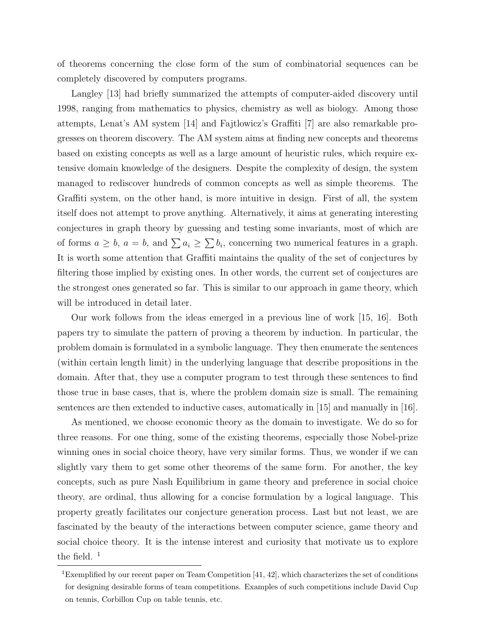of theorems concerning the close form of the sum of combinatorial sequences can be completely discovered by computers programs.

Langley [13] had briefly summarized the attempts of computer-aided discovery until 1998, ranging from mathematics to physics, chemistry as well as biology. Among those attempts, Lenat's AM system [14] and Fajtlowicz's Graffiti [7] are also remarkable progresses on theorem discovery. The AM system aims at finding new concepts and theorems based on existing concepts as well as a large amount of heuristic rules, which require extensive domain knowledge of the designers. Despite the complexity of design, the system managed to rediscover hundreds of common concepts as well as simple theorems. The Graffiti system, on the other hand, is more intuitive in design. First of all, the system itself does not attempt to prove anything. Alternatively, it aims at generating interesting conjectures in graph theory by guessing and testing some invariants, most of which are of forms  $a \geq b$ ,  $a = b$ , and  $\sum a_i \geq \sum b_i$ , concerning two numerical features in a graph. It is worth some attention that Graffiti maintains the quality of the set of conjectures by filtering those implied by existing ones. In other words, the current set of conjectures are the strongest ones generated so far. This is similar to our approach in game theory, which will be introduced in detail later.

Our work follows from the ideas emerged in a previous line of work [15, 16]. Both papers try to simulate the pattern of proving a theorem by induction. In particular, the problem domain is formulated in a symbolic language. They then enumerate the sentences (within certain length limit) in the underlying language that describe propositions in the domain. After that, they use a computer program to test through these sentences to find those true in base cases, that is, where the problem domain size is small. The remaining sentences are then extended to inductive cases, automatically in [15] and manually in [16].

As mentioned, we choose economic theory as the domain to investigate. We do so for three reasons. For one thing, some of the existing theorems, especially those Nobel-prize winning ones in social choice theory, have very similar forms. Thus, we wonder if we can slightly vary them to get some other theorems of the same form. For another, the key concepts, such as pure Nash Equilibrium in game theory and preference in social choice theory, are ordinal, thus allowing for a concise formulation by a logical language. This property greatly facilitates our conjecture generation process. Last but not least, we are fascinated by the beauty of the interactions between computer science, game theory and social choice theory. It is the intense interest and curiosity that motivate us to explore the field.  $<sup>1</sup>$ </sup>

<sup>&</sup>lt;sup>1</sup>Exemplified by our recent paper on Team Competition  $[41, 42]$ , which characterizes the set of conditions for designing desirable forms of team competitions. Examples of such competitions include David Cup on tennis, Corbillon Cup on table tennis, etc.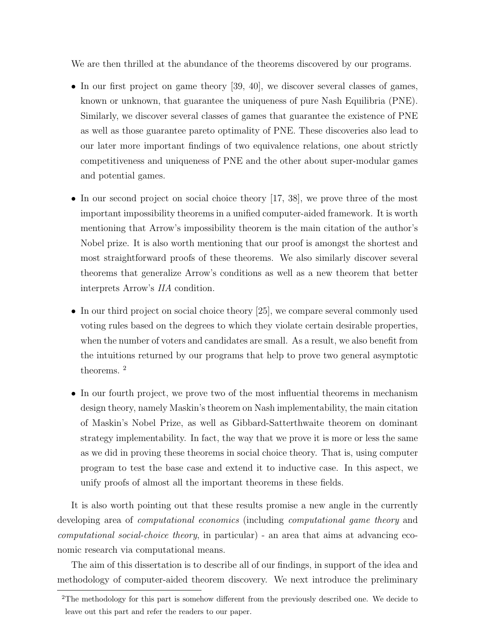We are then thrilled at the abundance of the theorems discovered by our programs.

- In our first project on game theory [39, 40], we discover several classes of games, known or unknown, that guarantee the uniqueness of pure Nash Equilibria (PNE). Similarly, we discover several classes of games that guarantee the existence of PNE as well as those guarantee pareto optimality of PNE. These discoveries also lead to our later more important findings of two equivalence relations, one about strictly competitiveness and uniqueness of PNE and the other about super-modular games and potential games.
- In our second project on social choice theory [17, 38], we prove three of the most important impossibility theorems in a unified computer-aided framework. It is worth mentioning that Arrow's impossibility theorem is the main citation of the author's Nobel prize. It is also worth mentioning that our proof is amongst the shortest and most straightforward proofs of these theorems. We also similarly discover several theorems that generalize Arrow's conditions as well as a new theorem that better interprets Arrow's IIA condition.
- In our third project on social choice theory [25], we compare several commonly used voting rules based on the degrees to which they violate certain desirable properties, when the number of voters and candidates are small. As a result, we also benefit from the intuitions returned by our programs that help to prove two general asymptotic theorems. <sup>2</sup>
- In our fourth project, we prove two of the most influential theorems in mechanism design theory, namely Maskin's theorem on Nash implementability, the main citation of Maskin's Nobel Prize, as well as Gibbard-Satterthwaite theorem on dominant strategy implementability. In fact, the way that we prove it is more or less the same as we did in proving these theorems in social choice theory. That is, using computer program to test the base case and extend it to inductive case. In this aspect, we unify proofs of almost all the important theorems in these fields.

It is also worth pointing out that these results promise a new angle in the currently developing area of *computational economics* (including *computational game theory* and computational social-choice theory, in particular) - an area that aims at advancing economic research via computational means.

The aim of this dissertation is to describe all of our findings, in support of the idea and methodology of computer-aided theorem discovery. We next introduce the preliminary

<sup>&</sup>lt;sup>2</sup>The methodology for this part is somehow different from the previously described one. We decide to leave out this part and refer the readers to our paper.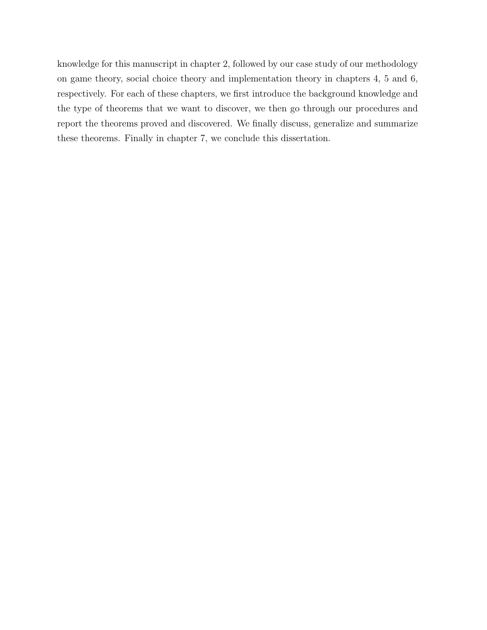knowledge for this manuscript in chapter 2, followed by our case study of our methodology on game theory, social choice theory and implementation theory in chapters 4, 5 and 6, respectively. For each of these chapters, we first introduce the background knowledge and the type of theorems that we want to discover, we then go through our procedures and report the theorems proved and discovered. We finally discuss, generalize and summarize these theorems. Finally in chapter 7, we conclude this dissertation.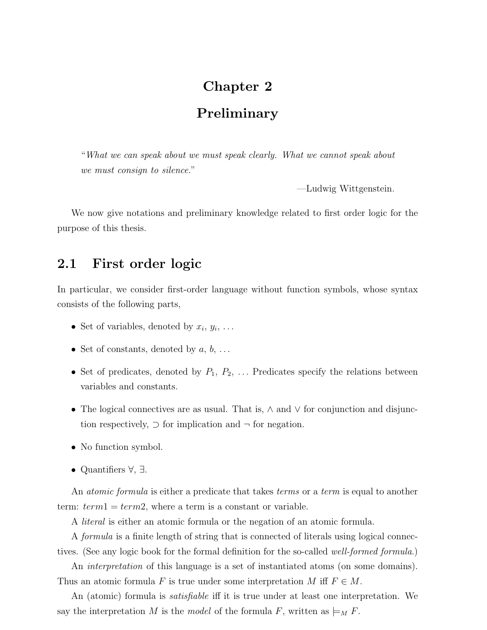## Chapter 2

## Preliminary

"What we can speak about we must speak clearly. What we cannot speak about we must consign to silence."

—Ludwig Wittgenstein.

We now give notations and preliminary knowledge related to first order logic for the purpose of this thesis.

## 2.1 First order logic

In particular, we consider first-order language without function symbols, whose syntax consists of the following parts,

- Set of variables, denoted by  $x_i, y_i, \ldots$
- Set of constants, denoted by  $a, b, \ldots$
- Set of predicates, denoted by  $P_1, P_2, \ldots$  Predicates specify the relations between variables and constants.
- The logical connectives are as usual. That is, ∧ and ∨ for conjunction and disjunction respectively,  $\supset$  for implication and  $\neg$  for negation.
- No function symbol.
- Quantifiers ∀, ∃.

An *atomic formula* is either a predicate that takes *terms* or a *term* is equal to another term:  $term1 = term2$ , where a term is a constant or variable.

A literal is either an atomic formula or the negation of an atomic formula.

A formula is a finite length of string that is connected of literals using logical connectives. (See any logic book for the formal definition for the so-called well-formed formula.)

An *interpretation* of this language is a set of instantiated atoms (on some domains). Thus an atomic formula F is true under some interpretation M iff  $F \in M$ .

An (atomic) formula is *satisfiable* iff it is true under at least one interpretation. We say the interpretation M is the model of the formula F, written as  $\models M$ .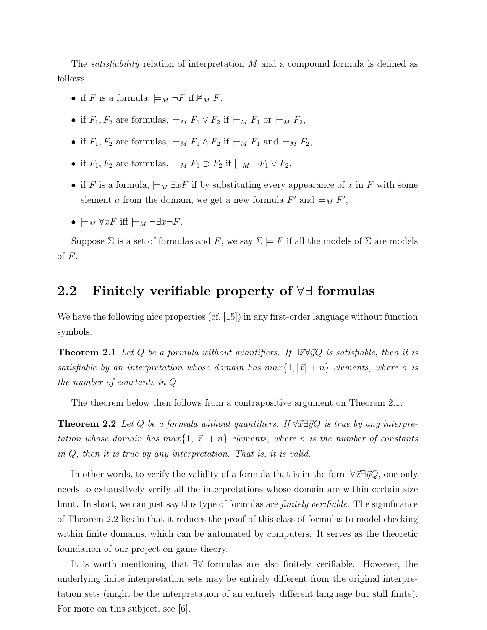The *satisfiability* relation of interpretation  $M$  and a compound formula is defined as follows:

- if F is a formula,  $\models_M \neg F$  if  $\nvDash_M F$ ,
- if  $F_1, F_2$  are formulas,  $\models M$   $F_1 \vee F_2$  if  $\models M$   $F_1$  or  $\models M$   $F_2$ ,
- if  $F_1, F_2$  are formulas,  $\models M$   $F_1 \wedge F_2$  if  $\models M$   $F_1$  and  $\models M$   $F_2$ ,
- if  $F_1, F_2$  are formulas,  $\models M$   $F_1 \supset F_2$  if  $\models M \neg F_1 \vee F_2$ ,
- if F is a formula,  $\models_M \exists x F$  if by substituting every appearance of x in F with some element a from the domain, we get a new formula  $F'$  and  $\models_M F'$ ,
- $\models_M \forall x F$  iff  $\models_M \neg \exists x \neg F$ .

Suppose  $\Sigma$  is a set of formulas and F, we say  $\Sigma \models F$  if all the models of  $\Sigma$  are models of  $F$ .

## 2.2 Finitely verifiable property of ∀∃ formulas

We have the following nice properties (cf. [15]) in any first-order language without function symbols.

**Theorem 2.1** Let Q be a formula without quantifiers. If  $\exists \vec{x} \forall \vec{y} Q$  is satisfiable, then it is satisfiable by an interpretation whose domain has  $max{1, |\vec{x}| + n}$  elements, where n is the number of constants in Q.

The theorem below then follows from a contrapositive argument on Theorem 2.1.

**Theorem 2.2** Let Q be a formula without quantifiers. If  $\forall \vec{x} \exists \vec{y} Q$  is true by any interpretation whose domain has  $max{1, |\vec{x}| + n}$  elements, where n is the number of constants in Q, then it is true by any interpretation. That is, it is valid.

In other words, to verify the validity of a formula that is in the form  $\forall \vec{x} \exists \vec{y} Q$ , one only needs to exhaustively verify all the interpretations whose domain are within certain size limit. In short, we can just say this type of formulas are *finitely verifiable*. The significance of Theorem 2.2 lies in that it reduces the proof of this class of formulas to model checking within finite domains, which can be automated by computers. It serves as the theoretic foundation of our project on game theory.

It is worth mentioning that ∃∀ formulas are also finitely verifiable. However, the underlying finite interpretation sets may be entirely different from the original interpretation sets (might be the interpretation of an entirely different language but still finite). For more on this subject, see [6].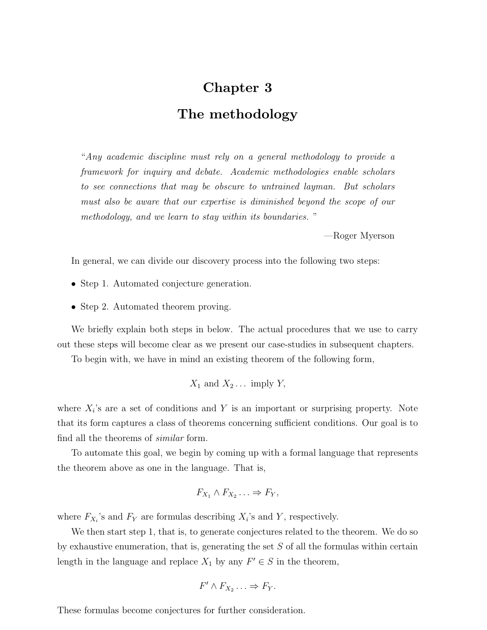## Chapter 3 The methodology

"Any academic discipline must rely on a general methodology to provide a framework for inquiry and debate. Academic methodologies enable scholars to see connections that may be obscure to untrained layman. But scholars must also be aware that our expertise is diminished beyond the scope of our methodology, and we learn to stay within its boundaries. "

—Roger Myerson

In general, we can divide our discovery process into the following two steps:

- Step 1. Automated conjecture generation.
- Step 2. Automated theorem proving.

We briefly explain both steps in below. The actual procedures that we use to carry out these steps will become clear as we present our case-studies in subsequent chapters.

To begin with, we have in mind an existing theorem of the following form,

$$
X_1
$$
 and  $X_2$ ... imply  $Y$ ,

where  $X_i$ 's are a set of conditions and Y is an important or surprising property. Note that its form captures a class of theorems concerning sufficient conditions. Our goal is to find all the theorems of similar form.

To automate this goal, we begin by coming up with a formal language that represents the theorem above as one in the language. That is,

$$
F_{X_1} \wedge F_{X_2} \ldots \Rightarrow F_Y,
$$

where  $F_{X_i}$ 's and  $F_Y$  are formulas describing  $X_i$ 's and Y, respectively.

We then start step 1, that is, to generate conjectures related to the theorem. We do so by exhaustive enumeration, that is, generating the set  $S$  of all the formulas within certain length in the language and replace  $X_1$  by any  $F' \in S$  in the theorem,

$$
F' \wedge F_{X_2} \ldots \Rightarrow F_Y.
$$

These formulas become conjectures for further consideration.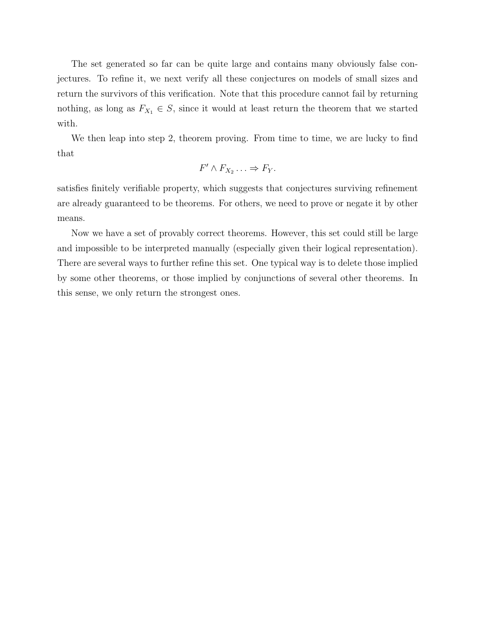The set generated so far can be quite large and contains many obviously false conjectures. To refine it, we next verify all these conjectures on models of small sizes and return the survivors of this verification. Note that this procedure cannot fail by returning nothing, as long as  $F_{X_1} \in S$ , since it would at least return the theorem that we started with.

We then leap into step 2, theorem proving. From time to time, we are lucky to find that

$$
F' \wedge F_{X_2} \ldots \Rightarrow F_Y.
$$

satisfies finitely verifiable property, which suggests that conjectures surviving refinement are already guaranteed to be theorems. For others, we need to prove or negate it by other means.

Now we have a set of provably correct theorems. However, this set could still be large and impossible to be interpreted manually (especially given their logical representation). There are several ways to further refine this set. One typical way is to delete those implied by some other theorems, or those implied by conjunctions of several other theorems. In this sense, we only return the strongest ones.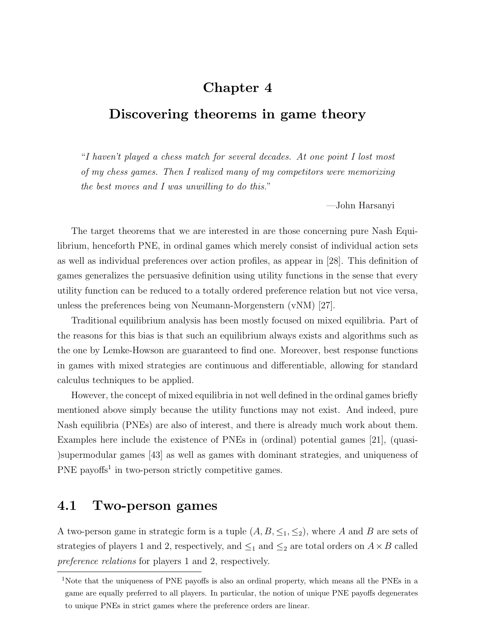## Chapter 4

## Discovering theorems in game theory

"I haven't played a chess match for several decades. At one point I lost most of my chess games. Then I realized many of my competitors were memorizing the best moves and I was unwilling to do this."

—John Harsanyi

The target theorems that we are interested in are those concerning pure Nash Equilibrium, henceforth PNE, in ordinal games which merely consist of individual action sets as well as individual preferences over action profiles, as appear in [28]. This definition of games generalizes the persuasive definition using utility functions in the sense that every utility function can be reduced to a totally ordered preference relation but not vice versa, unless the preferences being von Neumann-Morgenstern (vNM) [27].

Traditional equilibrium analysis has been mostly focused on mixed equilibria. Part of the reasons for this bias is that such an equilibrium always exists and algorithms such as the one by Lemke-Howson are guaranteed to find one. Moreover, best response functions in games with mixed strategies are continuous and differentiable, allowing for standard calculus techniques to be applied.

However, the concept of mixed equilibria in not well defined in the ordinal games briefly mentioned above simply because the utility functions may not exist. And indeed, pure Nash equilibria (PNEs) are also of interest, and there is already much work about them. Examples here include the existence of PNEs in (ordinal) potential games [21], (quasi- )supermodular games [43] as well as games with dominant strategies, and uniqueness of  $PNE$  payoffs<sup>1</sup> in two-person strictly competitive games.

## 4.1 Two-person games

A two-person game in strategic form is a tuple  $(A, B, \leq_1, \leq_2)$ , where A and B are sets of strategies of players 1 and 2, respectively, and  $\leq_1$  and  $\leq_2$  are total orders on  $A \times B$  called preference relations for players 1 and 2, respectively.

<sup>&</sup>lt;sup>1</sup>Note that the uniqueness of PNE payoffs is also an ordinal property, which means all the PNEs in a game are equally preferred to all players. In particular, the notion of unique PNE payoffs degenerates to unique PNEs in strict games where the preference orders are linear.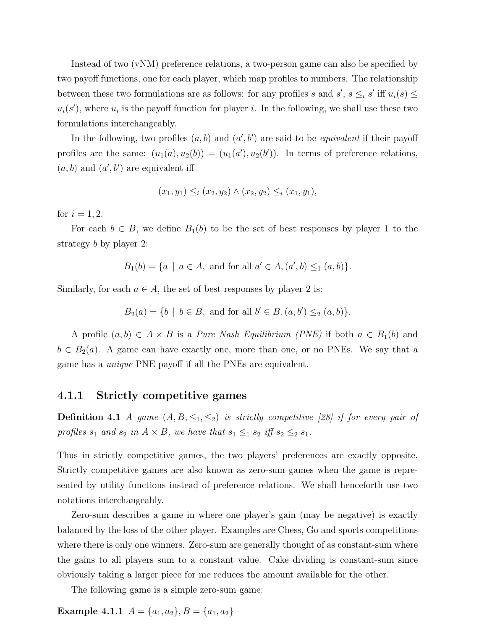Instead of two (vNM) preference relations, a two-person game can also be specified by two payoff functions, one for each player, which map profiles to numbers. The relationship between these two formulations are as follows: for any profiles s and s',  $s \leq i s'$  iff  $u_i(s) \leq$  $u_i(s')$ , where  $u_i$  is the payoff function for player i. In the following, we shall use these two formulations interchangeably.

In the following, two profiles  $(a, b)$  and  $(a', b')$  are said to be *equivalent* if their payoff profiles are the same:  $(u_1(a), u_2(b)) = (u_1(a'), u_2(b'))$ . In terms of preference relations,  $(a, b)$  and  $(a', b')$  are equivalent iff

$$
(x_1, y_1) \leq_i (x_2, y_2) \land (x_2, y_2) \leq_i (x_1, y_1),
$$

for  $i = 1, 2$ .

For each  $b \in B$ , we define  $B_1(b)$  to be the set of best responses by player 1 to the strategy b by player 2:

 $B_1(b) = \{a \mid a \in A, \text{ and for all } a' \in A, (a', b) \leq_1 (a, b)\}.$ 

Similarly, for each  $a \in A$ , the set of best responses by player 2 is:

$$
B_2(a) = \{b \mid b \in B, \text{ and for all } b' \in B, (a, b') \leq_2 (a, b)\}.
$$

A profile  $(a, b) \in A \times B$  is a *Pure Nash Equilibrium (PNE)* if both  $a \in B_1(b)$  and  $b \in B_2(a)$ . A game can have exactly one, more than one, or no PNEs. We say that a game has a unique PNE payoff if all the PNEs are equivalent.

#### 4.1.1 Strictly competitive games

**Definition 4.1** A game  $(A, B, \leq_1, \leq_2)$  is strictly competitive [28] if for every pair of profiles  $s_1$  and  $s_2$  in  $A \times B$ , we have that  $s_1 \leq_1 s_2$  iff  $s_2 \leq_2 s_1$ .

Thus in strictly competitive games, the two players' preferences are exactly opposite. Strictly competitive games are also known as zero-sum games when the game is represented by utility functions instead of preference relations. We shall henceforth use two notations interchangeably.

Zero-sum describes a game in where one player's gain (may be negative) is exactly balanced by the loss of the other player. Examples are Chess, Go and sports competitions where there is only one winners. Zero-sum are generally thought of as constant-sum where the gains to all players sum to a constant value. Cake dividing is constant-sum since obviously taking a larger piece for me reduces the amount available for the other.

The following game is a simple zero-sum game:

Example 4.1.1  $A = \{a_1, a_2\}, B = \{a_1, a_2\}$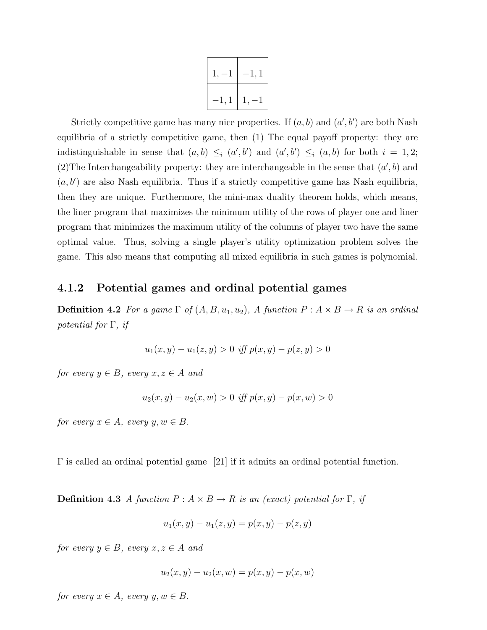| $1, -$         | 1,1<br>$\overline{\phantom{0}}$ |
|----------------|---------------------------------|
| $\mathsf{l},1$ | $1, -$                          |

Strictly competitive game has many nice properties. If  $(a, b)$  and  $(a', b')$  are both Nash equilibria of a strictly competitive game, then (1) The equal payoff property: they are indistinguishable in sense that  $(a, b) \leq_i (a', b')$  and  $(a', b') \leq_i (a, b)$  for both  $i = 1, 2;$ (2) The Interchangeability property: they are interchangeable in the sense that  $(a', b)$  and  $(a, b')$  are also Nash equilibria. Thus if a strictly competitive game has Nash equilibria, then they are unique. Furthermore, the mini-max duality theorem holds, which means, the liner program that maximizes the minimum utility of the rows of player one and liner program that minimizes the maximum utility of the columns of player two have the same optimal value. Thus, solving a single player's utility optimization problem solves the game. This also means that computing all mixed equilibria in such games is polynomial.

### 4.1.2 Potential games and ordinal potential games

**Definition 4.2** For a game  $\Gamma$  of  $(A, B, u_1, u_2)$ , A function  $P : A \times B \rightarrow R$  is an ordinal potential for  $\Gamma$ , if

$$
u_1(x, y) - u_1(z, y) > 0 \text{ iff } p(x, y) - p(z, y) > 0
$$

for every  $y \in B$ , every  $x, z \in A$  and

$$
u_2(x, y) - u_2(x, w) > 0 \text{ iff } p(x, y) - p(x, w) > 0
$$

for every  $x \in A$ , every  $y, w \in B$ .

Γ is called an ordinal potential game [21] if it admits an ordinal potential function.

**Definition 4.3** A function  $P: A \times B \to R$  is an (exact) potential for  $\Gamma$ , if

$$
u_1(x, y) - u_1(z, y) = p(x, y) - p(z, y)
$$

for every  $y \in B$ , every  $x, z \in A$  and

$$
u_2(x, y) - u_2(x, w) = p(x, y) - p(x, w)
$$

for every  $x \in A$ , every  $y, w \in B$ .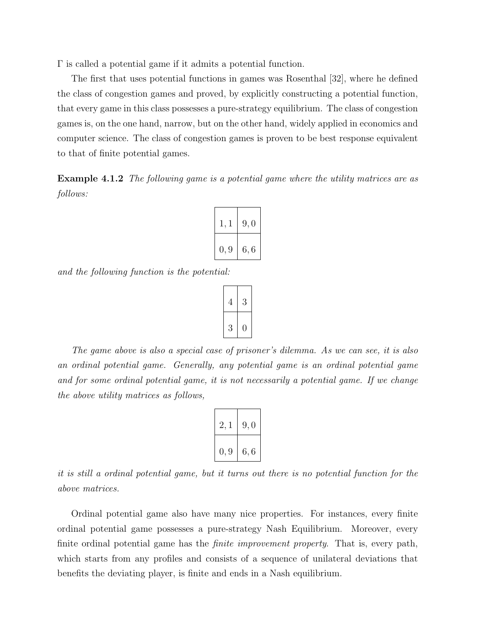Γ is called a potential game if it admits a potential function.

The first that uses potential functions in games was Rosenthal [32], where he defined the class of congestion games and proved, by explicitly constructing a potential function, that every game in this class possesses a pure-strategy equilibrium. The class of congestion games is, on the one hand, narrow, but on the other hand, widely applied in economics and computer science. The class of congestion games is proven to be best response equivalent to that of finite potential games.

Example 4.1.2 The following game is a potential game where the utility matrices are as follows:

| 1, 1 | 9,0  |
|------|------|
| 0, 9 | 6, 6 |

and the following function is the potential:



The game above is also a special case of prisoner's dilemma. As we can see, it is also an ordinal potential game. Generally, any potential game is an ordinal potential game and for some ordinal potential game, it is not necessarily a potential game. If we change the above utility matrices as follows,

| 2,1  | 9,0 |
|------|-----|
| 0, 9 | 6,6 |

it is still a ordinal potential game, but it turns out there is no potential function for the above matrices.

Ordinal potential game also have many nice properties. For instances, every finite ordinal potential game possesses a pure-strategy Nash Equilibrium. Moreover, every finite ordinal potential game has the *finite improvement property*. That is, every path, which starts from any profiles and consists of a sequence of unilateral deviations that benefits the deviating player, is finite and ends in a Nash equilibrium.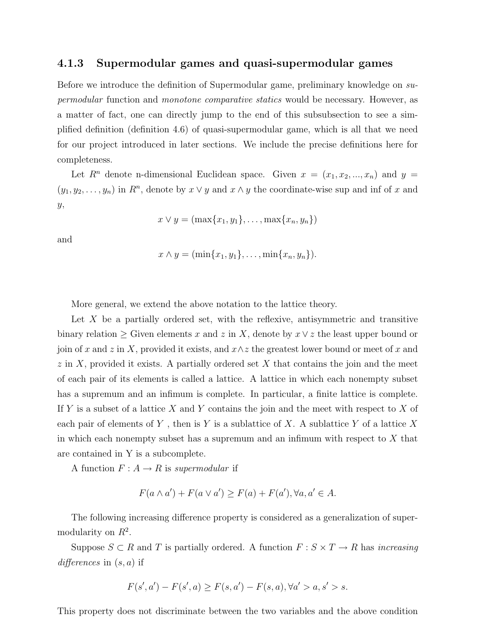#### 4.1.3 Supermodular games and quasi-supermodular games

Before we introduce the definition of Supermodular game, preliminary knowledge on supermodular function and monotone comparative statics would be necessary. However, as a matter of fact, one can directly jump to the end of this subsubsection to see a simplified definition (definition 4.6) of quasi-supermodular game, which is all that we need for our project introduced in later sections. We include the precise definitions here for completeness.

Let  $R^n$  denote n-dimensional Euclidean space. Given  $x = (x_1, x_2, ..., x_n)$  and  $y =$  $(y_1, y_2, \ldots, y_n)$  in  $R^n$ , denote by  $x \vee y$  and  $x \wedge y$  the coordinate-wise sup and inf of x and y,

$$
x \vee y = (\max\{x_1, y_1\}, \dots, \max\{x_n, y_n\})
$$

and

$$
x \wedge y = (\min\{x_1,y_1\},\ldots,\min\{x_n,y_n\}).
$$

More general, we extend the above notation to the lattice theory.

Let  $X$  be a partially ordered set, with the reflexive, antisymmetric and transitive binary relation  $\geq$  Given elements x and z in X, denote by  $x \vee z$  the least upper bound or join of x and z in X, provided it exists, and  $x \wedge z$  the greatest lower bound or meet of x and  $z$  in X, provided it exists. A partially ordered set X that contains the join and the meet of each pair of its elements is called a lattice. A lattice in which each nonempty subset has a supremum and an infimum is complete. In particular, a finite lattice is complete. If Y is a subset of a lattice X and Y contains the join and the meet with respect to X of each pair of elements of Y, then is Y is a sublattice of X. A sublattice Y of a lattice X in which each nonempty subset has a supremum and an infimum with respect to  $X$  that are contained in Y is a subcomplete.

A function  $F: A \rightarrow R$  is supermodular if

$$
F(a \wedge a') + F(a \vee a') \ge F(a) + F(a'), \forall a, a' \in A.
$$

The following increasing difference property is considered as a generalization of supermodularity on  $R^2$ .

Suppose  $S \subset R$  and T is partially ordered. A function  $F : S \times T \to R$  has *increasing* differences in  $(s, a)$  if

$$
F(s',a') - F(s',a) \ge F(s,a') - F(s,a), \forall a' > a, s' > s.
$$

This property does not discriminate between the two variables and the above condition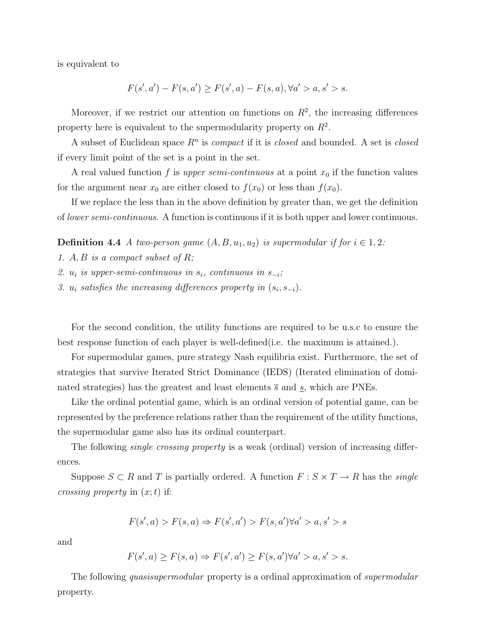is equivalent to

$$
F(s',a') - F(s,a') \ge F(s',a) - F(s,a), \forall a' > a, s' > s.
$$

Moreover, if we restrict our attention on functions on  $R^2$ , the increasing differences property here is equivalent to the supermodularity property on  $R^2$ .

A subset of Euclidean space  $R<sup>n</sup>$  is *compact* if it is *closed* and bounded. A set is *closed* if every limit point of the set is a point in the set.

A real valued function f is upper semi-continuous at a point  $x_0$  if the function values for the argument near  $x_0$  are either closed to  $f(x_0)$  or less than  $f(x_0)$ .

If we replace the less than in the above definition by greater than, we get the definition of lower semi-continuous. A function is continuous if it is both upper and lower continuous.

**Definition 4.4** A two-person game  $(A, B, u_1, u_2)$  is supermodular if for  $i \in 1, 2$ :

- 1.  $A, B$  is a compact subset of  $R$ ;
- 2.  $u_i$  is upper-semi-continuous in  $s_i$ , continuous in  $s_{-i}$ ;
- 3.  $u_i$  satisfies the increasing differences property in  $(s_i, s_{-i})$ .

For the second condition, the utility functions are required to be u.s.c to ensure the best response function of each player is well-defined(i.e. the maximum is attained.).

For supermodular games, pure strategy Nash equilibria exist. Furthermore, the set of strategies that survive Iterated Strict Dominance (IEDS) (Iterated elimination of dominated strategies) has the greatest and least elements  $\bar{s}$  and  $\underline{s}$ , which are PNEs.

Like the ordinal potential game, which is an ordinal version of potential game, can be represented by the preference relations rather than the requirement of the utility functions, the supermodular game also has its ordinal counterpart.

The following *single crossing property* is a weak (ordinal) version of increasing differences.

Suppose  $S \subset R$  and T is partially ordered. A function  $F : S \times T \to R$  has the *single crossing property* in  $(x; t)$  if:

$$
F(s',a) > F(s,a) \Rightarrow F(s',a') > F(s,a') \forall a' > a, s' > s
$$

and

$$
F(s',a) \ge F(s,a) \Rightarrow F(s',a') \ge F(s,a') \forall a' > a, s' > s.
$$

The following *quasisupermodular* property is a ordinal approximation of *supermodular* property.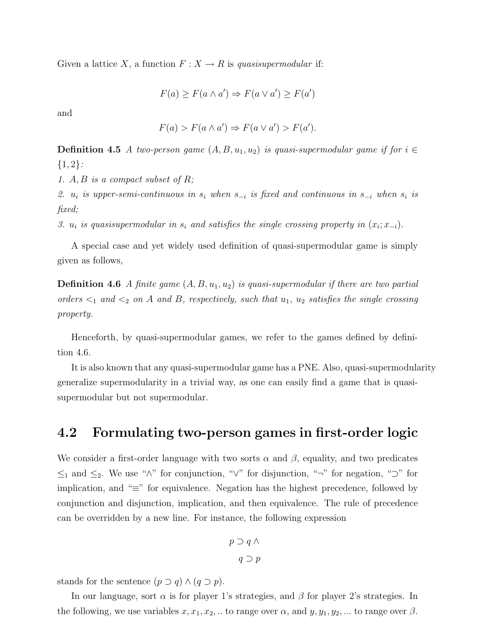Given a lattice X, a function  $F: X \to R$  is quasisupermodular if:

$$
F(a) \ge F(a \wedge a') \Rightarrow F(a \vee a') \ge F(a')
$$

and

$$
F(a) > F(a \wedge a') \Rightarrow F(a \vee a') > F(a').
$$

**Definition 4.5** A two-person game  $(A, B, u_1, u_2)$  is quasi-supermodular game if for  $i \in$  ${1,2}$ :

1. A, B is a compact subset of R;

2. u<sub>i</sub> is upper-semi-continuous in  $s_i$  when  $s_{-i}$  is fixed and continuous in  $s_{-i}$  when  $s_i$  is fixed;

3.  $u_i$  is quasisupermodular in  $s_i$  and satisfies the single crossing property in  $(x_i; x_{-i})$ .

A special case and yet widely used definition of quasi-supermodular game is simply given as follows,

**Definition 4.6** A finite game  $(A, B, u_1, u_2)$  is quasi-supermodular if there are two partial orders  $\lt_1$  and  $\lt_2$  on A and B, respectively, such that  $u_1$ ,  $u_2$  satisfies the single crossing property.

Henceforth, by quasi-supermodular games, we refer to the games defined by definition 4.6.

It is also known that any quasi-supermodular game has a PNE. Also, quasi-supermodularity generalize supermodularity in a trivial way, as one can easily find a game that is quasisupermodular but not supermodular.

### 4.2 Formulating two-person games in first-order logic

We consider a first-order language with two sorts  $\alpha$  and  $\beta$ , equality, and two predicates  $\leq_1$  and  $\leq_2$ . We use "∧" for conjunction, "√" for disjunction, "¬" for negation, "⊃" for implication, and "≡" for equivalence. Negation has the highest precedence, followed by conjunction and disjunction, implication, and then equivalence. The rule of precedence can be overridden by a new line. For instance, the following expression

$$
p \supset q \wedge
$$

$$
q \supset p
$$

stands for the sentence  $(p \supset q) \wedge (q \supset p)$ .

In our language, sort  $\alpha$  is for player 1's strategies, and  $\beta$  for player 2's strategies. In the following, we use variables  $x, x_1, x_2, ...$  to range over  $\alpha$ , and  $y, y_1, y_2, ...$  to range over  $\beta$ .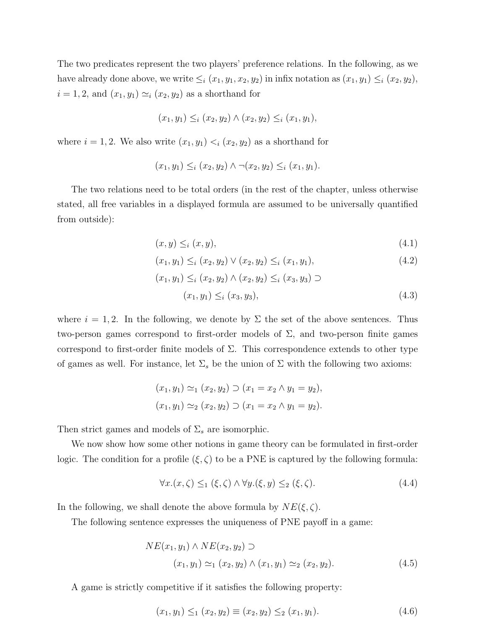The two predicates represent the two players' preference relations. In the following, as we have already done above, we write  $\leq_i (x_1, y_1, x_2, y_2)$  in infix notation as  $(x_1, y_1) \leq_i (x_2, y_2)$ ,  $i = 1, 2$ , and  $(x_1, y_1) \simeq_i (x_2, y_2)$  as a shorthand for

$$
(x_1, y_1) \leq_i (x_2, y_2) \land (x_2, y_2) \leq_i (x_1, y_1),
$$

where  $i = 1, 2$ . We also write  $(x_1, y_1) < i (x_2, y_2)$  as a shorthand for

$$
(x_1, y_1) \leq_i (x_2, y_2) \land \neg (x_2, y_2) \leq_i (x_1, y_1).
$$

The two relations need to be total orders (in the rest of the chapter, unless otherwise stated, all free variables in a displayed formula are assumed to be universally quantified from outside):

$$
(x, y) \leq_i (x, y), \tag{4.1}
$$

$$
(x_1, y_1) \leq_i (x_2, y_2) \vee (x_2, y_2) \leq_i (x_1, y_1), \tag{4.2}
$$

$$
(x_1, y_1) \leq_i (x_2, y_2) \land (x_2, y_2) \leq_i (x_3, y_3) \supset
$$
  

$$
(x_1, y_1) \leq_i (x_3, y_3),
$$
 (4.3)

where  $i = 1, 2$ . In the following, we denote by  $\Sigma$  the set of the above sentences. Thus two-person games correspond to first-order models of  $\Sigma$ , and two-person finite games correspond to first-order finite models of  $\Sigma$ . This correspondence extends to other type of games as well. For instance, let  $\Sigma_s$  be the union of  $\Sigma$  with the following two axioms:

$$
(x_1, y_1) \simeq_1 (x_2, y_2) \supset (x_1 = x_2 \land y_1 = y_2),
$$
  
 $(x_1, y_1) \simeq_2 (x_2, y_2) \supset (x_1 = x_2 \land y_1 = y_2).$ 

Then strict games and models of  $\Sigma_s$  are isomorphic.

We now show how some other notions in game theory can be formulated in first-order logic. The condition for a profile  $(\xi, \zeta)$  to be a PNE is captured by the following formula:

$$
\forall x. (x, \zeta) \leq_1 (\xi, \zeta) \land \forall y. (\xi, y) \leq_2 (\xi, \zeta). \tag{4.4}
$$

In the following, we shall denote the above formula by  $NE(\xi, \zeta)$ .

The following sentence expresses the uniqueness of PNE payoff in a game:

$$
NE(x_1, y_1) \land NE(x_2, y_2) \supset
$$
  
(x<sub>1</sub>, y<sub>1</sub>)  $\simeq_1 (x_2, y_2) \land (x_1, y_1) \simeq_2 (x_2, y_2).$  (4.5)

A game is strictly competitive if it satisfies the following property:

$$
(x_1, y_1) \leq_1 (x_2, y_2) \equiv (x_2, y_2) \leq_2 (x_1, y_1). \tag{4.6}
$$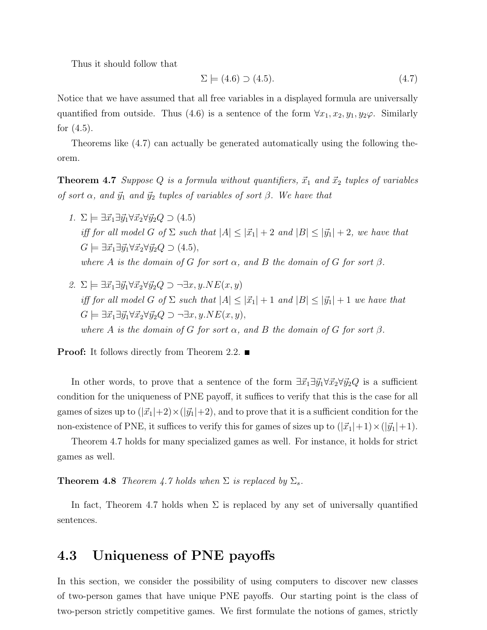Thus it should follow that

$$
\Sigma \models (4.6) \supset (4.5). \tag{4.7}
$$

Notice that we have assumed that all free variables in a displayed formula are universally quantified from outside. Thus (4.6) is a sentence of the form  $\forall x_1, x_2, y_1, y_2\varphi$ . Similarly for  $(4.5)$ .

Theorems like (4.7) can actually be generated automatically using the following theorem.

**Theorem 4.7** Suppose Q is a formula without quantifiers,  $\vec{x}_1$  and  $\vec{x}_2$  tuples of variables of sort  $\alpha$ , and  $\vec{y}_1$  and  $\vec{y}_2$  tuples of variables of sort  $\beta$ . We have that

- 1.  $\Sigma \models \exists \vec{x}_1 \exists \vec{y}_1 \forall \vec{x}_2 \forall \vec{y}_2 Q \supset (4.5)$ iff for all model G of  $\Sigma$  such that  $|A| \leq |\vec{x}_1| + 2$  and  $|B| \leq |\vec{y}_1| + 2$ , we have that  $G \models \exists \vec{x_1} \exists \vec{y_1} \forall \vec{x_2} \forall \vec{y_2} Q \supset (4.5),$ where A is the domain of G for sort  $\alpha$ , and B the domain of G for sort  $\beta$ .
- 2.  $\Sigma \models \exists \vec{x}_1 \exists \vec{y}_1 \forall \vec{x}_2 \forall \vec{y}_2 Q \supset \neg \exists x, y.NE(x, y)$ iff for all model G of  $\Sigma$  such that  $|A| \leq |\vec{x}_1| + 1$  and  $|B| \leq |\vec{y}_1| + 1$  we have that  $G \models \exists \vec{x_1} \exists \vec{y_1} \forall \vec{x_2} \forall \vec{y_2} Q \supset \neg \exists x, y. NE(x, y),$ where A is the domain of G for sort  $\alpha$ , and B the domain of G for sort  $\beta$ .

**Proof:** It follows directly from Theorem 2.2. ■

In other words, to prove that a sentence of the form  $\exists \vec{x}_1 \exists \vec{y}_1 \forall \vec{x}_2 \forall \vec{y}_2 Q$  is a sufficient condition for the uniqueness of PNE payoff, it suffices to verify that this is the case for all games of sizes up to  $(|\vec{x}_1|+2) \times (|\vec{y}_1|+2)$ , and to prove that it is a sufficient condition for the non-existence of PNE, it suffices to verify this for games of sizes up to  $(|\vec{x}_1|+1) \times (|\vec{y}_1|+1)$ .

Theorem 4.7 holds for many specialized games as well. For instance, it holds for strict games as well.

#### **Theorem 4.8** Theorem 4.7 holds when  $\Sigma$  is replaced by  $\Sigma_s$ .

In fact, Theorem 4.7 holds when  $\Sigma$  is replaced by any set of universally quantified sentences.

### 4.3 Uniqueness of PNE payoffs

In this section, we consider the possibility of using computers to discover new classes of two-person games that have unique PNE payoffs. Our starting point is the class of two-person strictly competitive games. We first formulate the notions of games, strictly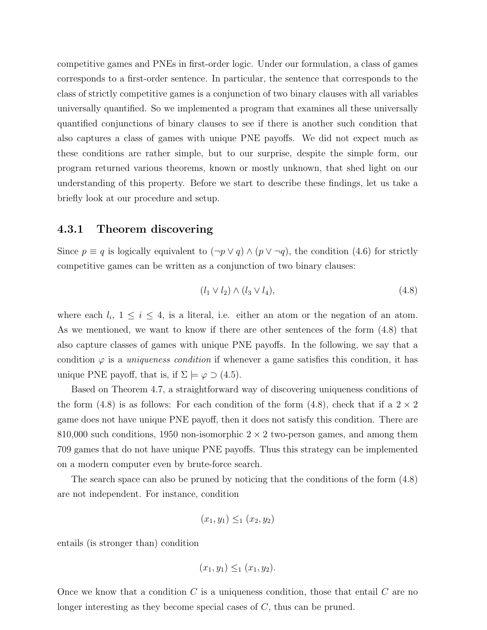competitive games and PNEs in first-order logic. Under our formulation, a class of games corresponds to a first-order sentence. In particular, the sentence that corresponds to the class of strictly competitive games is a conjunction of two binary clauses with all variables universally quantified. So we implemented a program that examines all these universally quantified conjunctions of binary clauses to see if there is another such condition that also captures a class of games with unique PNE payoffs. We did not expect much as these conditions are rather simple, but to our surprise, despite the simple form, our program returned various theorems, known or mostly unknown, that shed light on our understanding of this property. Before we start to describe these findings, let us take a briefly look at our procedure and setup.

#### 4.3.1 Theorem discovering

Since  $p \equiv q$  is logically equivalent to  $(\neg p \lor q) \land (p \lor \neg q)$ , the condition (4.6) for strictly competitive games can be written as a conjunction of two binary clauses:

$$
(l_1 \vee l_2) \wedge (l_3 \vee l_4), \qquad (4.8)
$$

where each  $l_i$ ,  $1 \leq i \leq 4$ , is a literal, i.e. either an atom or the negation of an atom. As we mentioned, we want to know if there are other sentences of the form (4.8) that also capture classes of games with unique PNE payoffs. In the following, we say that a condition  $\varphi$  is a *uniqueness condition* if whenever a game satisfies this condition, it has unique PNE payoff, that is, if  $\Sigma \models \varphi \supset (4.5)$ .

Based on Theorem 4.7, a straightforward way of discovering uniqueness conditions of the form (4.8) is as follows: For each condition of the form (4.8), check that if a  $2 \times 2$ game does not have unique PNE payoff, then it does not satisfy this condition. There are 810,000 such conditions, 1950 non-isomorphic  $2 \times 2$  two-person games, and among them 709 games that do not have unique PNE payoffs. Thus this strategy can be implemented on a modern computer even by brute-force search.

The search space can also be pruned by noticing that the conditions of the form (4.8) are not independent. For instance, condition

$$
(x_1, y_1) \leq_1 (x_2, y_2)
$$

entails (is stronger than) condition

$$
(x_1, y_1) \leq_1 (x_1, y_2).
$$

Once we know that a condition  $C$  is a uniqueness condition, those that entail  $C$  are no longer interesting as they become special cases of C, thus can be pruned.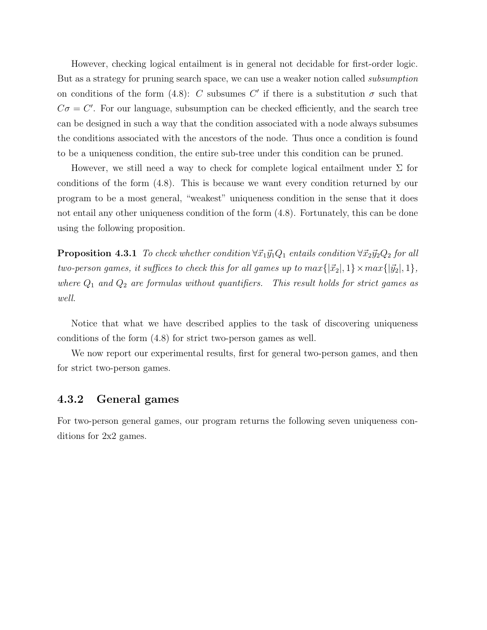However, checking logical entailment is in general not decidable for first-order logic. But as a strategy for pruning search space, we can use a weaker notion called subsumption on conditions of the form (4.8): C subsumes C' if there is a substitution  $\sigma$  such that  $C\sigma = C'$ . For our language, subsumption can be checked efficiently, and the search tree can be designed in such a way that the condition associated with a node always subsumes the conditions associated with the ancestors of the node. Thus once a condition is found to be a uniqueness condition, the entire sub-tree under this condition can be pruned.

However, we still need a way to check for complete logical entailment under  $\Sigma$  for conditions of the form (4.8). This is because we want every condition returned by our program to be a most general, "weakest" uniqueness condition in the sense that it does not entail any other uniqueness condition of the form (4.8). Fortunately, this can be done using the following proposition.

**Proposition 4.3.1** To check whether condition  $\forall \vec{x}_1 \vec{y}_1 Q_1$  entails condition  $\forall \vec{x}_2 \vec{y}_2 Q_2$  for all two-person games, it suffices to check this for all games up to  $max\{|\vec{x}_2|, 1\} \times max\{|\vec{y}_2|, 1\},$ where  $Q_1$  and  $Q_2$  are formulas without quantifiers. This result holds for strict games as well.

Notice that what we have described applies to the task of discovering uniqueness conditions of the form (4.8) for strict two-person games as well.

We now report our experimental results, first for general two-person games, and then for strict two-person games.

### 4.3.2 General games

For two-person general games, our program returns the following seven uniqueness conditions for 2x2 games.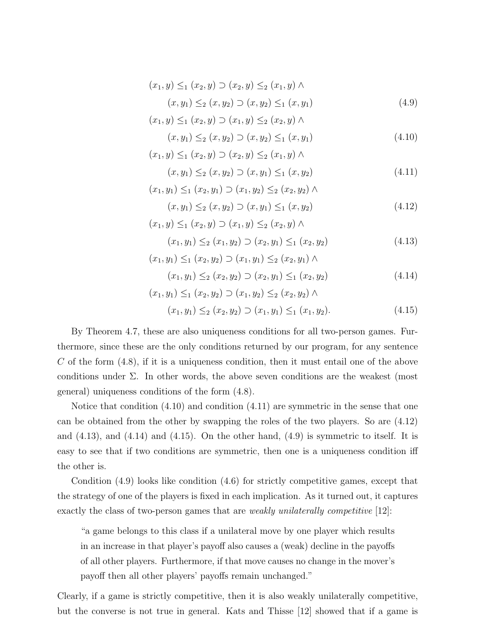$$
(x_1, y) \leq_1 (x_2, y) \supset (x_2, y) \leq_2 (x_1, y) \land (x, y_1) \leq_2 (x, y_2) \supset (x, y_2) \leq_1 (x, y_1)
$$
\n(4.9)

$$
(x_1, y) \leq_1 (x_2, y) \supset (x_1, y) \leq_2 (x_2, y) \land
$$
\n
$$
(x_1, y) \leq_2 (x_2, y) \leq_2 (x_3, y) \leq_2 (x_4, y) \tag{4.10}
$$

$$
(x, y_1) \leq_2 (x, y_2) \supset (x, y_2) \leq_1 (x, y_1)
$$
  

$$
(x_1, y) \leq_1 (x_2, y) \supset (x_2, y) \leq_2 (x_1, y) \land
$$
 (4.10)

$$
(x, y_1) \leq_2 (x, y_2) \supset (x, y_1) \leq_1 (x, y_2)
$$
\n(4.11)

$$
(x_1, y_1) \leq_1 (x_2, y_1) \supset (x_1, y_2) \leq_2 (x_2, y_2) \land (x, y_1) \leq_2 (x, y_2) \supset (x, y_1) \leq_1 (x, y_2)
$$
\n(4.12)

$$
(x_1, y) \leq_1 (x_2, y) \supset (x_1, y) \leq_2 (x_2, y) \land (x_1, y_1) \leq_2 (x_1, y_2) \supset (x_2, y_1) \leq_1 (x_2, y_2)
$$
\n(4.13)

$$
(x_1, y_1) \leq_1 (x_2, y_2) \supset (x_1, y_1) \leq_2 (x_2, y_1) \land (x_1, y_1) \leq_2 (x_2, y_2) \supset (x_2, y_1) \leq_1 (x_2, y_2)
$$
\n(4.14)

$$
(x_1, y_1) \leq_1 (x_2, y_2) \supset (x_1, y_2) \leq_2 (x_2, y_2) \wedge
$$
  

$$
(x_1, y_1) \leq_2 (x_2, y_2) \supset (x_1, y_1) \leq_1 (x_1, y_2).
$$
 (4.15)

By Theorem 4.7, these are also uniqueness conditions for all two-person games. Furthermore, since these are the only conditions returned by our program, for any sentence C of the form  $(4.8)$ , if it is a uniqueness condition, then it must entail one of the above conditions under  $\Sigma$ . In other words, the above seven conditions are the weakest (most general) uniqueness conditions of the form (4.8).

Notice that condition (4.10) and condition (4.11) are symmetric in the sense that one can be obtained from the other by swapping the roles of the two players. So are (4.12) and  $(4.13)$ , and  $(4.14)$  and  $(4.15)$ . On the other hand,  $(4.9)$  is symmetric to itself. It is easy to see that if two conditions are symmetric, then one is a uniqueness condition iff the other is.

Condition (4.9) looks like condition (4.6) for strictly competitive games, except that the strategy of one of the players is fixed in each implication. As it turned out, it captures exactly the class of two-person games that are *weakly unilaterally competitive* [12]:

"a game belongs to this class if a unilateral move by one player which results in an increase in that player's payoff also causes a (weak) decline in the payoffs of all other players. Furthermore, if that move causes no change in the mover's payoff then all other players' payoffs remain unchanged."

Clearly, if a game is strictly competitive, then it is also weakly unilaterally competitive, but the converse is not true in general. Kats and Thisse [12] showed that if a game is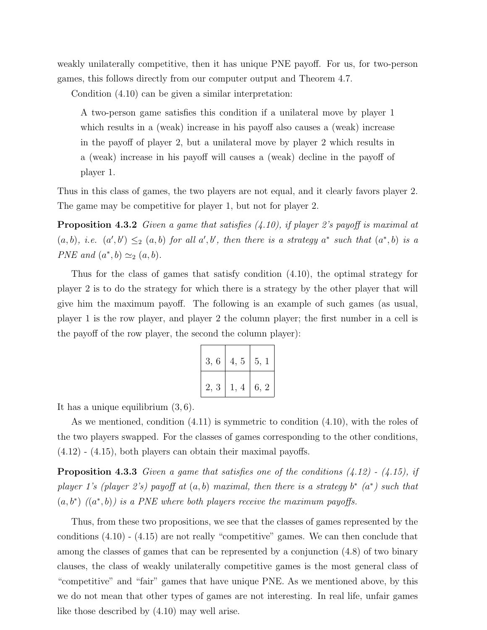weakly unilaterally competitive, then it has unique PNE payoff. For us, for two-person games, this follows directly from our computer output and Theorem 4.7.

Condition (4.10) can be given a similar interpretation:

A two-person game satisfies this condition if a unilateral move by player 1 which results in a (weak) increase in his payoff also causes a (weak) increase in the payoff of player 2, but a unilateral move by player 2 which results in a (weak) increase in his payoff will causes a (weak) decline in the payoff of player 1.

Thus in this class of games, the two players are not equal, and it clearly favors player 2. The game may be competitive for player 1, but not for player 2.

**Proposition 4.3.2** Given a game that satisfies  $(4.10)$ , if player 2's payoff is maximal at  $(a, b)$ , i.e.  $(a', b') \leq_2 (a, b)$  for all a', b', then there is a strategy a<sup>\*</sup> such that  $(a^*, b)$  is a PNE and  $(a^*,b) \simeq_2 (a,b)$ .

Thus for the class of games that satisfy condition (4.10), the optimal strategy for player 2 is to do the strategy for which there is a strategy by the other player that will give him the maximum payoff. The following is an example of such games (as usual, player 1 is the row player, and player 2 the column player; the first number in a cell is the payoff of the row player, the second the column player):

| 3, 6 | 4, 5 | $\vert 5, 1 \vert$ |
|------|------|--------------------|
| 2, 3 | 1, 4 | 6, 2               |

It has a unique equilibrium (3, 6).

As we mentioned, condition (4.11) is symmetric to condition (4.10), with the roles of the two players swapped. For the classes of games corresponding to the other conditions,  $(4.12)$  -  $(4.15)$ , both players can obtain their maximal payoffs.

**Proposition 4.3.3** Given a game that satisfies one of the conditions  $(4.12)$  -  $(4.15)$ , if player 1's (player 2's) payoff at  $(a, b)$  maximal, then there is a strategy  $b^*$   $(a^*)$  such that  $(a, b^*)$   $((a^*, b))$  is a PNE where both players receive the maximum payoffs.

Thus, from these two propositions, we see that the classes of games represented by the conditions  $(4.10)$  -  $(4.15)$  are not really "competitive" games. We can then conclude that among the classes of games that can be represented by a conjunction (4.8) of two binary clauses, the class of weakly unilaterally competitive games is the most general class of "competitive" and "fair" games that have unique PNE. As we mentioned above, by this we do not mean that other types of games are not interesting. In real life, unfair games like those described by (4.10) may well arise.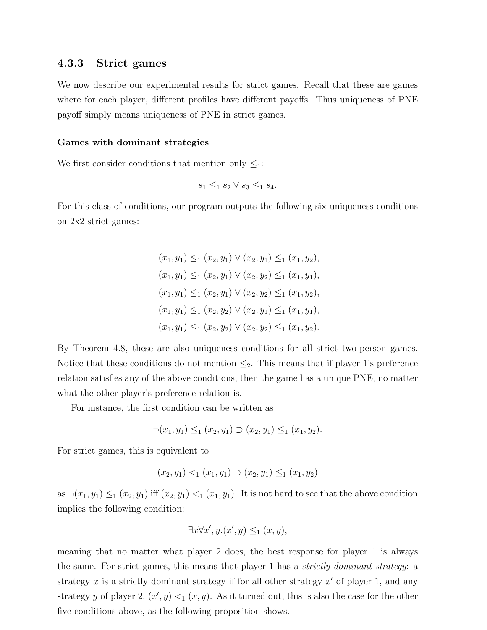#### 4.3.3 Strict games

We now describe our experimental results for strict games. Recall that these are games where for each player, different profiles have different payoffs. Thus uniqueness of PNE payoff simply means uniqueness of PNE in strict games.

#### Games with dominant strategies

We first consider conditions that mention only  $\leq_1$ :

$$
s_1 \leq_1 s_2 \vee s_3 \leq_1 s_4.
$$

For this class of conditions, our program outputs the following six uniqueness conditions on 2x2 strict games:

> $(x_1, y_1) \leq_1 (x_2, y_1) \vee (x_2, y_1) \leq_1 (x_1, y_2),$  $(x_1, y_1) \leq_1 (x_2, y_1) \vee (x_2, y_2) \leq_1 (x_1, y_1),$  $(x_1, y_1) \leq_1 (x_2, y_1) \vee (x_2, y_2) \leq_1 (x_1, y_2),$  $(x_1, y_1) \leq_1 (x_2, y_2) \vee (x_2, y_1) \leq_1 (x_1, y_1),$  $(x_1, y_1) \leq_1 (x_2, y_2) \vee (x_2, y_2) \leq_1 (x_1, y_2).$

By Theorem 4.8, these are also uniqueness conditions for all strict two-person games. Notice that these conditions do not mention  $\leq_2$ . This means that if player 1's preference relation satisfies any of the above conditions, then the game has a unique PNE, no matter what the other player's preference relation is.

For instance, the first condition can be written as

$$
\neg (x_1, y_1) \leq_1 (x_2, y_1) \supset (x_2, y_1) \leq_1 (x_1, y_2).
$$

For strict games, this is equivalent to

$$
(x_2, y_1) <_1 (x_1, y_1) \supset (x_2, y_1) \leq_1 (x_1, y_2)
$$

as  $\neg(x_1, y_1) \leq_1 (x_2, y_1)$  iff  $(x_2, y_1) <_1 (x_1, y_1)$ . It is not hard to see that the above condition implies the following condition:

$$
\exists x \forall x', y. (x', y) \leq_1 (x, y),
$$

meaning that no matter what player 2 does, the best response for player 1 is always the same. For strict games, this means that player 1 has a *strictly dominant strategy*: a strategy x is a strictly dominant strategy if for all other strategy  $x'$  of player 1, and any strategy y of player 2,  $(x', y) <_1 (x, y)$ . As it turned out, this is also the case for the other five conditions above, as the following proposition shows.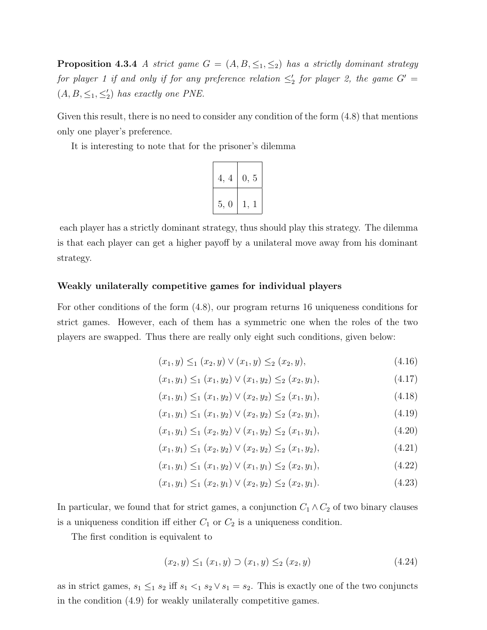**Proposition 4.3.4** A strict game  $G = (A, B, \leq_1, \leq_2)$  has a strictly dominant strategy for player 1 if and only if for any preference relation  $\leq'_2$  for player 2, the game  $G' =$  $(A, B, \leq_1, \leq_2')$  has exactly one PNE.

Given this result, there is no need to consider any condition of the form  $(4.8)$  that mentions only one player's preference.

It is interesting to note that for the prisoner's dilemma



each player has a strictly dominant strategy, thus should play this strategy. The dilemma is that each player can get a higher payoff by a unilateral move away from his dominant strategy.

#### Weakly unilaterally competitive games for individual players

For other conditions of the form (4.8), our program returns 16 uniqueness conditions for strict games. However, each of them has a symmetric one when the roles of the two players are swapped. Thus there are really only eight such conditions, given below:

$$
(x_1, y) \leq_1 (x_2, y) \vee (x_1, y) \leq_2 (x_2, y), \tag{4.16}
$$

$$
(x_1, y_1) \leq_1 (x_1, y_2) \vee (x_1, y_2) \leq_2 (x_2, y_1), \tag{4.17}
$$

$$
(x_1, y_1) \leq_1 (x_1, y_2) \vee (x_2, y_2) \leq_2 (x_1, y_1), \tag{4.18}
$$

$$
(x_1, y_1) \leq_1 (x_1, y_2) \vee (x_2, y_2) \leq_2 (x_2, y_1), \tag{4.19}
$$

$$
(x_1, y_1) \leq_1 (x_2, y_2) \vee (x_1, y_2) \leq_2 (x_1, y_1), \tag{4.20}
$$

$$
(x_1, y_1) \leq_1 (x_2, y_2) \vee (x_2, y_2) \leq_2 (x_1, y_2), \tag{4.21}
$$

$$
(x_1, y_1) \leq_1 (x_1, y_2) \vee (x_1, y_1) \leq_2 (x_2, y_1), \tag{4.22}
$$

$$
(x_1, y_1) \leq_1 (x_2, y_1) \vee (x_2, y_2) \leq_2 (x_2, y_1). \tag{4.23}
$$

In particular, we found that for strict games, a conjunction  $C_1 \wedge C_2$  of two binary clauses is a uniqueness condition iff either  $C_1$  or  $C_2$  is a uniqueness condition.

The first condition is equivalent to

$$
(x_2, y) \leq_1 (x_1, y) \supset (x_1, y) \leq_2 (x_2, y) \tag{4.24}
$$

as in strict games,  $s_1 \leq_1 s_2$  iff  $s_1 <_1 s_2 \vee s_1 = s_2$ . This is exactly one of the two conjuncts in the condition (4.9) for weakly unilaterally competitive games.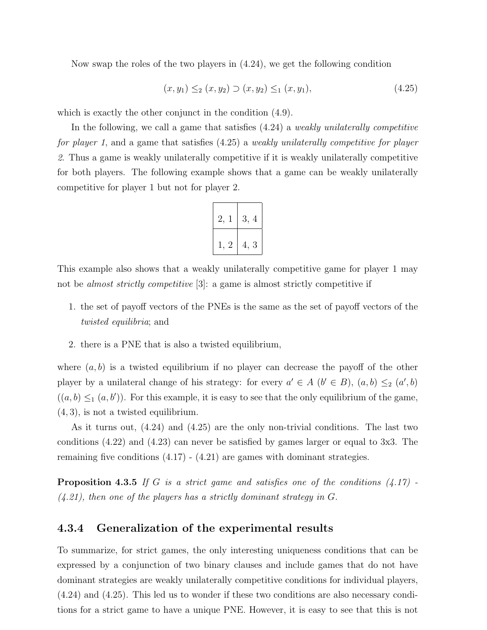Now swap the roles of the two players in (4.24), we get the following condition

$$
(x, y_1) \leq_2 (x, y_2) \supset (x, y_2) \leq_1 (x, y_1), \tag{4.25}
$$

which is exactly the other conjunct in the condition  $(4.9)$ .

In the following, we call a game that satisfies  $(4.24)$  a *weakly unilaterally competitive* for player 1, and a game that satisfies (4.25) a weakly unilaterally competitive for player 2. Thus a game is weakly unilaterally competitive if it is weakly unilaterally competitive for both players. The following example shows that a game can be weakly unilaterally competitive for player 1 but not for player 2.

| 2.<br>1    | 3, 4 |
|------------|------|
| $1\quad 2$ | 4, 3 |

This example also shows that a weakly unilaterally competitive game for player 1 may not be *almost strictly competitive* [3]: a game is almost strictly competitive if

- 1. the set of payoff vectors of the PNEs is the same as the set of payoff vectors of the twisted equilibria; and
- 2. there is a PNE that is also a twisted equilibrium,

where  $(a, b)$  is a twisted equilibrium if no player can decrease the payoff of the other player by a unilateral change of his strategy: for every  $a' \in A$   $(b' \in B)$ ,  $(a, b) \leq a'$ ,  $(b)$  $((a, b) \leq_1 (a, b'))$ . For this example, it is easy to see that the only equilibrium of the game, (4, 3), is not a twisted equilibrium.

As it turns out, (4.24) and (4.25) are the only non-trivial conditions. The last two conditions (4.22) and (4.23) can never be satisfied by games larger or equal to 3x3. The remaining five conditions  $(4.17)$  -  $(4.21)$  are games with dominant strategies.

**Proposition 4.3.5** If G is a strict game and satisfies one of the conditions  $(4.17)$  $(4.21)$ , then one of the players has a strictly dominant strategy in G.

### 4.3.4 Generalization of the experimental results

To summarize, for strict games, the only interesting uniqueness conditions that can be expressed by a conjunction of two binary clauses and include games that do not have dominant strategies are weakly unilaterally competitive conditions for individual players, (4.24) and (4.25). This led us to wonder if these two conditions are also necessary conditions for a strict game to have a unique PNE. However, it is easy to see that this is not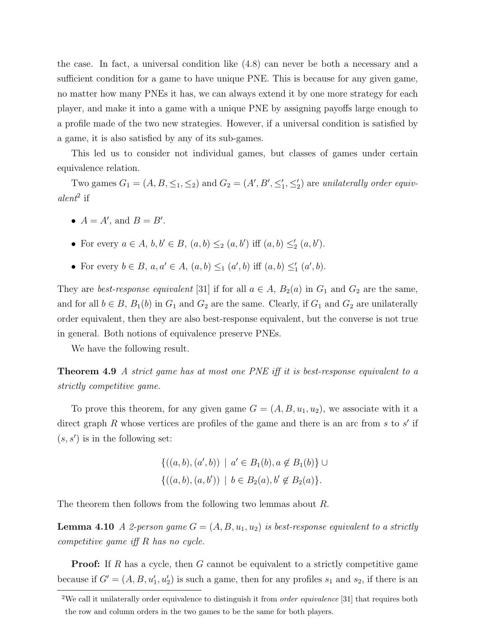the case. In fact, a universal condition like (4.8) can never be both a necessary and a sufficient condition for a game to have unique PNE. This is because for any given game, no matter how many PNEs it has, we can always extend it by one more strategy for each player, and make it into a game with a unique PNE by assigning payoffs large enough to a profile made of the two new strategies. However, if a universal condition is satisfied by a game, it is also satisfied by any of its sub-games.

This led us to consider not individual games, but classes of games under certain equivalence relation.

Two games  $G_1 = (A, B, \leq_1, \leq_2)$  and  $G_2 = (A', B', \leq'_1, \leq'_2)$  are unilaterally order equiv- $\alpha lent^2$  if

- $A = A'$ , and  $B = B'$ .
- For every  $a \in A, b, b' \in B, (a, b) \leq_2 (a, b')$  iff  $(a, b) \leq_2 (a, b')$ .
- For every  $b \in B$ ,  $a, a' \in A$ ,  $(a, b) \leq_1 (a', b)$  iff  $(a, b) \leq'_1 (a', b)$ .

They are *best-response equivalent* [31] if for all  $a \in A$ ,  $B_2(a)$  in  $G_1$  and  $G_2$  are the same, and for all  $b \in B$ ,  $B_1(b)$  in  $G_1$  and  $G_2$  are the same. Clearly, if  $G_1$  and  $G_2$  are unilaterally order equivalent, then they are also best-response equivalent, but the converse is not true in general. Both notions of equivalence preserve PNEs.

We have the following result.

**Theorem 4.9** A strict game has at most one PNE iff it is best-response equivalent to a strictly competitive game.

To prove this theorem, for any given game  $G = (A, B, u_1, u_2)$ , we associate with it a direct graph R whose vertices are profiles of the game and there is an arc from s to  $s'$  if  $(s, s')$  is in the following set:

$$
\{((a, b), (a', b)) \mid a' \in B_1(b), a \notin B_1(b)\} \cup \{((a, b), (a, b')) \mid b \in B_2(a), b' \notin B_2(a)\}.
$$

The theorem then follows from the following two lemmas about R.

**Lemma 4.10** A 2-person game  $G = (A, B, u_1, u_2)$  is best-response equivalent to a strictly competitive game iff R has no cycle.

**Proof:** If R has a cycle, then G cannot be equivalent to a strictly competitive game because if  $G' = (A, B, u'_1, u'_2)$  is such a game, then for any profiles  $s_1$  and  $s_2$ , if there is an

<sup>&</sup>lt;sup>2</sup>We call it unilaterally order equivalence to distinguish it from *order equivalence* [31] that requires both the row and column orders in the two games to be the same for both players.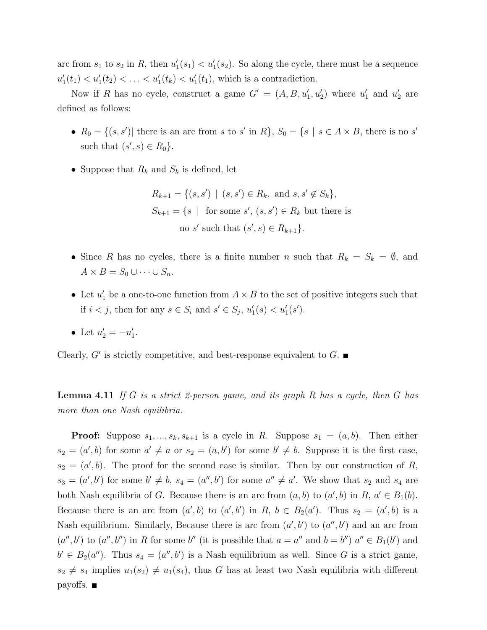arc from  $s_1$  to  $s_2$  in R, then  $u'_1(s_1) < u'_1(s_2)$ . So along the cycle, there must be a sequence  $u'_1(t_1) < u'_1(t_2) < \ldots < u'_1(t_k) < u'_1(t_1)$ , which is a contradiction.

Now if R has no cycle, construct a game  $G' = (A, B, u'_1, u'_2)$  where  $u'_1$  and  $u'_2$  are defined as follows:

- $R_0 = \{(s, s')|$  there is an arc from s to s' in R,  $S_0 = \{s \mid s \in A \times B$ , there is no s' such that  $(s', s) \in R_0$ .
- Suppose that  $R_k$  and  $S_k$  is defined, let

$$
R_{k+1} = \{(s, s') \mid (s, s') \in R_k, \text{ and } s, s' \notin S_k\},
$$
  

$$
S_{k+1} = \{s \mid \text{ for some } s', (s, s') \in R_k \text{ but there is}
$$
  
no s' such that  $(s', s) \in R_{k+1}\}.$ 

- Since R has no cycles, there is a finite number n such that  $R_k = S_k = \emptyset$ , and  $A \times B = S_0 \cup \cdots \cup S_n.$
- Let  $u'_1$  be a one-to-one function from  $A \times B$  to the set of positive integers such that if  $i < j$ , then for any  $s \in S_i$  and  $s' \in S_j$ ,  $u'_1(s) < u'_1(s')$ .

• Let 
$$
u'_2 = -u'_1
$$
.

Clearly,  $G'$  is strictly competitive, and best-response equivalent to  $G$ .

**Lemma 4.11** If G is a strict 2-person game, and its graph R has a cycle, then G has more than one Nash equilibria.

**Proof:** Suppose  $s_1, ..., s_k, s_{k+1}$  is a cycle in R. Suppose  $s_1 = (a, b)$ . Then either  $s_2 = (a', b)$  for some  $a' \neq a$  or  $s_2 = (a, b')$  for some  $b' \neq b$ . Suppose it is the first case,  $s_2 = (a', b)$ . The proof for the second case is similar. Then by our construction of R,  $s_3 = (a', b')$  for some  $b' \neq b$ ,  $s_4 = (a'', b')$  for some  $a'' \neq a'$ . We show that  $s_2$  and  $s_4$  are both Nash equilibria of G. Because there is an arc from  $(a, b)$  to  $(a', b)$  in  $R, a' \in B_1(b)$ . Because there is an arc from  $(a', b)$  to  $(a', b')$  in R,  $b \in B_2(a')$ . Thus  $s_2 = (a', b)$  is a Nash equilibrium. Similarly, Because there is arc from  $(a', b')$  to  $(a'', b')$  and an arc from  $(a'', b')$  to  $(a'', b'')$  in R for some b'' (it is possible that  $a = a''$  and  $b = b''$ )  $a'' \in B_1(b')$  and  $b' \in B_2(a'')$ . Thus  $s_4 = (a'', b')$  is a Nash equilibrium as well. Since G is a strict game,  $s_2 \neq s_4$  implies  $u_1(s_2) \neq u_1(s_4)$ , thus G has at least two Nash equilibria with different payoffs.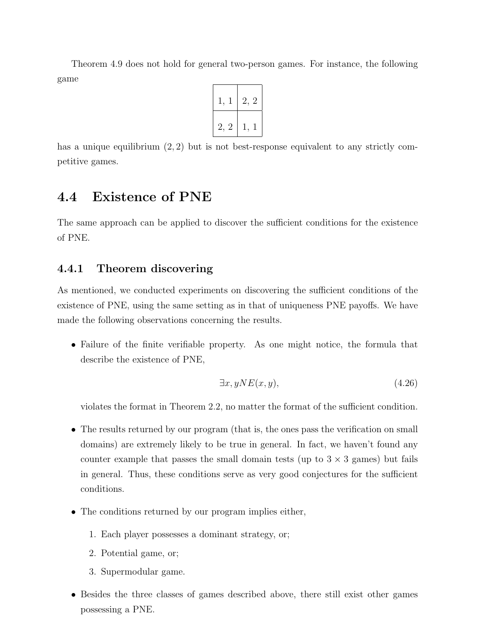Theorem 4.9 does not hold for general two-person games. For instance, the following game



has a unique equilibrium  $(2, 2)$  but is not best-response equivalent to any strictly competitive games.

## 4.4 Existence of PNE

The same approach can be applied to discover the sufficient conditions for the existence of PNE.

### 4.4.1 Theorem discovering

As mentioned, we conducted experiments on discovering the sufficient conditions of the existence of PNE, using the same setting as in that of uniqueness PNE payoffs. We have made the following observations concerning the results.

• Failure of the finite verifiable property. As one might notice, the formula that describe the existence of PNE,

$$
\exists x, yNE(x, y), \tag{4.26}
$$

violates the format in Theorem 2.2, no matter the format of the sufficient condition.

- The results returned by our program (that is, the ones pass the verification on small domains) are extremely likely to be true in general. In fact, we haven't found any counter example that passes the small domain tests (up to  $3 \times 3$  games) but fails in general. Thus, these conditions serve as very good conjectures for the sufficient conditions.
- The conditions returned by our program implies either,
	- 1. Each player possesses a dominant strategy, or;
	- 2. Potential game, or;
	- 3. Supermodular game.
- Besides the three classes of games described above, there still exist other games possessing a PNE.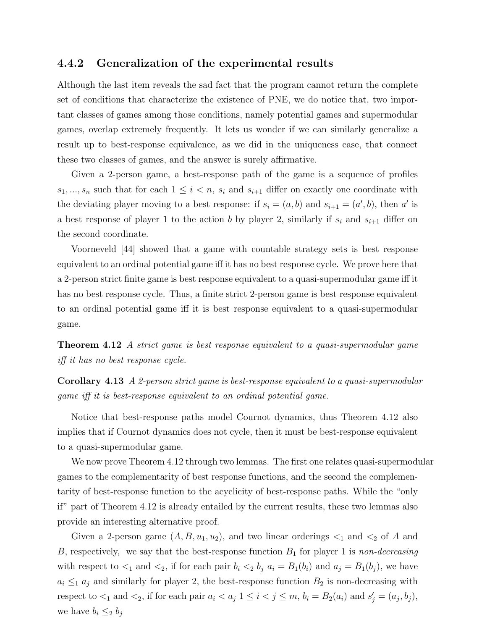#### 4.4.2 Generalization of the experimental results

Although the last item reveals the sad fact that the program cannot return the complete set of conditions that characterize the existence of PNE, we do notice that, two important classes of games among those conditions, namely potential games and supermodular games, overlap extremely frequently. It lets us wonder if we can similarly generalize a result up to best-response equivalence, as we did in the uniqueness case, that connect these two classes of games, and the answer is surely affirmative.

Given a 2-person game, a best-response path of the game is a sequence of profiles  $s_1, ..., s_n$  such that for each  $1 \leq i < n$ ,  $s_i$  and  $s_{i+1}$  differ on exactly one coordinate with the deviating player moving to a best response: if  $s_i = (a, b)$  and  $s_{i+1} = (a', b)$ , then a' is a best response of player 1 to the action b by player 2, similarly if  $s_i$  and  $s_{i+1}$  differ on the second coordinate.

Voorneveld [44] showed that a game with countable strategy sets is best response equivalent to an ordinal potential game iff it has no best response cycle. We prove here that a 2-person strict finite game is best response equivalent to a quasi-supermodular game iff it has no best response cycle. Thus, a finite strict 2-person game is best response equivalent to an ordinal potential game iff it is best response equivalent to a quasi-supermodular game.

**Theorem 4.12** A strict game is best response equivalent to a quasi-supermodular game iff it has no best response cycle.

Corollary 4.13 A 2-person strict game is best-response equivalent to a quasi-supermodular game iff it is best-response equivalent to an ordinal potential game.

Notice that best-response paths model Cournot dynamics, thus Theorem 4.12 also implies that if Cournot dynamics does not cycle, then it must be best-response equivalent to a quasi-supermodular game.

We now prove Theorem 4.12 through two lemmas. The first one relates quasi-supermodular games to the complementarity of best response functions, and the second the complementarity of best-response function to the acyclicity of best-response paths. While the "only if" part of Theorem 4.12 is already entailed by the current results, these two lemmas also provide an interesting alternative proof.

Given a 2-person game  $(A, B, u_1, u_2)$ , and two linear orderings  $\lt_1$  and  $\lt_2$  of A and B, respectively, we say that the best-response function  $B_1$  for player 1 is non-decreasing with respect to  $\lt_1$  and  $\lt_2$ , if for each pair  $b_i \lt_2 b_j$   $a_i = B_1(b_i)$  and  $a_j = B_1(b_j)$ , we have  $a_i \leq_1 a_j$  and similarly for player 2, the best-response function  $B_2$  is non-decreasing with respect to  $\lt_1$  and  $\lt_2$ , if for each pair  $a_i < a_j$   $1 \leq i \leq j \leq m$ ,  $b_i = B_2(a_i)$  and  $s'_j = (a_j, b_j)$ , we have  $b_i \leq_2 b_j$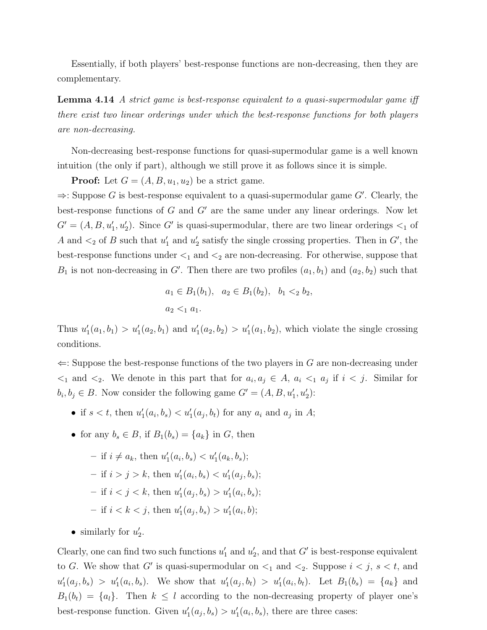Essentially, if both players' best-response functions are non-decreasing, then they are complementary.

**Lemma 4.14** A strict game is best-response equivalent to a quasi-supermodular game iff there exist two linear orderings under which the best-response functions for both players are non-decreasing.

Non-decreasing best-response functions for quasi-supermodular game is a well known intuition (the only if part), although we still prove it as follows since it is simple.

**Proof:** Let  $G = (A, B, u_1, u_2)$  be a strict game.

 $\Rightarrow$ : Suppose G is best-response equivalent to a quasi-supermodular game G'. Clearly, the best-response functions of  $G$  and  $G'$  are the same under any linear orderings. Now let  $G' = (A, B, u'_1, u'_2)$ . Since G' is quasi-supermodular, there are two linear orderings  $\lt_1$  of A and  $\lt_2$  of B such that  $u'_1$  and  $u'_2$  satisfy the single crossing properties. Then in G', the best-response functions under  $\leq_1$  and  $\leq_2$  are non-decreasing. For otherwise, suppose that  $B_1$  is not non-decreasing in G'. Then there are two profiles  $(a_1, b_1)$  and  $(a_2, b_2)$  such that

$$
a_1 \in B_1(b_1)
$$
,  $a_2 \in B_1(b_2)$ ,  $b_1 <_2 b_2$ ,  
 $a_2 <_1 a_1$ .

Thus  $u'_1(a_1, b_1) > u'_1(a_2, b_1)$  and  $u'_1(a_2, b_2) > u'_1(a_1, b_2)$ , which violate the single crossing conditions.

 $\Leftarrow$ : Suppose the best-response functions of the two players in G are non-decreasing under  $\leq_1$  and  $\leq_2$ . We denote in this part that for  $a_i, a_j \in A$ ,  $a_i \leq_1 a_j$  if  $i \leq j$ . Similar for  $b_i, b_j \in B$ . Now consider the following game  $G' = (A, B, u'_1, u'_2)$ :

- if  $s < t$ , then  $u'_1(a_i, b_s) < u'_1(a_j, b_t)$  for any  $a_i$  and  $a_j$  in A;
- for any  $b_s \in B$ , if  $B_1(b_s) = \{a_k\}$  in G, then
	- $-$  if  $i \neq a_k$ , then  $u'_1(a_i, b_s) < u'_1(a_k, b_s);$
	- $-$  if  $i > j > k$ , then  $u'_1(a_i, b_s) < u'_1(a_j, b_s)$ ;
	- $-$  if  $i < j < k$ , then  $u'_1(a_j, b_s) > u'_1(a_i, b_s)$ ;
	- if  $i < k < j$ , then  $u'_1(a_j, b_s) > u'_1(a_i, b)$ ;
- similarly for  $u'_2$ .

Clearly, one can find two such functions  $u'_1$  and  $u'_2$ , and that G' is best-response equivalent to G. We show that G' is quasi-supermodular on  $\leq_1$  and  $\leq_2$ . Suppose  $i \leq j$ ,  $s \leq t$ , and  $u'_1(a_j, b_s) > u'_1(a_i, b_s)$ . We show that  $u'_1(a_j, b_t) > u'_1(a_i, b_t)$ . Let  $B_1(b_s) = \{a_k\}$  and  $B_1(b_t) = \{a_i\}.$  Then  $k \leq l$  according to the non-decreasing property of player one's best-response function. Given  $u'_1(a_j, b_s) > u'_1(a_i, b_s)$ , there are three cases: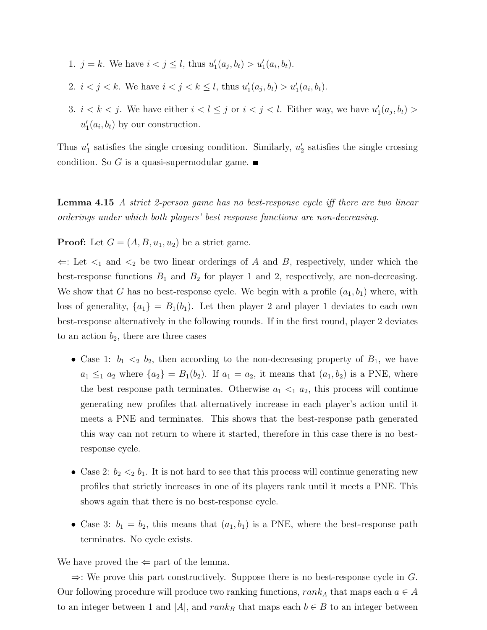- 1.  $j = k$ . We have  $i < j \leq l$ , thus  $u'_1(a_j, b_t) > u'_1(a_i, b_t)$ .
- 2.  $i < j < k$ . We have  $i < j < k \leq l$ , thus  $u'_1(a_j, b_t) > u'_1(a_i, b_t)$ .
- 3.  $i < k < j$ . We have either  $i < l \leq j$  or  $i < j < l$ . Either way, we have  $u'_1(a_j, b_t) >$  $u'_1(a_i, b_t)$  by our construction.

Thus  $u'_1$  satisfies the single crossing condition. Similarly,  $u'_2$  satisfies the single crossing condition. So G is a quasi-supermodular game.  $\blacksquare$ 

Lemma 4.15 A strict 2-person game has no best-response cycle iff there are two linear orderings under which both players' best response functions are non-decreasing.

**Proof:** Let  $G = (A, B, u_1, u_2)$  be a strict game.

 $\Leftarrow$ : Let  $\lt_1$  and  $\lt_2$  be two linear orderings of A and B, respectively, under which the best-response functions  $B_1$  and  $B_2$  for player 1 and 2, respectively, are non-decreasing. We show that G has no best-response cycle. We begin with a profile  $(a_1, b_1)$  where, with loss of generality,  ${a_1} = B_1(b_1)$ . Let then player 2 and player 1 deviates to each own best-response alternatively in the following rounds. If in the first round, player 2 deviates to an action  $b_2$ , there are three cases

- Case 1:  $b_1 \leq_2 b_2$ , then according to the non-decreasing property of  $B_1$ , we have  $a_1 \leq_1 a_2$  where  $\{a_2\} = B_1(b_2)$ . If  $a_1 = a_2$ , it means that  $(a_1, b_2)$  is a PNE, where the best response path terminates. Otherwise  $a_1 \leq_1 a_2$ , this process will continue generating new profiles that alternatively increase in each player's action until it meets a PNE and terminates. This shows that the best-response path generated this way can not return to where it started, therefore in this case there is no bestresponse cycle.
- Case 2:  $b_2 <sub>2</sub> b_1$ . It is not hard to see that this process will continue generating new profiles that strictly increases in one of its players rank until it meets a PNE. This shows again that there is no best-response cycle.
- Case 3:  $b_1 = b_2$ , this means that  $(a_1, b_1)$  is a PNE, where the best-response path terminates. No cycle exists.

We have proved the  $\Leftarrow$  part of the lemma.

 $\Rightarrow$ : We prove this part constructively. Suppose there is no best-response cycle in G. Our following procedure will produce two ranking functions,  $rank_A$  that maps each  $a \in A$ to an integer between 1 and |A|, and  $rank_B$  that maps each  $b \in B$  to an integer between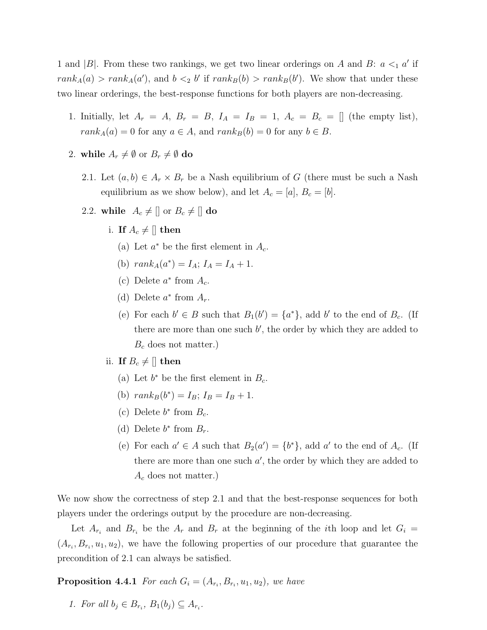1 and |B|. From these two rankings, we get two linear orderings on A and B:  $a \leq_1 a'$  if  $rank_A(a) > rank_A(a')$ , and  $b <_2 b'$  if  $rank_B(b) > rank_B(b')$ . We show that under these two linear orderings, the best-response functions for both players are non-decreasing.

- 1. Initially, let  $A_r = A$ ,  $B_r = B$ ,  $I_A = I_B = 1$ ,  $A_c = B_c = []$  (the empty list),  $rank_A(a) = 0$  for any  $a \in A$ , and  $rank_B(b) = 0$  for any  $b \in B$ .
- 2. while  $A_r \neq \emptyset$  or  $B_r \neq \emptyset$  do
	- 2.1. Let  $(a, b) \in A_r \times B_r$  be a Nash equilibrium of G (there must be such a Nash equilibrium as we show below), and let  $A_c = [a], B_c = [b].$
	- 2.2. while  $A_c \neq []$  or  $B_c \neq []$  do
		- i. If  $A_c \neq ||$  then
			- (a) Let  $a^*$  be the first element in  $A_c$ .
			- (b)  $rank_A(a^*) = I_A; I_A = I_A + 1.$
			- (c) Delete  $a^*$  from  $A_c$ .
			- (d) Delete  $a^*$  from  $A_r$ .
			- (e) For each  $b' \in B$  such that  $B_1(b') = \{a^*\}$ , add b' to the end of  $B_c$ . (If there are more than one such  $b'$ , the order by which they are added to  $B_c$  does not matter.)
		- ii. If  $B_c \neq []$  then
			- (a) Let  $b^*$  be the first element in  $B_c$ .
			- (b)  $rank_B(b^*) = I_B$ ;  $I_B = I_B + 1$ .
			- (c) Delete  $b^*$  from  $B_c$ .
			- (d) Delete  $b^*$  from  $B_r$ .
			- (e) For each  $a' \in A$  such that  $B_2(a') = \{b^*\}$ , add  $a'$  to the end of  $A_c$ . (If there are more than one such  $a'$ , the order by which they are added to  $A_c$  does not matter.)

We now show the correctness of step 2.1 and that the best-response sequences for both players under the orderings output by the procedure are non-decreasing.

Let  $A_{r_i}$  and  $B_{r_i}$  be the  $A_r$  and  $B_r$  at the beginning of the *i*th loop and let  $G_i =$  $(A_{r_i}, B_{r_i}, u_1, u_2)$ , we have the following properties of our procedure that guarantee the precondition of 2.1 can always be satisfied.

**Proposition 4.4.1** For each  $G_i = (A_{r_i}, B_{r_i}, u_1, u_2)$ , we have

1. For all  $b_j \in B_{r_i}$ ,  $B_1(b_j) \subseteq A_{r_i}$ .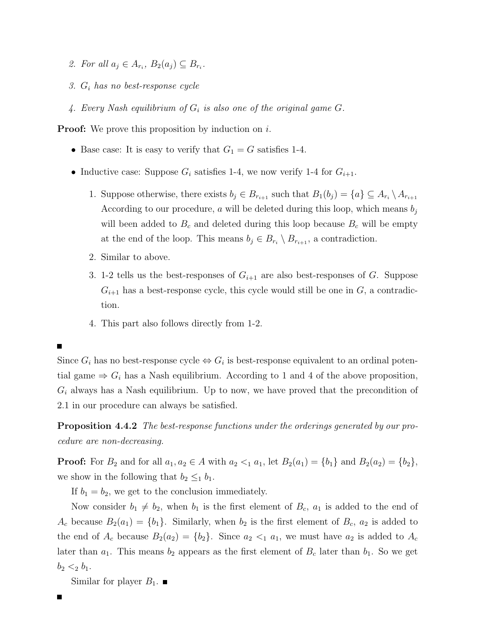- 2. For all  $a_j \in A_{r_i}$ ,  $B_2(a_j) \subseteq B_{r_i}$ .
- 3.  $G_i$  has no best-response cycle
- 4. Every Nash equilibrium of  $G_i$  is also one of the original game  $G$ .

**Proof:** We prove this proposition by induction on  $i$ .

- Base case: It is easy to verify that  $G_1 = G$  satisfies 1-4.
- Inductive case: Suppose  $G_i$  satisfies 1-4, we now verify 1-4 for  $G_{i+1}$ .
	- 1. Suppose otherwise, there exists  $b_j \in B_{r_{i+1}}$  such that  $B_1(b_j) = \{a\} \subseteq A_{r_i} \setminus A_{r_{i+1}}$ According to our procedure, a will be deleted during this loop, which means  $b_j$ will been added to  $B_c$  and deleted during this loop because  $B_c$  will be empty at the end of the loop. This means  $b_j \in B_{r_i} \setminus B_{r_{i+1}},$  a contradiction.
	- 2. Similar to above.
	- 3. 1-2 tells us the best-responses of  $G_{i+1}$  are also best-responses of G. Suppose  $G_{i+1}$  has a best-response cycle, this cycle would still be one in  $G$ , a contradiction.
	- 4. This part also follows directly from 1-2.

Since  $G_i$  has no best-response cycle  $\Leftrightarrow G_i$  is best-response equivalent to an ordinal potential game  $\Rightarrow G_i$  has a Nash equilibrium. According to 1 and 4 of the above proposition,  $G_i$  always has a Nash equilibrium. Up to now, we have proved that the precondition of 2.1 in our procedure can always be satisfied.

Proposition 4.4.2 The best-response functions under the orderings generated by our procedure are non-decreasing.

**Proof:** For  $B_2$  and for all  $a_1, a_2 \in A$  with  $a_2 <_1 a_1$ , let  $B_2(a_1) = \{b_1\}$  and  $B_2(a_2) = \{b_2\}$ , we show in the following that  $b_2 \leq_1 b_1$ .

If  $b_1 = b_2$ , we get to the conclusion immediately.

Now consider  $b_1 \neq b_2$ , when  $b_1$  is the first element of  $B_c$ ,  $a_1$  is added to the end of  $A_c$  because  $B_2(a_1) = \{b_1\}$ . Similarly, when  $b_2$  is the first element of  $B_c$ ,  $a_2$  is added to the end of  $A_c$  because  $B_2(a_2) = \{b_2\}$ . Since  $a_2 <_1 a_1$ , we must have  $a_2$  is added to  $A_c$ later than  $a_1$ . This means  $b_2$  appears as the first element of  $B_c$  later than  $b_1$ . So we get  $b_2 <_2 b_1$ .

Similar for player  $B_1$ .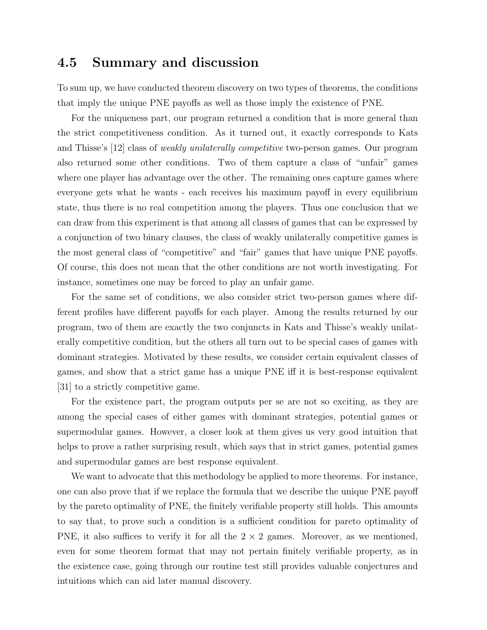### 4.5 Summary and discussion

To sum up, we have conducted theorem discovery on two types of theorems, the conditions that imply the unique PNE payoffs as well as those imply the existence of PNE.

For the uniqueness part, our program returned a condition that is more general than the strict competitiveness condition. As it turned out, it exactly corresponds to Kats and Thisse's [12] class of weakly unilaterally competitive two-person games. Our program also returned some other conditions. Two of them capture a class of "unfair" games where one player has advantage over the other. The remaining ones capture games where everyone gets what he wants - each receives his maximum payoff in every equilibrium state, thus there is no real competition among the players. Thus one conclusion that we can draw from this experiment is that among all classes of games that can be expressed by a conjunction of two binary clauses, the class of weakly unilaterally competitive games is the most general class of "competitive" and "fair" games that have unique PNE payoffs. Of course, this does not mean that the other conditions are not worth investigating. For instance, sometimes one may be forced to play an unfair game.

For the same set of conditions, we also consider strict two-person games where different profiles have different payoffs for each player. Among the results returned by our program, two of them are exactly the two conjuncts in Kats and Thisse's weakly unilaterally competitive condition, but the others all turn out to be special cases of games with dominant strategies. Motivated by these results, we consider certain equivalent classes of games, and show that a strict game has a unique PNE iff it is best-response equivalent [31] to a strictly competitive game.

For the existence part, the program outputs per se are not so exciting, as they are among the special cases of either games with dominant strategies, potential games or supermodular games. However, a closer look at them gives us very good intuition that helps to prove a rather surprising result, which says that in strict games, potential games and supermodular games are best response equivalent.

We want to advocate that this methodology be applied to more theorems. For instance, one can also prove that if we replace the formula that we describe the unique PNE payoff by the pareto optimality of PNE, the finitely verifiable property still holds. This amounts to say that, to prove such a condition is a sufficient condition for pareto optimality of PNE, it also suffices to verify it for all the  $2 \times 2$  games. Moreover, as we mentioned, even for some theorem format that may not pertain finitely verifiable property, as in the existence case, going through our routine test still provides valuable conjectures and intuitions which can aid later manual discovery.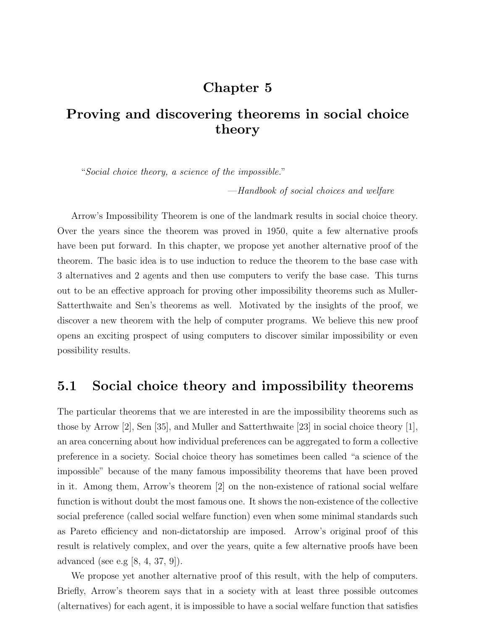# Chapter 5

# Proving and discovering theorems in social choice theory

"Social choice theory, a science of the impossible."

—Handbook of social choices and welfare

Arrow's Impossibility Theorem is one of the landmark results in social choice theory. Over the years since the theorem was proved in 1950, quite a few alternative proofs have been put forward. In this chapter, we propose yet another alternative proof of the theorem. The basic idea is to use induction to reduce the theorem to the base case with 3 alternatives and 2 agents and then use computers to verify the base case. This turns out to be an effective approach for proving other impossibility theorems such as Muller-Satterthwaite and Sen's theorems as well. Motivated by the insights of the proof, we discover a new theorem with the help of computer programs. We believe this new proof opens an exciting prospect of using computers to discover similar impossibility or even possibility results.

### 5.1 Social choice theory and impossibility theorems

The particular theorems that we are interested in are the impossibility theorems such as those by Arrow [2], Sen [35], and Muller and Satterthwaite [23] in social choice theory [1], an area concerning about how individual preferences can be aggregated to form a collective preference in a society. Social choice theory has sometimes been called "a science of the impossible" because of the many famous impossibility theorems that have been proved in it. Among them, Arrow's theorem [2] on the non-existence of rational social welfare function is without doubt the most famous one. It shows the non-existence of the collective social preference (called social welfare function) even when some minimal standards such as Pareto efficiency and non-dictatorship are imposed. Arrow's original proof of this result is relatively complex, and over the years, quite a few alternative proofs have been advanced (see e.g [8, 4, 37, 9]).

We propose yet another alternative proof of this result, with the help of computers. Briefly, Arrow's theorem says that in a society with at least three possible outcomes (alternatives) for each agent, it is impossible to have a social welfare function that satisfies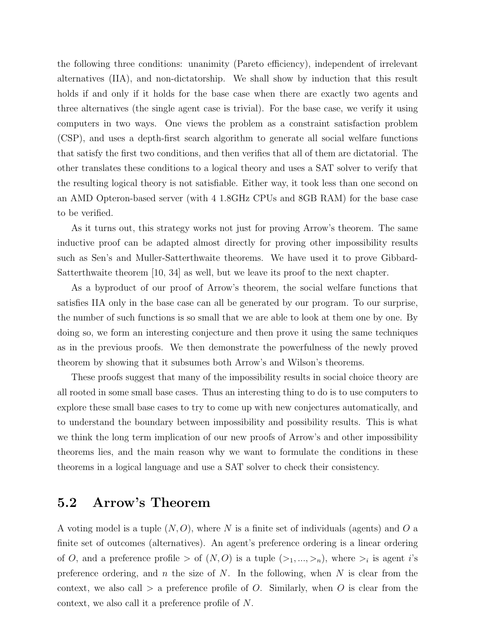the following three conditions: unanimity (Pareto efficiency), independent of irrelevant alternatives (IIA), and non-dictatorship. We shall show by induction that this result holds if and only if it holds for the base case when there are exactly two agents and three alternatives (the single agent case is trivial). For the base case, we verify it using computers in two ways. One views the problem as a constraint satisfaction problem (CSP), and uses a depth-first search algorithm to generate all social welfare functions that satisfy the first two conditions, and then verifies that all of them are dictatorial. The other translates these conditions to a logical theory and uses a SAT solver to verify that the resulting logical theory is not satisfiable. Either way, it took less than one second on an AMD Opteron-based server (with 4 1.8GHz CPUs and 8GB RAM) for the base case to be verified.

As it turns out, this strategy works not just for proving Arrow's theorem. The same inductive proof can be adapted almost directly for proving other impossibility results such as Sen's and Muller-Satterthwaite theorems. We have used it to prove Gibbard-Satterthwaite theorem [10, 34] as well, but we leave its proof to the next chapter.

As a byproduct of our proof of Arrow's theorem, the social welfare functions that satisfies IIA only in the base case can all be generated by our program. To our surprise, the number of such functions is so small that we are able to look at them one by one. By doing so, we form an interesting conjecture and then prove it using the same techniques as in the previous proofs. We then demonstrate the powerfulness of the newly proved theorem by showing that it subsumes both Arrow's and Wilson's theorems.

These proofs suggest that many of the impossibility results in social choice theory are all rooted in some small base cases. Thus an interesting thing to do is to use computers to explore these small base cases to try to come up with new conjectures automatically, and to understand the boundary between impossibility and possibility results. This is what we think the long term implication of our new proofs of Arrow's and other impossibility theorems lies, and the main reason why we want to formulate the conditions in these theorems in a logical language and use a SAT solver to check their consistency.

### 5.2 Arrow's Theorem

A voting model is a tuple  $(N, O)$ , where N is a finite set of individuals (agents) and O a finite set of outcomes (alternatives). An agent's preference ordering is a linear ordering of O, and a preference profile  $>$  of  $(N, O)$  is a tuple  $(\geq_1, ..., \geq_n)$ , where  $\geq_i$  is agent i's preference ordering, and n the size of  $N$ . In the following, when  $N$  is clear from the context, we also call  $>$  a preference profile of O. Similarly, when O is clear from the context, we also call it a preference profile of N.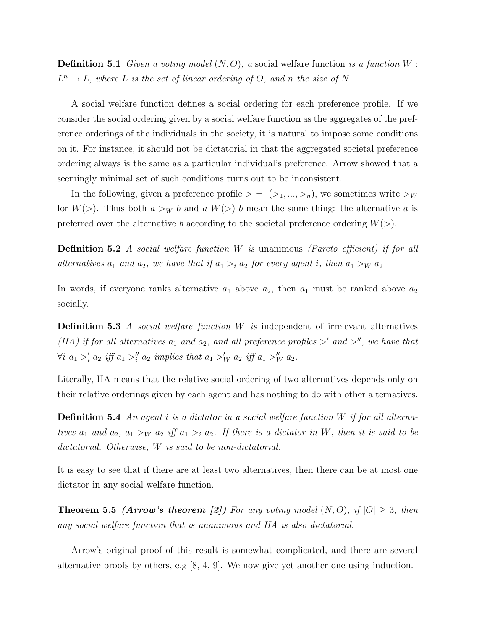**Definition 5.1** Given a voting model  $(N, O)$ , a social welfare function is a function  $W$ :  $L^n \to L$ , where L is the set of linear ordering of O, and n the size of N.

A social welfare function defines a social ordering for each preference profile. If we consider the social ordering given by a social welfare function as the aggregates of the preference orderings of the individuals in the society, it is natural to impose some conditions on it. For instance, it should not be dictatorial in that the aggregated societal preference ordering always is the same as a particular individual's preference. Arrow showed that a seemingly minimal set of such conditions turns out to be inconsistent.

In the following, given a preference profile  $\geq$  =  $(\geq_1, ..., \geq_n)$ , we sometimes write  $\geq_W$ for  $W(\ge)$ . Thus both  $a >_W b$  and  $a W(\ge) b$  mean the same thing: the alternative a is preferred over the alternative b according to the societal preference ordering  $W(>)$ .

**Definition 5.2** A social welfare function  $W$  is unanimous (Pareto efficient) if for all alternatives  $a_1$  and  $a_2$ , we have that if  $a_1 >_i a_2$  for every agent i, then  $a_1 >_W a_2$ 

In words, if everyone ranks alternative  $a_1$  above  $a_2$ , then  $a_1$  must be ranked above  $a_2$ socially.

**Definition 5.3** A social welfare function  $W$  is independent of irrelevant alternatives (IIA) if for all alternatives  $a_1$  and  $a_2$ , and all preference profiles  $>^{\prime}$  and  $>^{\prime\prime}$ , we have that  $\forall i \ a_1 >'_i a_2 \ if \ a_1 >''_i a_2 \ implies \ that \ a_1 >'_W a_2 \ if \ a_1 >''_W a_2.$ 

Literally, IIA means that the relative social ordering of two alternatives depends only on their relative orderings given by each agent and has nothing to do with other alternatives.

**Definition 5.4** An agent i is a dictator in a social welfare function W if for all alternatives  $a_1$  and  $a_2$ ,  $a_1 >_W a_2$  iff  $a_1 >_i a_2$ . If there is a dictator in W, then it is said to be dictatorial. Otherwise, W is said to be non-dictatorial.

It is easy to see that if there are at least two alternatives, then there can be at most one dictator in any social welfare function.

**Theorem 5.5 (Arrow's theorem [2])** For any voting model  $(N, O)$ , if  $|O| \geq 3$ , then any social welfare function that is unanimous and IIA is also dictatorial.

Arrow's original proof of this result is somewhat complicated, and there are several alternative proofs by others, e.g [8, 4, 9]. We now give yet another one using induction.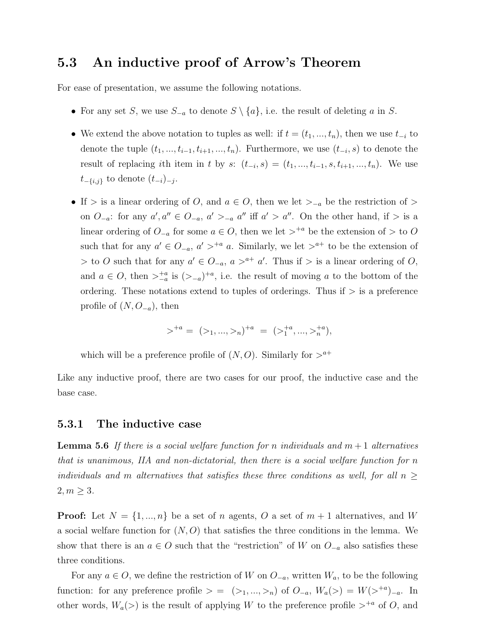### 5.3 An inductive proof of Arrow's Theorem

For ease of presentation, we assume the following notations.

- For any set S, we use  $S_{-a}$  to denote  $S \setminus \{a\}$ , i.e. the result of deleting a in S.
- We extend the above notation to tuples as well: if  $t = (t_1, ..., t_n)$ , then we use  $t_{-i}$  to denote the tuple  $(t_1, ..., t_{i-1}, t_{i+1}, ..., t_n)$ . Furthermore, we use  $(t_{-i}, s)$  to denote the result of replacing ith item in t by s:  $(t_{-i}, s) = (t_1, ..., t_{i-1}, s, t_{i+1}, ..., t_n)$ . We use  $t_{-\{i,j\}}$  to denote  $(t_{-i})_{-j}$ .
- If > is a linear ordering of O, and  $a \in O$ , then we let  $\geq_{-a}$  be the restriction of > on  $O_{-a}$ : for any  $a', a'' \in O_{-a}, a' >_{-a} a''$  iff  $a' > a''$ . On the other hand, if  $>$  is a linear ordering of  $O_{-a}$  for some  $a \in O$ , then we let  $>^{+a}$  be the extension of  $>$  to  $O$ such that for any  $a' \in O_{-a}$ ,  $a' > a a$ . Similarly, we let  $a^{-}$  to be the extension of > to O such that for any  $a' \in O_{-a}$ ,  $a > a^+ a'$ . Thus if > is a linear ordering of O, and  $a \in O$ , then  $\sum_{-a}^{+a}$  is  $(\geq_{-a})^{+a}$ , i.e. the result of moving a to the bottom of the ordering. These notations extend to tuples of orderings. Thus if  $\geq$  is a preference profile of  $(N, O_{-a})$ , then

$$
\gt^{+a} = (>_1, ..., >_n)^{+a} = (>_1^{+a}, ..., >_n^{+a}),
$$

which will be a preference profile of  $(N, O)$ . Similarly for  $>^{a+}$ 

Like any inductive proof, there are two cases for our proof, the inductive case and the base case.

#### 5.3.1 The inductive case

**Lemma 5.6** If there is a social welfare function for n individuals and  $m + 1$  alternatives that is unanimous, IIA and non-dictatorial, then there is a social welfare function for n individuals and m alternatives that satisfies these three conditions as well, for all  $n >$  $2, m \geq 3$ .

**Proof:** Let  $N = \{1, ..., n\}$  be a set of n agents, O a set of  $m + 1$  alternatives, and W a social welfare function for  $(N, O)$  that satisfies the three conditions in the lemma. We show that there is an  $a \in O$  such that the "restriction" of W on  $O_{-a}$  also satisfies these three conditions.

For any  $a \in O$ , we define the restriction of W on  $O_{-a}$ , written  $W_a$ , to be the following function: for any preference profile  $> = (\ge_1, ..., \ge_n)$  of  $O_{-a}$ ,  $W_a(\ge) = W(\ge^{+a})_{-a}$ . In other words,  $W_a$   $\gg$  is the result of applying W to the preference profile  $>^{+a}$  of O, and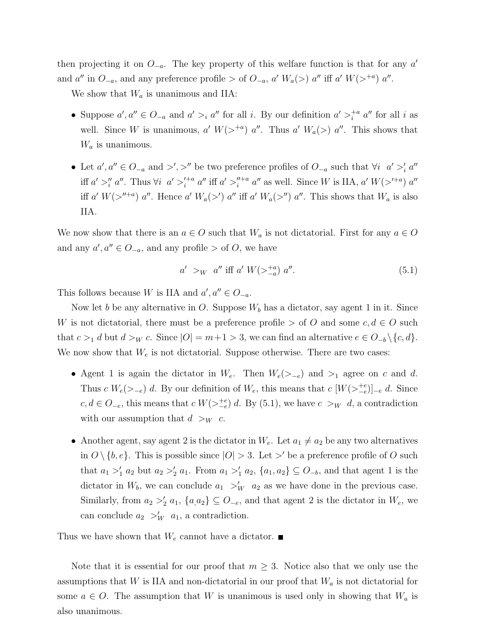then projecting it on  $O_{-a}$ . The key property of this welfare function is that for any  $a'$ and a'' in  $O_{-a}$ , and any preference profile > of  $O_{-a}$ , a'  $W_a(>)$  a'' iff a'  $W(>^{+a})$  a''.

We show that  $W_a$  is unanimous and IIA:

- Suppose  $a', a'' \in O_{-a}$  and  $a' >_i a''$  for all i. By our definition  $a' >_i^{\pm a} a''$  for all i as well. Since W is unanimous, a'  $W(>^{+a})$  a''. Thus a'  $W_a(>)$  a''. This shows that  $W_a$  is unanimous.
- Let  $a', a'' \in O_{-a}$  and  $\geq', \geq''$  be two preference profiles of  $O_{-a}$  such that  $\forall i \ a' >'_i a''$ iff  $a' >''_i a''$ . Thus  $\forall i \ a' >'^{+a}_{i} a''$  iff  $a' >''^{+a}_{i} a''$  as well. Since W is IIA,  $a' W(>^{+a}) a''$ iff a'  $W(\geq^{n+a})$  a". Hence a'  $W_a(\geq')$  a" iff a'  $W_a(\geq'')$  a". This shows that  $W_a$  is also IIA.

We now show that there is an  $a \in O$  such that  $W_a$  is not dictatorial. First for any  $a \in O$ and any  $a', a'' \in O_{-a}$ , and any profile > of O, we have

$$
a' >_W a'' \text{ iff } a' \ W(>\_{a}^{+a}) \ a''. \tag{5.1}
$$

This follows because W is IIA and  $a', a'' \in O_{-a}$ .

Now let b be any alternative in O. Suppose  $W_b$  has a dictator, say agent 1 in it. Since W is not dictatorial, there must be a preference profile  $>$  of O and some  $c, d \in O$  such that  $c >_1 d$  but  $d >_W c$ . Since  $|O| = m+1 > 3$ , we can find an alternative  $e \in O_{-b} \setminus \{c, d\}.$ We now show that  $W_e$  is not dictatorial. Suppose otherwise. There are two cases:

- Agent 1 is again the dictator in  $W_e$ . Then  $W_e(\geq -e)$  and  $\geq 1$  agree on c and d. Thus  $c W_e(\geq_{-e}) d$ . By our definition of  $W_e$ , this means that  $c W_{\geq_{-e}}(W(\geq_{-e}^{+e}))_{-e} d$ . Since  $c, d \in O_{-e}$ , this means that  $c W(>\vert e \vert^e) d$ . By (5.1), we have  $c >_W d$ , a contradiction with our assumption that  $d >_W c$ .
- Another agent, say agent 2 is the dictator in  $W_e$ . Let  $a_1 \neq a_2$  be any two alternatives in  $O \setminus \{b, e\}$ . This is possible since  $|O| > 3$ . Let  $>^{\prime}$  be a preference profile of O such that  $a_1 >'_1 a_2$  but  $a_2 >'_2 a_1$ . From  $a_1 >'_1 a_2$ ,  $\{a_1, a_2\} \subseteq O_{-b}$ , and that agent 1 is the dictator in  $W_b$ , we can conclude  $a_1 >'_W a_2$  as we have done in the previous case. Similarly, from  $a_2 >_2' a_1$ ,  $\{a_1, a_2\} \subseteq O_{-e}$ , and that agent 2 is the dictator in  $W_e$ , we can conclude  $a_2 >_W' a_1$ , a contradiction.

Thus we have shown that  $W_e$  cannot have a dictator.

Note that it is essential for our proof that  $m \geq 3$ . Notice also that we only use the assumptions that W is IIA and non-dictatorial in our proof that  $W_a$  is not dictatorial for some  $a \in O$ . The assumption that W is unanimous is used only in showing that  $W_a$  is also unanimous.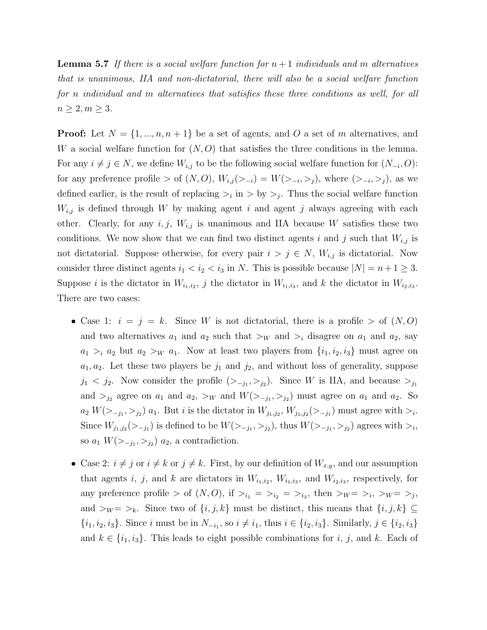**Lemma 5.7** If there is a social welfare function for  $n+1$  individuals and m alternatives that is unanimous, IIA and non-dictatorial, there will also be a social welfare function for n individual and m alternatives that satisfies these three conditions as well, for all  $n \geq 2, m \geq 3.$ 

**Proof:** Let  $N = \{1, ..., n, n+1\}$  be a set of agents, and O a set of m alternatives, and W a social welfare function for  $(N, O)$  that satisfies the three conditions in the lemma. For any  $i \neq j \in N$ , we define  $W_{i,j}$  to be the following social welfare function for  $(N_{-i}, O)$ : for any preference profile > of  $(N, O), W_{i,j}(\geq i,j) = W(\geq i,j),$  where  $(\geq i, \geq j)$ , as we defined earlier, is the result of replacing  $\ge_i$  in  $\ge$  by  $\ge_j$ . Thus the social welfare function  $W_{i,j}$  is defined through W by making agent i and agent j always agreeing with each other. Clearly, for any  $i, j, W_{i,j}$  is unanimous and IIA because W satisfies these two conditions. We now show that we can find two distinct agents i and j such that  $W_{i,j}$  is not dictatorial. Suppose otherwise, for every pair  $i > j \in N$ ,  $W_{i,j}$  is dictatorial. Now consider three distinct agents  $i_1 < i_2 < i_3$  in N. This is possible because  $|N| = n + 1 \ge 3$ . Suppose *i* is the dictator in  $W_{i_1,i_2}, j$  the dictator in  $W_{i_1,i_3}$ , and *k* the dictator in  $W_{i_2,i_3}$ . There are two cases:

- Case 1:  $i = j = k$ . Since W is not dictatorial, there is a profile  $>$  of  $(N, O)$ and two alternatives  $a_1$  and  $a_2$  such that  $\gt_W$  and  $\gt_i$  disagree on  $a_1$  and  $a_2$ , say  $a_1 >_i a_2$  but  $a_2 >_W a_1$ . Now at least two players from  $\{i_1, i_2, i_3\}$  must agree on  $a_1, a_2$ . Let these two players be  $j_1$  and  $j_2$ , and without loss of generality, suppose  $j_1 < j_2$ . Now consider the profile  $(>_{-j_1}, >_{j_2})$ . Since W is IIA, and because  $>_{j_1}$ and  $>_{j_2}$  agree on  $a_1$  and  $a_2$ ,  $>_{W}$  and  $W(\gt_{j_1}, \gt_{j_2})$  must agree on  $a_1$  and  $a_2$ . So  $a_2 W(\gt_{-j_1}, \gt_{j_2})$   $a_1$ . But *i* is the dictator in  $W_{j_1, j_2}, W_{j_1, j_2}(\gt_{-j_1})$  must agree with  $\gt_i$ . Since  $W_{j_1,j_2}(\gt_{-j_1})$  is defined to be  $W(\gt_{-j_1},\gt_{j_2})$ , thus  $W(\gt_{-j_1},\gt_{j_2})$  agrees with  $\gt_i$ , so  $a_1 W(\gt_{-j_1}, \gt_{j_2})$   $a_2$ , a contradiction.
- Case 2:  $i \neq j$  or  $i \neq k$  or  $j \neq k$ . First, by our definition of  $W_{x,y}$ , and our assumption that agents i, j, and k are dictators in  $W_{i_1,i_2}$ ,  $W_{i_1,i_3}$ , and  $W_{i_2,i_3}$ , respectively, for any preference profile > of  $(N, O)$ , if  $>_{i_1} = >_{i_2} = >_{i_3}$ , then  $>_{W} = >_{i_1} >_{W} = >_{j}$ , and  $>_{W} = >_{k}$ . Since two of  $\{i, j, k\}$  must be distinct, this means that  $\{i, j, k\} \subseteq$  $\{i_1, i_2, i_3\}$ . Since i must be in  $N_{-i_1}$ , so  $i \neq i_1$ , thus  $i \in \{i_2, i_3\}$ . Similarly,  $j \in \{i_2, i_3\}$ and  $k \in \{i_1, i_3\}$ . This leads to eight possible combinations for i, j, and k. Each of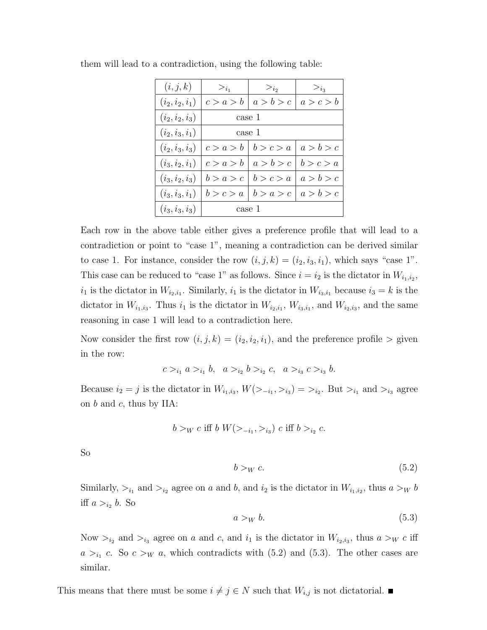| (i, j, k)         | $>_{i_1}$ | $>_{i_2}$ | $>_{i_3}$ |
|-------------------|-----------|-----------|-----------|
| $(i_2, i_2, i_1)$ | c > a > b | a > b > c | a > c > b |
| $(i_2, i_2, i_3)$ | case 1    |           |           |
| $(i_2, i_3, i_1)$ | case 1    |           |           |
| $(i_2, i_3, i_3)$ | c > a > b | b > c > a | a > b > c |
| $(i_3,i_2,i_1)$   | c > a > b | a > b > c | b > c > a |
| $(i_3, i_2, i_3)$ | b > a > c | b > c > a | a > b > c |
| $(i_3,i_3,i_1)$   | b > c > a | b > a > c | a > b > c |
| $(i_3, i_3, i_3)$ | case 1    |           |           |

them will lead to a contradiction, using the following table:

Each row in the above table either gives a preference profile that will lead to a contradiction or point to "case 1", meaning a contradiction can be derived similar to case 1. For instance, consider the row  $(i, j, k) = (i_2, i_3, i_1)$ , which says "case 1". This case can be reduced to "case 1" as follows. Since  $i = i_2$  is the dictator in  $W_{i_1,i_2}$ ,  $i_1$  is the dictator in  $W_{i_2,i_1}$ . Similarly,  $i_1$  is the dictator in  $W_{i_3,i_1}$  because  $i_3 = k$  is the dictator in  $W_{i_1,i_3}$ . Thus  $i_1$  is the dictator in  $W_{i_2,i_1}$ ,  $W_{i_3,i_1}$ , and  $W_{i_2,i_3}$ , and the same reasoning in case 1 will lead to a contradiction here.

Now consider the first row  $(i, j, k) = (i_2, i_2, i_1)$ , and the preference profile  $>$  given in the row:

$$
c >_{i_1} a >_{i_1} b, \quad a >_{i_2} b >_{i_2} c, \quad a >_{i_3} c >_{i_3} b.
$$

Because  $i_2 = j$  is the dictator in  $W_{i_1,i_3}$ ,  $W(\gt_{-i_1}, \gt_{i_3}) = \gt_{i_2}$ . But  $\gt_{i_1}$  and  $\gt_{i_3}$  agree on  $b$  and  $c$ , thus by IIA:

$$
b >_W c
$$
 iff  $b W(>_{-i_1}, >_{i_3}) c$  iff  $b >_{i_2} c$ .

So

$$
b >_W c. \tag{5.2}
$$

Similarly,  $>_{i_1}$  and  $>_{i_2}$  agree on a and b, and  $i_2$  is the dictator in  $W_{i_1,i_2}$ , thus  $a >_W b$ iff  $a >_{i_2} b$ . So

$$
a >_W b. \tag{5.3}
$$

Now  $>_{i_2}$  and  $>_{i_3}$  agree on a and c, and  $i_1$  is the dictator in  $W_{i_2,i_3}$ , thus  $a >_W c$  iff  $a >_{i_1} c$ . So  $c >_W a$ , which contradicts with  $(5.2)$  and  $(5.3)$ . The other cases are similar.

This means that there must be some  $i \neq j \in N$  such that  $W_{i,j}$  is not dictatorial.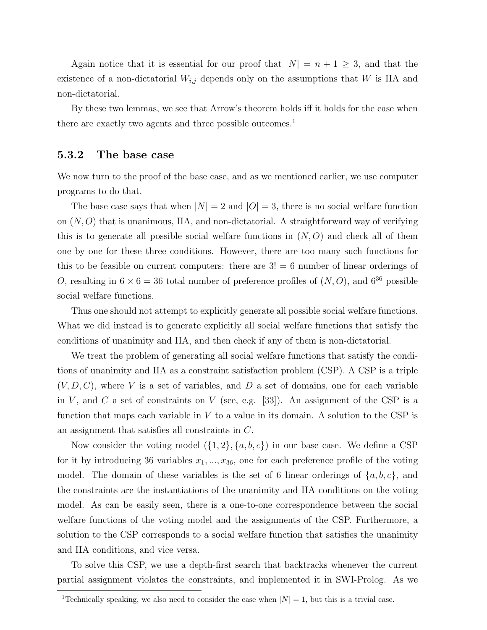Again notice that it is essential for our proof that  $|N| = n + 1 \geq 3$ , and that the existence of a non-dictatorial  $W_{i,j}$  depends only on the assumptions that W is IIA and non-dictatorial.

By these two lemmas, we see that Arrow's theorem holds iff it holds for the case when there are exactly two agents and three possible outcomes.<sup>1</sup>

#### 5.3.2 The base case

We now turn to the proof of the base case, and as we mentioned earlier, we use computer programs to do that.

The base case says that when  $|N| = 2$  and  $|O| = 3$ , there is no social welfare function on  $(N, O)$  that is unanimous, IIA, and non-dictatorial. A straightforward way of verifying this is to generate all possible social welfare functions in  $(N, O)$  and check all of them one by one for these three conditions. However, there are too many such functions for this to be feasible on current computers: there are  $3! = 6$  number of linear orderings of O, resulting in  $6 \times 6 = 36$  total number of preference profiles of  $(N, O)$ , and  $6^{36}$  possible social welfare functions.

Thus one should not attempt to explicitly generate all possible social welfare functions. What we did instead is to generate explicitly all social welfare functions that satisfy the conditions of unanimity and IIA, and then check if any of them is non-dictatorial.

We treat the problem of generating all social welfare functions that satisfy the conditions of unanimity and IIA as a constraint satisfaction problem (CSP). A CSP is a triple  $(V, D, C)$ , where V is a set of variables, and D a set of domains, one for each variable in V, and C a set of constraints on V (see, e.g. [33]). An assignment of the CSP is a function that maps each variable in  $V$  to a value in its domain. A solution to the CSP is an assignment that satisfies all constraints in C.

Now consider the voting model  $({1, 2}, {a, b, c})$  in our base case. We define a CSP for it by introducing 36 variables  $x_1, ..., x_{36}$ , one for each preference profile of the voting model. The domain of these variables is the set of 6 linear orderings of  $\{a, b, c\}$ , and the constraints are the instantiations of the unanimity and IIA conditions on the voting model. As can be easily seen, there is a one-to-one correspondence between the social welfare functions of the voting model and the assignments of the CSP. Furthermore, a solution to the CSP corresponds to a social welfare function that satisfies the unanimity and IIA conditions, and vice versa.

To solve this CSP, we use a depth-first search that backtracks whenever the current partial assignment violates the constraints, and implemented it in SWI-Prolog. As we

<sup>&</sup>lt;sup>1</sup>Technically speaking, we also need to consider the case when  $|N| = 1$ , but this is a trivial case.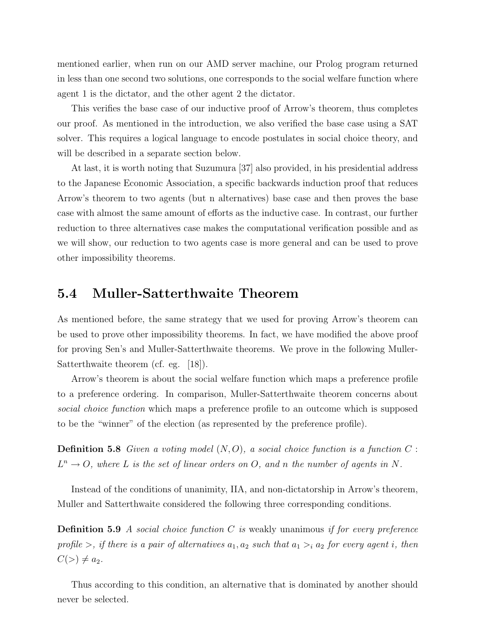mentioned earlier, when run on our AMD server machine, our Prolog program returned in less than one second two solutions, one corresponds to the social welfare function where agent 1 is the dictator, and the other agent 2 the dictator.

This verifies the base case of our inductive proof of Arrow's theorem, thus completes our proof. As mentioned in the introduction, we also verified the base case using a SAT solver. This requires a logical language to encode postulates in social choice theory, and will be described in a separate section below.

At last, it is worth noting that Suzumura [37] also provided, in his presidential address to the Japanese Economic Association, a specific backwards induction proof that reduces Arrow's theorem to two agents (but n alternatives) base case and then proves the base case with almost the same amount of efforts as the inductive case. In contrast, our further reduction to three alternatives case makes the computational verification possible and as we will show, our reduction to two agents case is more general and can be used to prove other impossibility theorems.

### 5.4 Muller-Satterthwaite Theorem

As mentioned before, the same strategy that we used for proving Arrow's theorem can be used to prove other impossibility theorems. In fact, we have modified the above proof for proving Sen's and Muller-Satterthwaite theorems. We prove in the following Muller-Satterthwaite theorem (cf. eg. [18]).

Arrow's theorem is about the social welfare function which maps a preference profile to a preference ordering. In comparison, Muller-Satterthwaite theorem concerns about social choice function which maps a preference profile to an outcome which is supposed to be the "winner" of the election (as represented by the preference profile).

**Definition 5.8** Given a voting model  $(N, O)$ , a social choice function is a function C:  $L^n \to O$ , where L is the set of linear orders on O, and n the number of agents in N.

Instead of the conditions of unanimity, IIA, and non-dictatorship in Arrow's theorem, Muller and Satterthwaite considered the following three corresponding conditions.

**Definition 5.9** A social choice function C is weakly unanimous if for every preference profile  $>$ , if there is a pair of alternatives  $a_1, a_2$  such that  $a_1 >_i a_2$  for every agent i, then  $C(>) \neq a_2.$ 

Thus according to this condition, an alternative that is dominated by another should never be selected.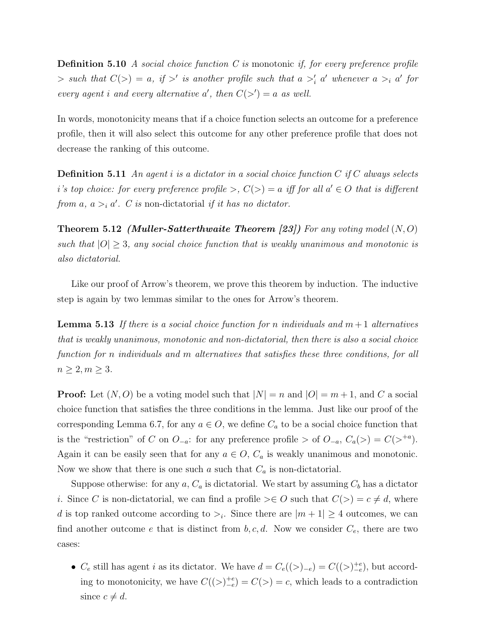**Definition 5.10** A social choice function C is monotonic if, for every preference profile  $\Rightarrow$  such that  $C(>) = a$ , if  $>'$  is another profile such that  $a >'_i a'$  whenever  $a >_i a'$  for every agent i and every alternative a', then  $C(\gt') = a$  as well.

In words, monotonicity means that if a choice function selects an outcome for a preference profile, then it will also select this outcome for any other preference profile that does not decrease the ranking of this outcome.

**Definition 5.11** An agent i is a dictator in a social choice function  $C$  if  $C$  always selects i's top choice: for every preference profile >,  $C(>) = a$  iff for all  $a' \in O$  that is different from a,  $a >_i a'$ . C is non-dictatorial if it has no dictator.

**Theorem 5.12 (Muller-Satterthwaite Theorem [23])** For any voting model  $(N, O)$ such that  $|O| \geq 3$ , any social choice function that is weakly unanimous and monotonic is also dictatorial.

Like our proof of Arrow's theorem, we prove this theorem by induction. The inductive step is again by two lemmas similar to the ones for Arrow's theorem.

**Lemma 5.13** If there is a social choice function for n individuals and  $m + 1$  alternatives that is weakly unanimous, monotonic and non-dictatorial, then there is also a social choice function for n individuals and m alternatives that satisfies these three conditions, for all  $n \geq 2, m \geq 3.$ 

**Proof:** Let  $(N, O)$  be a voting model such that  $|N| = n$  and  $|O| = m + 1$ , and C a social choice function that satisfies the three conditions in the lemma. Just like our proof of the corresponding Lemma 6.7, for any  $a \in O$ , we define  $C_a$  to be a social choice function that is the "restriction" of C on  $O_{-a}$ : for any preference profile > of  $O_{-a}$ ,  $C_a(>) = C(>}^{+a})$ . Again it can be easily seen that for any  $a \in O$ ,  $C_a$  is weakly unanimous and monotonic. Now we show that there is one such a such that  $C_a$  is non-dictatorial.

Suppose otherwise: for any  $a, C_a$  is dictatorial. We start by assuming  $C_b$  has a dictator i. Since C is non-dictatorial, we can find a profile  $\geq \in O$  such that  $C(\geq) = c \neq d$ , where d is top ranked outcome according to  $\geq_i$ . Since there are  $|m+1|\geq 4$  outcomes, we can find another outcome e that is distinct from  $b, c, d$ . Now we consider  $C_e$ , there are two cases:

•  $C_e$  still has agent *i* as its dictator. We have  $d = C_e((>)_{-e}) = C((>)_{-e}^{+e})$ , but according to monotonicity, we have  $C((>)_{-e}^{+e}) = C(>) = c$ , which leads to a contradiction since  $c \neq d$ .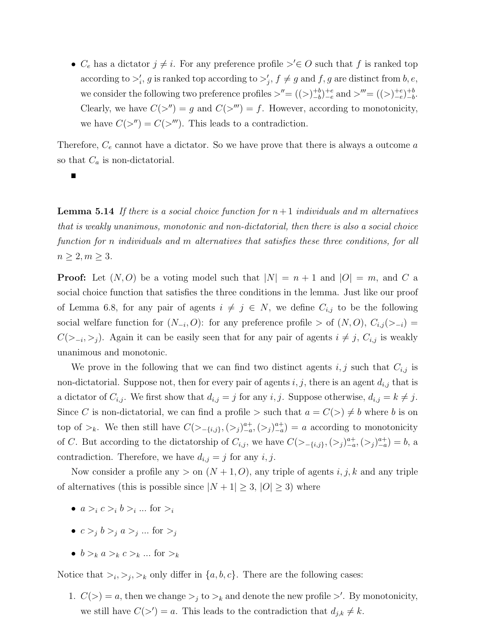•  $C_e$  has a dictator  $j \neq i$ . For any preference profile  $\geq^{\prime} \in O$  such that f is ranked top according to  $\geq'_i$ , g is ranked top according to  $\geq'_j$ ,  $f \neq g$  and  $f, g$  are distinct from  $b, e$ , we consider the following two preference profiles  $\geq^{\prime\prime} = ((\geq)_{-b}^{+b})$  $_{-b}^{+b})_{-e}^{+e}$  and  $>'''=(\left(>\right)_{-e}^{+e})_{-b}^{+b}$  $\frac{+b}{-b}$ . Clearly, we have  $C(\gt'') = g$  and  $C(\gt'') = f$ . However, according to monotonicity, we have  $C(\gt'') = C(\gt''')$ . This leads to a contradiction.

Therefore,  $C_e$  cannot have a dictator. So we have prove that there is always a outcome  $a$ so that  $C_a$  is non-dictatorial.

**Lemma 5.14** If there is a social choice function for  $n+1$  individuals and m alternatives that is weakly unanimous, monotonic and non-dictatorial, then there is also a social choice function for n individuals and m alternatives that satisfies these three conditions, for all  $n \geq 2, m \geq 3.$ 

**Proof:** Let  $(N, O)$  be a voting model such that  $|N| = n + 1$  and  $|O| = m$ , and C a social choice function that satisfies the three conditions in the lemma. Just like our proof of Lemma 6.8, for any pair of agents  $i \neq j \in N$ , we define  $C_{i,j}$  to be the following social welfare function for  $(N_{-i}, O)$ : for any preference profile > of  $(N, O), C_{i,j}$   $\langle >_{-i} \rangle$  =  $C(\gt_{-i},\gt_j)$ . Again it can be easily seen that for any pair of agents  $i \neq j$ ,  $C_{i,j}$  is weakly unanimous and monotonic.

We prove in the following that we can find two distinct agents  $i, j$  such that  $C_{i,j}$  is non-dictatorial. Suppose not, then for every pair of agents  $i, j$ , there is an agent  $d_{i,j}$  that is a dictator of  $C_{i,j}$ . We first show that  $d_{i,j} = j$  for any  $i, j$ . Suppose otherwise,  $d_{i,j} = k \neq j$ . Since C is non-dictatorial, we can find a profile  $\gt$  such that  $a = C(\gt) \neq b$  where b is on top of  $\gt_k$ . We then still have  $C(\gt_{-\{i,j\}}, \left(\gt_j)_{-a}^{a+}, \left(\gt_j\right)_{-a}^{a+}\right) = a$  according to monotonicity of C. But according to the dictatorship of  $C_{i,j}$ , we have  $C(>_{-\{i,j\}},(>_{j})_{-a}^{a+},(>_{j})_{-a}^{a+})=b$ , a contradiction. Therefore, we have  $d_{i,j} = j$  for any  $i, j$ .

Now consider a profile any  $>$  on  $(N+1, 0)$ , any triple of agents i, j, k and any triple of alternatives (this is possible since  $|N + 1| \geq 3$ ,  $|O| \geq 3$ ) where

- $a >_i c >_i b >_i ...$  for  $>_i$
- $c >_j b >_j a >_j ...$  for  $>_j$
- $b >_k a >_k c >_k ...$  for  $\geq_k$

Notice that  $\gt_i, \gt_j, \gt_k$  only differ in  $\{a, b, c\}$ . There are the following cases:

1.  $C(>) = a$ , then we change  $>_{i}$  to  $>_{k}$  and denote the new profile  $>'$ . By monotonicity, we still have  $C(\gt') = a$ . This leads to the contradiction that  $d_{j,k} \neq k$ .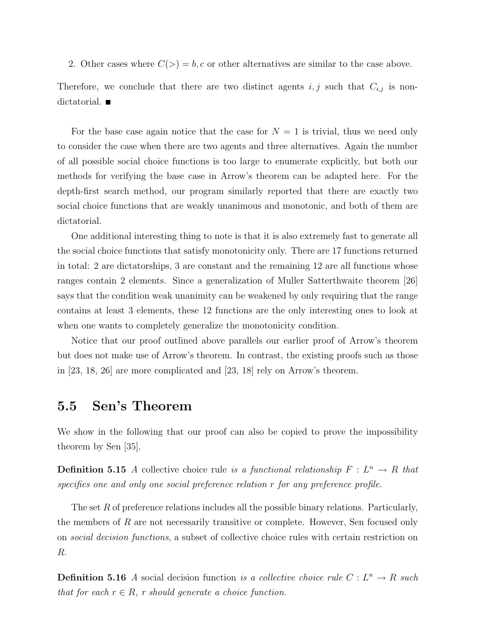2. Other cases where  $C(>) = b, c$  or other alternatives are similar to the case above.

Therefore, we conclude that there are two distinct agents  $i, j$  such that  $C_{i,j}$  is nondictatorial.

For the base case again notice that the case for  $N = 1$  is trivial, thus we need only to consider the case when there are two agents and three alternatives. Again the number of all possible social choice functions is too large to enumerate explicitly, but both our methods for verifying the base case in Arrow's theorem can be adapted here. For the depth-first search method, our program similarly reported that there are exactly two social choice functions that are weakly unanimous and monotonic, and both of them are dictatorial.

One additional interesting thing to note is that it is also extremely fast to generate all the social choice functions that satisfy monotonicity only. There are 17 functions returned in total: 2 are dictatorships, 3 are constant and the remaining 12 are all functions whose ranges contain 2 elements. Since a generalization of Muller Satterthwaite theorem [26] says that the condition weak unanimity can be weakened by only requiring that the range contains at least 3 elements, these 12 functions are the only interesting ones to look at when one wants to completely generalize the monotonicity condition.

Notice that our proof outlined above parallels our earlier proof of Arrow's theorem but does not make use of Arrow's theorem. In contrast, the existing proofs such as those in [23, 18, 26] are more complicated and [23, 18] rely on Arrow's theorem.

# 5.5 Sen's Theorem

We show in the following that our proof can also be copied to prove the impossibility theorem by Sen [35].

**Definition 5.15** A collective choice rule is a functional relationship  $F: L^n \to R$  that specifies one and only one social preference relation r for any preference profile.

The set R of preference relations includes all the possible binary relations. Particularly, the members of R are not necessarily transitive or complete. However, Sen focused only on social decision functions, a subset of collective choice rules with certain restriction on R.

**Definition 5.16** A social decision function is a collective choice rule  $C: L^n \to R$  such that for each  $r \in R$ , r should generate a choice function.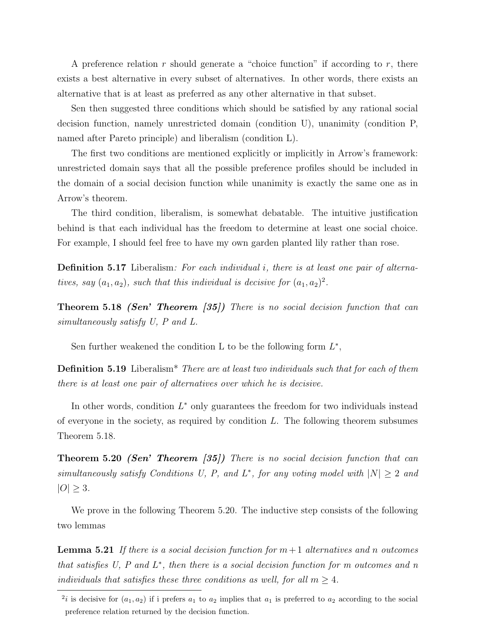A preference relation r should generate a "choice function" if according to r, there exists a best alternative in every subset of alternatives. In other words, there exists an alternative that is at least as preferred as any other alternative in that subset.

Sen then suggested three conditions which should be satisfied by any rational social decision function, namely unrestricted domain (condition U), unanimity (condition P, named after Pareto principle) and liberalism (condition L).

The first two conditions are mentioned explicitly or implicitly in Arrow's framework: unrestricted domain says that all the possible preference profiles should be included in the domain of a social decision function while unanimity is exactly the same one as in Arrow's theorem.

The third condition, liberalism, is somewhat debatable. The intuitive justification behind is that each individual has the freedom to determine at least one social choice. For example, I should feel free to have my own garden planted lily rather than rose.

**Definition 5.17** Liberalism: For each individual i, there is at least one pair of alternatives, say  $(a_1, a_2)$ , such that this individual is decisive for  $(a_1, a_2)^2$ .

Theorem 5.18 (Sen' Theorem [35]) There is no social decision function that can simultaneously satisfy U, P and L.

Sen further weakened the condition L to be the following form  $L^*$ ,

Definition 5.19 Liberalism\* There are at least two individuals such that for each of them there is at least one pair of alternatives over which he is decisive.

In other words, condition  $L^*$  only guarantees the freedom for two individuals instead of everyone in the society, as required by condition  $L$ . The following theorem subsumes Theorem 5.18.

**Theorem 5.20 (Sen' Theorem [35])** There is no social decision function that can simultaneously satisfy Conditions U, P, and  $L^*$ , for any voting model with  $|N| \geq 2$  and  $|O| \geq 3$ .

We prove in the following Theorem 5.20. The inductive step consists of the following two lemmas

**Lemma 5.21** If there is a social decision function for  $m+1$  alternatives and n outcomes that satisfies  $U, P$  and  $L^*$ , then there is a social decision function for m outcomes and n individuals that satisfies these three conditions as well, for all  $m \geq 4$ .

<sup>&</sup>lt;sup>2</sup>*i* is decisive for  $(a_1, a_2)$  if i prefers  $a_1$  to  $a_2$  implies that  $a_1$  is preferred to  $a_2$  according to the social preference relation returned by the decision function.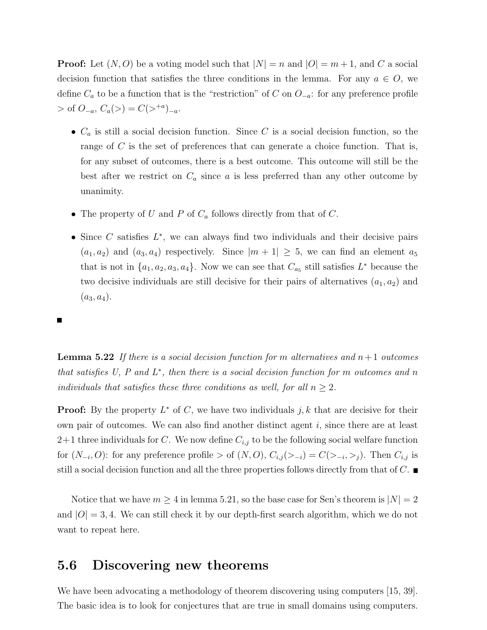**Proof:** Let  $(N, O)$  be a voting model such that  $|N| = n$  and  $|O| = m + 1$ , and C a social decision function that satisfies the three conditions in the lemma. For any  $a \in O$ , we define  $C_a$  to be a function that is the "restriction" of C on  $O_{-a}$ : for any preference profile  $>$  of  $O_{-a}$ ,  $C_a(>) = C(>^{+a})_{-a}$ .

- $C_a$  is still a social decision function. Since C is a social decision function, so the range of  $C$  is the set of preferences that can generate a choice function. That is, for any subset of outcomes, there is a best outcome. This outcome will still be the best after we restrict on  $C_a$  since a is less preferred than any other outcome by unanimity.
- The property of U and P of  $C_a$  follows directly from that of C.
- Since  $C$  satisfies  $L^*$ , we can always find two individuals and their decisive pairs  $(a_1, a_2)$  and  $(a_3, a_4)$  respectively. Since  $|m + 1| \geq 5$ , we can find an element  $a_5$ that is not in  $\{a_1, a_2, a_3, a_4\}$ . Now we can see that  $C_{a_5}$  still satisfies  $L^*$  because the two decisive individuals are still decisive for their pairs of alternatives  $(a_1, a_2)$  and  $(a_3, a_4).$

**Lemma 5.22** If there is a social decision function for m alternatives and  $n+1$  outcomes that satisfies  $U, P$  and  $L^*$ , then there is a social decision function for m outcomes and n individuals that satisfies these three conditions as well, for all  $n \geq 2$ .

**Proof:** By the property  $L^*$  of C, we have two individuals j, k that are decisive for their own pair of outcomes. We can also find another distinct agent  $i$ , since there are at least  $2+1$  three individuals for C. We now define  $C_{i,j}$  to be the following social welfare function for  $(N_{-i}, O)$ : for any preference profile > of  $(N, O), C_{i,j}(\geq -i) = C(\geq -i, \geq j)$ . Then  $C_{i,j}$  is still a social decision function and all the three properties follows directly from that of  $C$ .

Notice that we have  $m \geq 4$  in lemma 5.21, so the base case for Sen's theorem is  $|N| = 2$ and  $|O|=3,4$ . We can still check it by our depth-first search algorithm, which we do not want to repeat here.

# 5.6 Discovering new theorems

We have been advocating a methodology of theorem discovering using computers [15, 39]. The basic idea is to look for conjectures that are true in small domains using computers.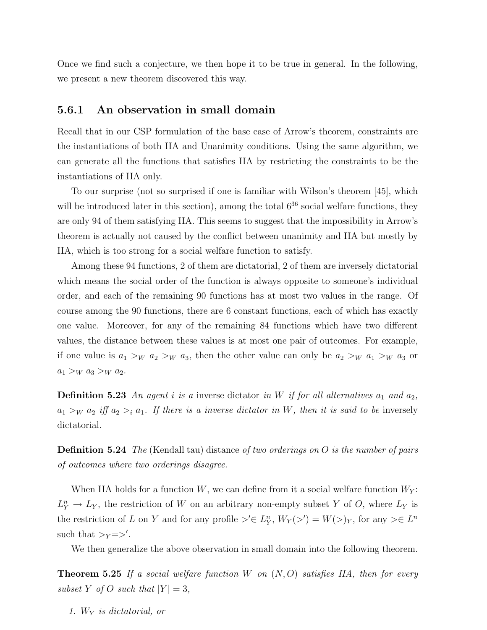Once we find such a conjecture, we then hope it to be true in general. In the following, we present a new theorem discovered this way.

### 5.6.1 An observation in small domain

Recall that in our CSP formulation of the base case of Arrow's theorem, constraints are the instantiations of both IIA and Unanimity conditions. Using the same algorithm, we can generate all the functions that satisfies IIA by restricting the constraints to be the instantiations of IIA only.

To our surprise (not so surprised if one is familiar with Wilson's theorem [45], which will be introduced later in this section), among the total  $6^{36}$  social welfare functions, they are only 94 of them satisfying IIA. This seems to suggest that the impossibility in Arrow's theorem is actually not caused by the conflict between unanimity and IIA but mostly by IIA, which is too strong for a social welfare function to satisfy.

Among these 94 functions, 2 of them are dictatorial, 2 of them are inversely dictatorial which means the social order of the function is always opposite to someone's individual order, and each of the remaining 90 functions has at most two values in the range. Of course among the 90 functions, there are 6 constant functions, each of which has exactly one value. Moreover, for any of the remaining 84 functions which have two different values, the distance between these values is at most one pair of outcomes. For example, if one value is  $a_1 >_W a_2 >_W a_3$ , then the other value can only be  $a_2 >_W a_1 >_W a_3$  or  $a_1 >_W a_3 >_W a_2.$ 

**Definition 5.23** An agent i is a inverse dictator in W if for all alternatives  $a_1$  and  $a_2$ ,  $a_1 >_W a_2$  iff  $a_2 >_i a_1$ . If there is a inverse dictator in W, then it is said to be inversely dictatorial.

**Definition 5.24** The (Kendall tau) distance of two orderings on  $O$  is the number of pairs of outcomes where two orderings disagree.

When IIA holds for a function  $W$ , we can define from it a social welfare function  $W_Y$ :  $L_Y^n \to L_Y$ , the restriction of W on an arbitrary non-empty subset Y of O, where  $L_Y$  is the restriction of L on Y and for any profile  $\geq' \in L^n_Y$ ,  $W_Y(\geq') = W(\geq)_Y$ , for any  $\geq \in L^n$ such that  $>_{Y}=>'.$ 

We then generalize the above observation in small domain into the following theorem.

**Theorem 5.25** If a social welfare function W on  $(N, O)$  satisfies IIA, then for every subset Y of O such that  $|Y| = 3$ ,

1.  $W_Y$  is dictatorial, or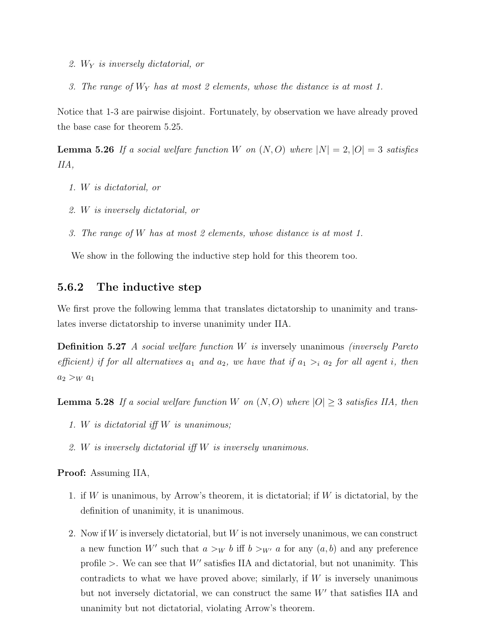- 2.  $W_Y$  is inversely dictatorial, or
- 3. The range of  $W_Y$  has at most 2 elements, whose the distance is at most 1.

Notice that 1-3 are pairwise disjoint. Fortunately, by observation we have already proved the base case for theorem 5.25.

**Lemma 5.26** If a social welfare function W on  $(N, O)$  where  $|N| = 2, |O| = 3$  satisfies IIA,

- 1. W is dictatorial, or
- 2. W is inversely dictatorial, or
- 3. The range of W has at most 2 elements, whose distance is at most 1.

We show in the following the inductive step hold for this theorem too.

### 5.6.2 The inductive step

We first prove the following lemma that translates dictatorship to unanimity and translates inverse dictatorship to inverse unanimity under IIA.

Definition 5.27 A social welfare function W is inversely unanimous (inversely Pareto efficient) if for all alternatives  $a_1$  and  $a_2$ , we have that if  $a_1 >_i a_2$  for all agent i, then  $a_2 >_W a_1$ 

**Lemma 5.28** If a social welfare function W on  $(N, O)$  where  $|O| \geq 3$  satisfies IIA, then

- 1. W is dictatorial iff W is unanimous;
- 2. W is inversely dictatorial iff W is inversely unanimous.

Proof: Assuming IIA,

- 1. if W is unanimous, by Arrow's theorem, it is dictatorial; if  $W$  is dictatorial, by the definition of unanimity, it is unanimous.
- 2. Now if W is inversely dictatorial, but  $W$  is not inversely unanimous, we can construct a new function W' such that  $a >_W b$  iff  $b >_{W'} a$  for any  $(a, b)$  and any preference profile  $\geq$ . We can see that W' satisfies IIA and dictatorial, but not unanimity. This contradicts to what we have proved above; similarly, if  $W$  is inversely unanimous but not inversely dictatorial, we can construct the same  $W'$  that satisfies IIA and unanimity but not dictatorial, violating Arrow's theorem.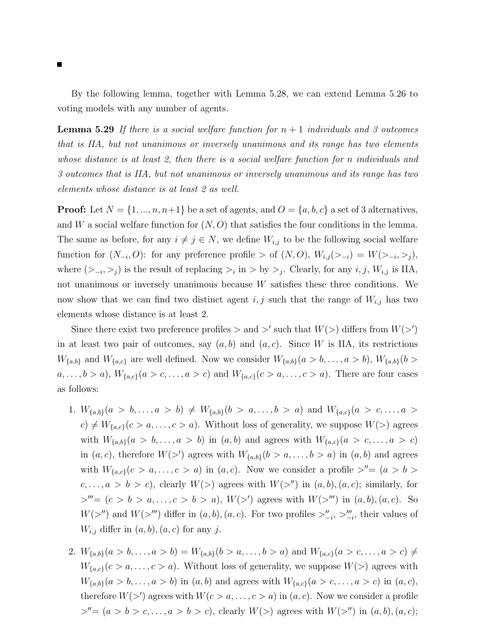By the following lemma, together with Lemma 5.28, we can extend Lemma 5.26 to voting models with any number of agents.

**Lemma 5.29** If there is a social welfare function for  $n + 1$  individuals and 3 outcomes that is IIA, but not unanimous or inversely unanimous and its range has two elements whose distance is at least 2, then there is a social welfare function for n individuals and 3 outcomes that is IIA, but not unanimous or inversely unanimous and its range has two elements whose distance is at least 2 as well.

**Proof:** Let  $N = \{1, ..., n, n+1\}$  be a set of agents, and  $O = \{a, b, c\}$  a set of 3 alternatives, and W a social welfare function for  $(N, O)$  that satisfies the four conditions in the lemma. The same as before, for any  $i \neq j \in N$ , we define  $W_{i,j}$  to be the following social welfare function for  $(N_{-i}, O)$ : for any preference profile > of  $(N, O), W_{i,j}(\geq -i) = W(\geq -i, \geq j)$ , where  $(>_{-i}, >_j)$  is the result of replacing  $>_i$  in  $>$  by  $>_j$ . Clearly, for any *i*, *j*,  $W_{i,j}$  is IIA, not unanimous or inversely unanimous because W satisfies these three conditions. We now show that we can find two distinct agent  $i, j$  such that the range of  $W_{i,j}$  has two elements whose distance is at least 2.

Since there exist two preference profiles  $>$  and  $>'$  such that  $W(>)$  differs from  $W(>)'$ in at least two pair of outcomes, say  $(a, b)$  and  $(a, c)$ . Since W is IIA, its restrictions  $W_{\{a,b\}}$  and  $W_{\{a,c\}}$  are well defined. Now we consider  $W_{\{a,b\}}(a > b, \ldots, a > b)$ ,  $W_{\{a,b\}}(b > b)$  $a, \ldots, b > a$ ,  $W_{\{a,c\}}(a > c, \ldots, a > c)$  and  $W_{\{a,c\}}(c > a, \ldots, c > a)$ . There are four cases as follows:

- 1.  $W_{\{a,b\}}(a > b, \ldots, a > b) \neq W_{\{a,b\}}(b > a, \ldots, b > a)$  and  $W_{\{a,c\}}(a > c, \ldots, a > b)$  $c) \neq W_{\{a,c\}}(c > a, \ldots, c > a)$ . Without loss of generality, we suppose  $W(z)$  agrees with  $W_{\{a,b\}}(a > b, \ldots, a > b)$  in  $(a, b)$  and agrees with  $W_{\{a,c\}}(a > c, \ldots, a > c)$ in  $(a, c)$ , therefore  $W(\gt')$  agrees with  $W_{\{a,b\}}(b > a, \ldots, b > a)$  in  $(a, b)$  and agrees with  $W_{\{a,c\}}(c > a, \ldots, c > a)$  in  $(a, c)$ . Now we consider a profile  $>''=(a > b > a)$  $c, \ldots, a > b > c$ , clearly  $W(>)$  agrees with  $W(>')$  in  $(a, b), (a, c)$ ; similarly, for  $\triangleright'''=(c > b > a, \ldots, c > b > a)$ ,  $W(\triangleright')$  agrees with  $W(\triangleright'')$  in  $(a, b), (a, c)$ . So  $W(\gt'')$  and  $W(\gt''')$  differ in  $(a, b), (a, c)$ . For two profiles  $\gt''_{-i}, \gt'''_{-i}$ , their values of  $W_{i,j}$  differ in  $(a, b), (a, c)$  for any j.
- 2.  $W_{\{a,b\}}(a > b, \ldots, a > b) = W_{\{a,b\}}(b > a, \ldots, b > a)$  and  $W_{\{a,c\}}(a > c, \ldots, a > c) \neq b$  $W_{\{a,c\}}(c > a, \ldots, c > a)$ . Without loss of generality, we suppose  $W(>)$  agrees with  $W_{\{a,b\}}(a > b, \ldots, a > b)$  in  $(a, b)$  and agrees with  $W_{\{a,c\}}(a > c, \ldots, a > c)$  in  $(a, c)$ , therefore  $W(\gt')$  agrees with  $W(c > a, \ldots, c > a)$  in  $(a, c)$ . Now we consider a profile  $>''=(a > b > c, \ldots, a > b > c)$ , clearly  $W(>)$  agrees with  $W(>'')$  in  $(a, b), (a, c)$ ;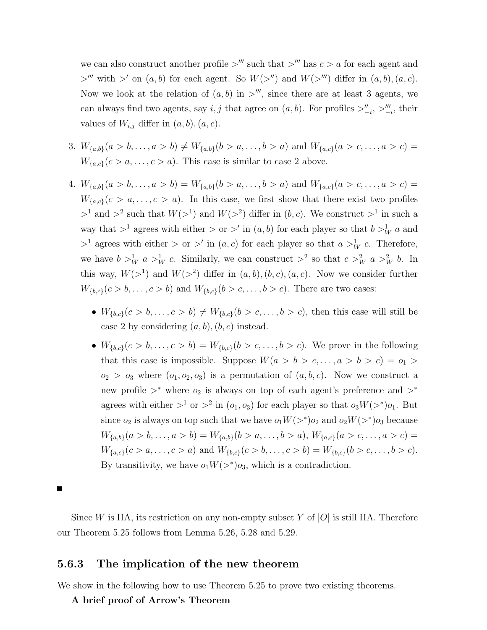we can also construct another profile  $\geq$ <sup>*m*</sup> such that  $\geq$ <sup>*m*</sup> has *c*  $>$  *a* for each agent and  $>^{\prime\prime\prime}$  with  $>^{\prime}$  on  $(a, b)$  for each agent. So  $W(>^{\prime\prime})$  and  $W(>^{\prime\prime\prime})$  differ in  $(a, b), (a, c)$ . Now we look at the relation of  $(a, b)$  in  $\gt^{\prime\prime\prime}$ , since there are at least 3 agents, we can always find two agents, say *i*, *j* that agree on  $(a, b)$ . For profiles  $\geq_{-i}^n$ ,  $\geq_{-i}^m$ , their values of  $W_{i,j}$  differ in  $(a, b), (a, c)$ .

- 3.  $W_{\{a,b\}}(a > b, \ldots, a > b) \neq W_{\{a,b\}}(b > a, \ldots, b > a)$  and  $W_{\{a,c\}}(a > c, \ldots, a > c)$  =  $W_{\{a,c\}}(c > a, \ldots, c > a)$ . This case is similar to case 2 above.
- 4.  $W_{\{a,b\}}(a > b, \ldots, a > b) = W_{\{a,b\}}(b > a, \ldots, b > a)$  and  $W_{\{a,c\}}(a > c, \ldots, a > c)$  $W_{\{a,c\}}(c > a, \ldots, c > a)$ . In this case, we first show that there exist two profiles  $>^1$  and  $>^2$  such that  $W(>^1)$  and  $W(>^2)$  differ in  $(b, c)$ . We construct  $>^1$  in such a way that  $>^1$  agrees with either  $>$  or  $>'$  in  $(a, b)$  for each player so that  $b >^1_W a$  and  $>$ <sup>1</sup> agrees with either  $>$  or  $>'$  in  $(a, c)$  for each player so that  $a >_W^1 c$ . Therefore, we have  $b >W u a >W c$ . Similarly, we can construct  $>^2$  so that  $c >W u a >W u b$ . In this way,  $W(>^1)$  and  $W(>^2)$  differ in  $(a, b), (b, c), (a, c)$ . Now we consider further  $W_{\{b,c\}}(c > b, \ldots, c > b)$  and  $W_{\{b,c\}}(b > c, \ldots, b > c)$ . There are two cases:
	- $W_{\{b,c\}}(c > b, \ldots, c > b) \neq W_{\{b,c\}}(b > c, \ldots, b > c)$ , then this case will still be case 2 by considering  $(a, b), (b, c)$  instead.
	- $W_{\{b,c\}}(c > b, \ldots, c > b) = W_{\{b,c\}}(b > c, \ldots, b > c)$ . We prove in the following that this case is impossible. Suppose  $W(a > b > c, \ldots, a > b > c) = o_1 >$  $o_2 > o_3$  where  $(o_1, o_2, o_3)$  is a permutation of  $(a, b, c)$ . Now we construct a new profile  $>^*$  where  $o_2$  is always on top of each agent's preference and  $>^*$ agrees with either  $>^1$  or  $>^2$  in  $(o_1, o_3)$  for each player so that  $o_3W(>^*)o_1$ . But since  $o_2$  is always on top such that we have  $o_1W(\gt^*)o_2$  and  $o_2W(\gt^*)o_3$  because  $W_{\{a,b\}}(a > b, \ldots, a > b) = W_{\{a,b\}}(b > a, \ldots, b > a), W_{\{a,c\}}(a > c, \ldots, a > c) =$  $W_{\{a,c\}}(c > a, \ldots, c > a)$  and  $W_{\{b,c\}}(c > b, \ldots, c > b) = W_{\{b,c\}}(b > c, \ldots, b > c).$ By transitivity, we have  $o_1W(\gt^*)o_3$ , which is a contradiction.

Since W is IIA, its restriction on any non-empty subset Y of  $|O|$  is still IIA. Therefore our Theorem 5.25 follows from Lemma 5.26, 5.28 and 5.29.

### 5.6.3 The implication of the new theorem

We show in the following how to use Theorem 5.25 to prove two existing theorems.

#### A brief proof of Arrow's Theorem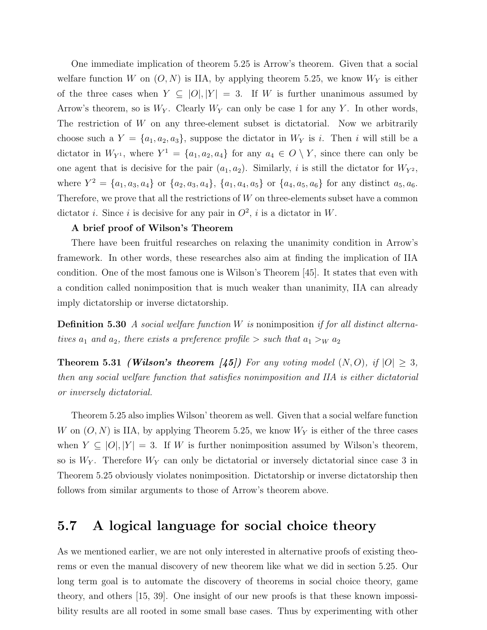One immediate implication of theorem 5.25 is Arrow's theorem. Given that a social welfare function W on  $(O, N)$  is IIA, by applying theorem 5.25, we know  $W_Y$  is either of the three cases when  $Y \subseteq |O|, |Y| = 3$ . If W is further unanimous assumed by Arrow's theorem, so is  $W_Y$ . Clearly  $W_Y$  can only be case 1 for any Y. In other words, The restriction of  $W$  on any three-element subset is dictatorial. Now we arbitrarily choose such a  $Y = \{a_1, a_2, a_3\}$ , suppose the dictator in  $W_Y$  is *i*. Then *i* will still be a dictator in  $W_{Y^1}$ , where  $Y^1 = \{a_1, a_2, a_4\}$  for any  $a_4 \in O \setminus Y$ , since there can only be one agent that is decisive for the pair  $(a_1, a_2)$ . Similarly, i is still the dictator for  $W_{Y^2}$ , where  $Y^2 = \{a_1, a_3, a_4\}$  or  $\{a_2, a_3, a_4\}$ ,  $\{a_1, a_4, a_5\}$  or  $\{a_4, a_5, a_6\}$  for any distinct  $a_5, a_6$ . Therefore, we prove that all the restrictions of  $W$  on three-elements subset have a common dictator *i*. Since *i* is decisive for any pair in  $O^2$ , *i* is a dictator in W.

#### A brief proof of Wilson's Theorem

There have been fruitful researches on relaxing the unanimity condition in Arrow's framework. In other words, these researches also aim at finding the implication of IIA condition. One of the most famous one is Wilson's Theorem [45]. It states that even with a condition called nonimposition that is much weaker than unanimity, IIA can already imply dictatorship or inverse dictatorship.

**Definition 5.30** A social welfare function W is nonimposition if for all distinct alternatives  $a_1$  and  $a_2$ , there exists a preference profile  $>$  such that  $a_1 >_W a_2$ 

**Theorem 5.31 (Wilson's theorem [45])** For any voting model  $(N, O)$ , if  $|O| \geq 3$ , then any social welfare function that satisfies nonimposition and IIA is either dictatorial or inversely dictatorial.

Theorem 5.25 also implies Wilson' theorem as well. Given that a social welfare function W on  $(O, N)$  is IIA, by applying Theorem 5.25, we know  $W_Y$  is either of the three cases when  $Y \subseteq |O|, |Y| = 3$ . If W is further nonimposition assumed by Wilson's theorem, so is  $W_Y$ . Therefore  $W_Y$  can only be dictatorial or inversely dictatorial since case 3 in Theorem 5.25 obviously violates nonimposition. Dictatorship or inverse dictatorship then follows from similar arguments to those of Arrow's theorem above.

# 5.7 A logical language for social choice theory

As we mentioned earlier, we are not only interested in alternative proofs of existing theorems or even the manual discovery of new theorem like what we did in section 5.25. Our long term goal is to automate the discovery of theorems in social choice theory, game theory, and others [15, 39]. One insight of our new proofs is that these known impossibility results are all rooted in some small base cases. Thus by experimenting with other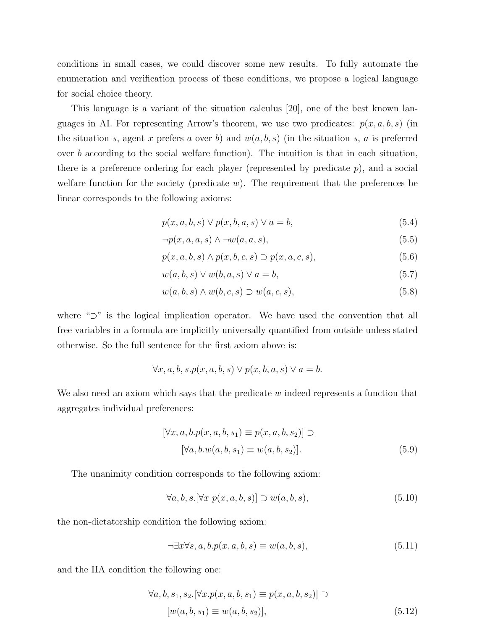conditions in small cases, we could discover some new results. To fully automate the enumeration and verification process of these conditions, we propose a logical language for social choice theory.

This language is a variant of the situation calculus [20], one of the best known languages in AI. For representing Arrow's theorem, we use two predicates:  $p(x, a, b, s)$  (in the situation s, agent x prefers a over b) and  $w(a, b, s)$  (in the situation s, a is preferred over b according to the social welfare function). The intuition is that in each situation, there is a preference ordering for each player (represented by predicate  $p$ ), and a social welfare function for the society (predicate  $w$ ). The requirement that the preferences be linear corresponds to the following axioms:

$$
p(x, a, b, s) \lor p(x, b, a, s) \lor a = b,\tag{5.4}
$$

$$
\neg p(x, a, a, s) \land \neg w(a, a, s),\tag{5.5}
$$

$$
p(x, a, b, s) \land p(x, b, c, s) \supset p(x, a, c, s),
$$
\n
$$
(5.6)
$$

$$
w(a,b,s) \lor w(b,a,s) \lor a=b,\tag{5.7}
$$

$$
w(a,b,s) \wedge w(b,c,s) \supset w(a,c,s), \tag{5.8}
$$

where "⊃" is the logical implication operator. We have used the convention that all free variables in a formula are implicitly universally quantified from outside unless stated otherwise. So the full sentence for the first axiom above is:

$$
\forall x, a, b, s. p(x, a, b, s) \lor p(x, b, a, s) \lor a = b.
$$

We also need an axiom which says that the predicate  $w$  indeed represents a function that aggregates individual preferences:

$$
[\forall x, a, b. p(x, a, b, s_1) \equiv p(x, a, b, s_2)] \supset
$$
  

$$
[\forall a, b. w(a, b, s_1) \equiv w(a, b, s_2)].
$$
 (5.9)

The unanimity condition corresponds to the following axiom:

$$
\forall a, b, s. [\forall x \ p(x, a, b, s)] \supset w(a, b, s), \tag{5.10}
$$

the non-dictatorship condition the following axiom:

$$
\neg \exists x \forall s, a, b. p(x, a, b, s) \equiv w(a, b, s), \tag{5.11}
$$

and the IIA condition the following one:

$$
\forall a, b, s_1, s_2. [\forall x. p(x, a, b, s_1) \equiv p(x, a, b, s_2)] \supset
$$

$$
[w(a, b, s_1) \equiv w(a, b, s_2)], \tag{5.12}
$$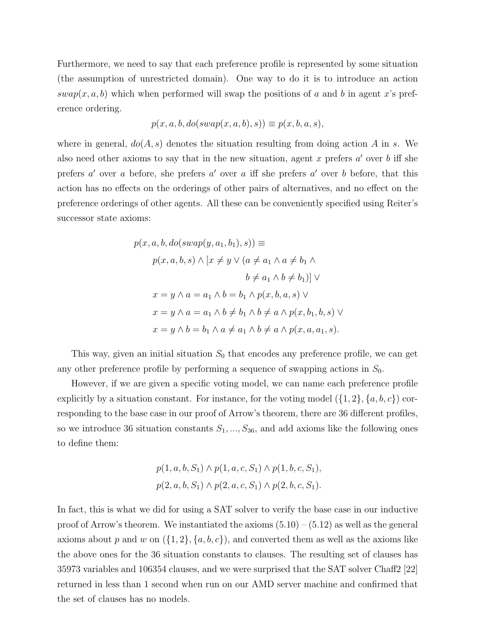Furthermore, we need to say that each preference profile is represented by some situation (the assumption of unrestricted domain). One way to do it is to introduce an action  $swap(x, a, b)$  which when performed will swap the positions of a and b in agent x's preference ordering.

$$
p(x, a, b, do(swap(x, a, b), s)) \equiv p(x, b, a, s),
$$

where in general,  $do(A, s)$  denotes the situation resulting from doing action A in s. We also need other axioms to say that in the new situation, agent x prefers  $a'$  over b iff she prefers  $a'$  over a before, she prefers  $a'$  over a iff she prefers  $a'$  over b before, that this action has no effects on the orderings of other pairs of alternatives, and no effect on the preference orderings of other agents. All these can be conveniently specified using Reiter's successor state axioms:

$$
p(x, a, b, do(swap(y, a_1, b_1), s)) \equiv
$$
  
\n
$$
p(x, a, b, s) \land [x \neq y \lor (a \neq a_1 \land a \neq b_1 \land b \neq a_1 \land b \neq b_1)] \lor
$$
  
\n
$$
x = y \land a = a_1 \land b = b_1 \land p(x, b, a, s) \lor
$$
  
\n
$$
x = y \land a = a_1 \land b \neq b_1 \land b \neq a \land p(x, b_1, b, s) \lor
$$
  
\n
$$
x = y \land b = b_1 \land a \neq a_1 \land b \neq a \land p(x, a, a_1, s).
$$

This way, given an initial situation  $S_0$  that encodes any preference profile, we can get any other preference profile by performing a sequence of swapping actions in  $S_0$ .

However, if we are given a specific voting model, we can name each preference profile explicitly by a situation constant. For instance, for the voting model  $({1, 2}, {a, b, c})$  corresponding to the base case in our proof of Arrow's theorem, there are 36 different profiles, so we introduce 36 situation constants  $S_1, ..., S_{36}$ , and add axioms like the following ones to define them:

$$
p(1, a, b, S_1) \land p(1, a, c, S_1) \land p(1, b, c, S_1),
$$
  

$$
p(2, a, b, S_1) \land p(2, a, c, S_1) \land p(2, b, c, S_1).
$$

In fact, this is what we did for using a SAT solver to verify the base case in our inductive proof of Arrow's theorem. We instantiated the axioms  $(5.10) - (5.12)$  as well as the general axioms about p and w on  $({1, 2}, {a, b, c})$ , and converted them as well as the axioms like the above ones for the 36 situation constants to clauses. The resulting set of clauses has 35973 variables and 106354 clauses, and we were surprised that the SAT solver Chaff2 [22] returned in less than 1 second when run on our AMD server machine and confirmed that the set of clauses has no models.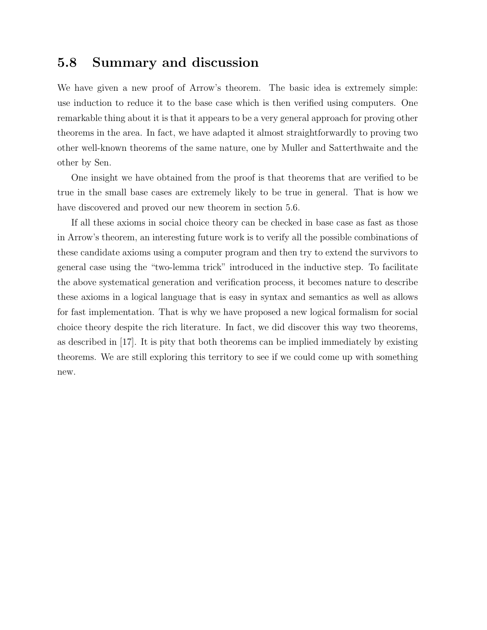### 5.8 Summary and discussion

We have given a new proof of Arrow's theorem. The basic idea is extremely simple: use induction to reduce it to the base case which is then verified using computers. One remarkable thing about it is that it appears to be a very general approach for proving other theorems in the area. In fact, we have adapted it almost straightforwardly to proving two other well-known theorems of the same nature, one by Muller and Satterthwaite and the other by Sen.

One insight we have obtained from the proof is that theorems that are verified to be true in the small base cases are extremely likely to be true in general. That is how we have discovered and proved our new theorem in section 5.6.

If all these axioms in social choice theory can be checked in base case as fast as those in Arrow's theorem, an interesting future work is to verify all the possible combinations of these candidate axioms using a computer program and then try to extend the survivors to general case using the "two-lemma trick" introduced in the inductive step. To facilitate the above systematical generation and verification process, it becomes nature to describe these axioms in a logical language that is easy in syntax and semantics as well as allows for fast implementation. That is why we have proposed a new logical formalism for social choice theory despite the rich literature. In fact, we did discover this way two theorems, as described in [17]. It is pity that both theorems can be implied immediately by existing theorems. We are still exploring this territory to see if we could come up with something new.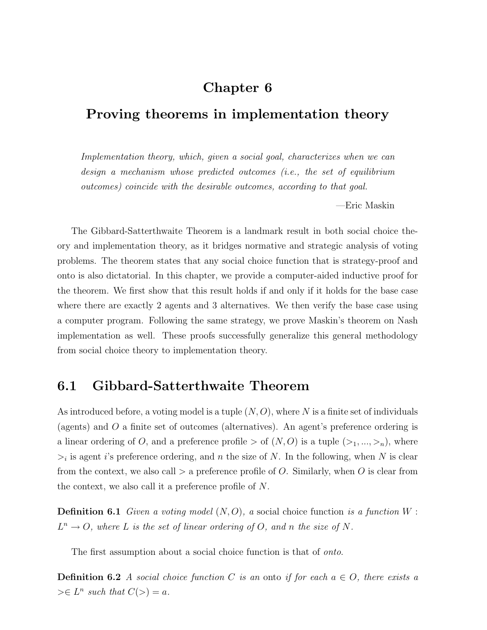# Chapter 6

# Proving theorems in implementation theory

Implementation theory, which, given a social goal, characterizes when we can design a mechanism whose predicted outcomes (i.e., the set of equilibrium outcomes) coincide with the desirable outcomes, according to that goal.

—Eric Maskin

The Gibbard-Satterthwaite Theorem is a landmark result in both social choice theory and implementation theory, as it bridges normative and strategic analysis of voting problems. The theorem states that any social choice function that is strategy-proof and onto is also dictatorial. In this chapter, we provide a computer-aided inductive proof for the theorem. We first show that this result holds if and only if it holds for the base case where there are exactly 2 agents and 3 alternatives. We then verify the base case using a computer program. Following the same strategy, we prove Maskin's theorem on Nash implementation as well. These proofs successfully generalize this general methodology from social choice theory to implementation theory.

# 6.1 Gibbard-Satterthwaite Theorem

As introduced before, a voting model is a tuple  $(N, O)$ , where N is a finite set of individuals (agents) and O a finite set of outcomes (alternatives). An agent's preference ordering is a linear ordering of O, and a preference profile  $>$  of  $(N, O)$  is a tuple  $(\geq_1, ..., \geq_n)$ , where  $\geq_i$  is agent *i*'s preference ordering, and *n* the size of *N*. In the following, when *N* is clear from the context, we also call  $>$  a preference profile of O. Similarly, when O is clear from the context, we also call it a preference profile of N.

**Definition 6.1** Given a voting model  $(N, O)$ , a social choice function is a function W:  $L^n \to O$ , where L is the set of linear ordering of O, and n the size of N.

The first assumption about a social choice function is that of *onto*.

**Definition 6.2** A social choice function C is an onto if for each  $a \in O$ , there exists a  $\geq \in L^n$  such that  $C(\geq) = a$ .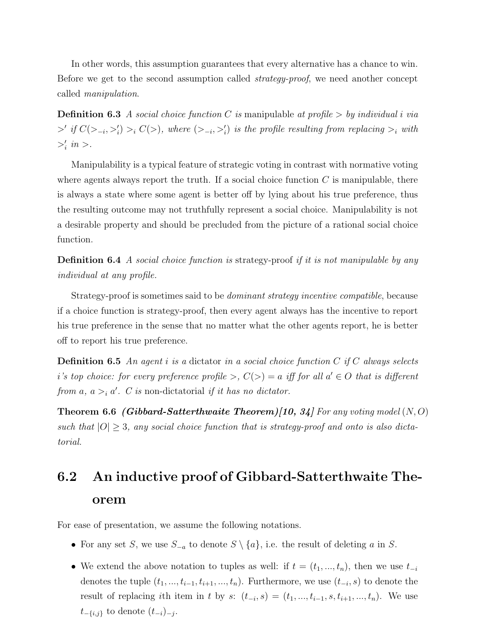In other words, this assumption guarantees that every alternative has a chance to win. Before we get to the second assumption called strategy-proof, we need another concept called manipulation.

**Definition 6.3** A social choice function C is manipulable at profile  $>$  by individual i via  $\geq'$  if  $C(\gt_{-i},\gt'_{i}) > i C(\gt)$ , where  $(\gt_{-i},\gt'_{i})$  is the profile resulting from replacing  $\gt_{i}$  with  $>i'$  in  $>$ .

Manipulability is a typical feature of strategic voting in contrast with normative voting where agents always report the truth. If a social choice function  $C$  is manipulable, there is always a state where some agent is better off by lying about his true preference, thus the resulting outcome may not truthfully represent a social choice. Manipulability is not a desirable property and should be precluded from the picture of a rational social choice function.

**Definition 6.4** A social choice function is strategy-proof if it is not manipulable by any individual at any profile.

Strategy-proof is sometimes said to be *dominant strategy incentive compatible*, because if a choice function is strategy-proof, then every agent always has the incentive to report his true preference in the sense that no matter what the other agents report, he is better off to report his true preference.

**Definition 6.5** An agent i is a dictator in a social choice function  $C$  if  $C$  always selects i's top choice: for every preference profile >,  $C(>) = a$  iff for all  $a' \in O$  that is different from a,  $a >_i a'$ . C is non-dictatorial if it has no dictator.

**Theorem 6.6 (Gibbard-Satterthwaite Theorem)[10, 34]** For any voting model  $(N, O)$ such that  $|O| \geq 3$ , any social choice function that is strategy-proof and onto is also dictatorial.

# 6.2 An inductive proof of Gibbard-Satterthwaite Theorem

For ease of presentation, we assume the following notations.

- For any set S, we use  $S_{-a}$  to denote  $S \setminus \{a\}$ , i.e. the result of deleting a in S.
- We extend the above notation to tuples as well: if  $t = (t_1, ..., t_n)$ , then we use  $t_{-i}$ denotes the tuple  $(t_1, ..., t_{i-1}, t_{i+1}, ..., t_n)$ . Furthermore, we use  $(t_{-i}, s)$  to denote the result of replacing ith item in t by s:  $(t_{-i}, s) = (t_1, ..., t_{i-1}, s, t_{i+1}, ..., t_n)$ . We use  $t_{-\{i,j\}}$  to denote  $(t_{-i})_{-j}$ .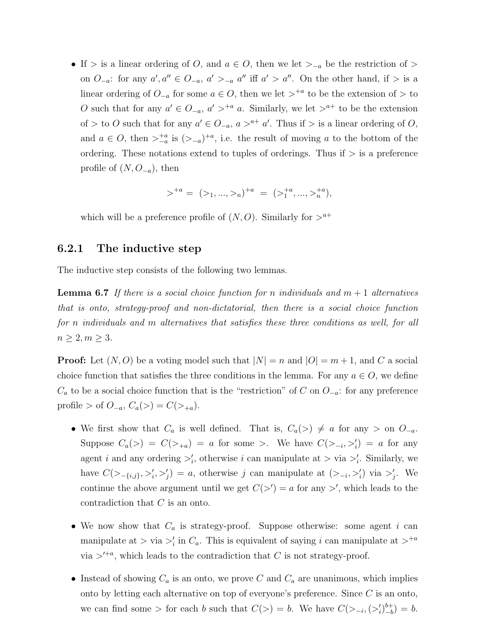• If > is a linear ordering of O, and  $a \in O$ , then we let  $\geq_{-a}$  be the restriction of > on  $O_{-a}$ : for any  $a', a'' \in O_{-a}, a' >_{-a} a''$  iff  $a' > a''$ . On the other hand, if  $>$  is a linear ordering of  $O_{-a}$  for some  $a \in O$ , then we let  $>^{+a}$  to be the extension of  $>$  to O such that for any  $a' \in O_{-a}$ ,  $a' > a$ <sup>+a</sup> a. Similarly, we let  $a^+$  to be the extension of > to O such that for any  $a' \in O_{-a}$ ,  $a > a^+ a'$ . Thus if > is a linear ordering of O, and  $a \in O$ , then  $\sum_{-a}^{+a}$  is  $(\geq_{-a})^{+a}$ , i.e. the result of moving a to the bottom of the ordering. These notations extend to tuples of orderings. Thus if  $\geq$  is a preference profile of  $(N, O_{-a})$ , then

$$
\gt^{+a} = (>_1, ..., >_n)^{+a} = (>_1^{+a}, ..., >_n^{+a}),
$$

which will be a preference profile of  $(N, O)$ . Similarly for  $>^{a+}$ 

### 6.2.1 The inductive step

The inductive step consists of the following two lemmas.

**Lemma 6.7** If there is a social choice function for n individuals and  $m + 1$  alternatives that is onto, strategy-proof and non-dictatorial, then there is a social choice function for n individuals and m alternatives that satisfies these three conditions as well, for all  $n \geq 2, m \geq 3.$ 

**Proof:** Let  $(N, O)$  be a voting model such that  $|N| = n$  and  $|O| = m + 1$ , and C a social choice function that satisfies the three conditions in the lemma. For any  $a \in O$ , we define  $C_a$  to be a social choice function that is the "restriction" of C on  $O_{-a}$ : for any preference profile > of  $O_{-a}$ ,  $C_a(>) = C(>_{+a})$ .

- We first show that  $C_a$  is well defined. That is,  $C_a(\geq) \neq a$  for any  $>$  on  $O_{-a}$ . Suppose  $C_a(\ge) = C(\ge)_{+a}) = a$  for some  $\ge$ . We have  $C(\ge)_{-i}, \ge) = a$  for any agent *i* and any ordering  $\geq_i$ , otherwise *i* can manipulate at  $\geq$  via  $\geq_i$ . Similarly, we have  $C(\geq_{-\{i,j\}}, \geq'_i, \geq'_j) = a$ , otherwise j can manipulate at  $(\geq_{-i}, \geq'_i)$  via  $\geq'_j$ . We continue the above argument until we get  $C(\gt') = a$  for any  $\gt'$ , which leads to the contradiction that C is an onto.
- We now show that  $C_a$  is strategy-proof. Suppose otherwise: some agent i can manipulate at  $>$  via  $\geq_i$  in  $C_a$ . This is equivalent of saying i can manipulate at  $>^{+a}$ via  $>^{t+a}$ , which leads to the contradiction that C is not strategy-proof.
- Instead of showing  $C_a$  is an onto, we prove C and  $C_a$  are unanimous, which implies onto by letting each alternative on top of everyone's preference. Since  $C$  is an onto, we can find some > for each b such that  $C(>) = b$ . We have  $C(>_{i} , (>\'_{i})_{-b}^{b+}$  $_{-b}^{b+}$  $= b.$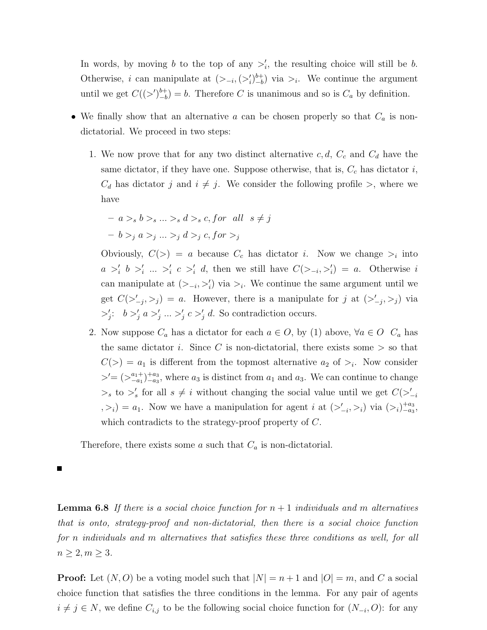In words, by moving b to the top of any  $\geq'_i$ , the resulting choice will still be b. Otherwise, i can manipulate at  $(>_{-i}, (>'_i)_{-b}^{b+})$  $_{-b}^{b+}$ ) via ><sub>i</sub>. We continue the argument until we get  $C((>)_{-h}^{b+}$  $\binom{b+}{-b} = b$ . Therefore C is unanimous and so is  $C_a$  by definition.

- We finally show that an alternative  $a$  can be chosen properly so that  $C_a$  is nondictatorial. We proceed in two steps:
	- 1. We now prove that for any two distinct alternative  $c, d, C_c$  and  $C_d$  have the same dictator, if they have one. Suppose otherwise, that is,  $C_c$  has dictator i,  $C_d$  has dictator j and  $i \neq j$ . We consider the following profile  $\gt$ , where we have

$$
- a >_{s} b >_{s} \ldots >_{s} d >_{s} c, for \ all \ s \neq j
$$

$$
- b >_{j} a >_{j} \ldots >_{j} d >_{j} c, for >_{j}
$$

Obviously,  $C(>) = a$  because  $C_c$  has dictator *i*. Now we change  $>_i$  into  $a >'_i b >'_i ... >'_i c >'_i d$ , then we still have  $C(>_{-i}, >'_i) = a$ . Otherwise i can manipulate at  $(>_{-i}, >'_i)$  via  $>_{i}$ . We continue the same argument until we get  $C(\geq'_{-j},\geq_j) = a$ . However, there is a manipulate for j at  $(\geq'_{-j},\geq_j)$  via  $\langle \cdot | \cdot \rangle = b \rangle_i'$   $a \rangle_i' \dots \rangle_i'$   $c \rangle_i' d$ . So contradiction occurs.

2. Now suppose  $C_a$  has a dictator for each  $a \in O$ , by (1) above,  $\forall a \in O$   $C_a$  has the same dictator i. Since C is non-dictatorial, there exists some  $>$  so that  $C(>) = a_1$  is different from the topmost alternative  $a_2$  of  $>_i$ . Now consider  $\geq'=(\geq_{-a_1}^{a_1+})_{-a_3}^{+a_3}$ , where  $a_3$  is distinct from  $a_1$  and  $a_3$ . We can continue to change  $\geq_s$  to  $\geq'_s$  for all  $s \neq i$  without changing the social value until we get  $C(\geq'_{-i})$  $(z_1, z_1) = a_1$ . Now we have a manipulation for agent i at  $(z_1, z_1)$  via  $(z_1)_{-a_3}^{+a_3}$ , which contradicts to the strategy-proof property of C.

Therefore, there exists some a such that  $C_a$  is non-dictatorial.

**Lemma 6.8** If there is a social choice function for  $n + 1$  individuals and m alternatives that is onto, strategy-proof and non-dictatorial, then there is a social choice function for n individuals and m alternatives that satisfies these three conditions as well, for all  $n \geq 2, m \geq 3.$ 

**Proof:** Let  $(N, O)$  be a voting model such that  $|N| = n + 1$  and  $|O| = m$ , and C a social choice function that satisfies the three conditions in the lemma. For any pair of agents  $i \neq j \in N$ , we define  $C_{i,j}$  to be the following social choice function for  $(N_{-i}, O)$ : for any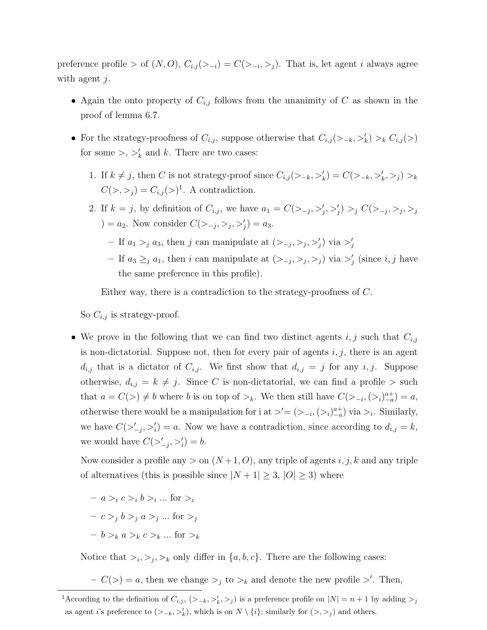preference profile > of  $(N, O), C_{i,j}(\geq -i) = C(\geq -i, \geq j)$ . That is, let agent *i* always agree with agent  $j$ .

- Again the onto property of  $C_{i,j}$  follows from the unanimity of C as shown in the proof of lemma 6.7.
- For the strategy-proofness of  $C_{i,j}$ , suppose otherwise that  $C_{i,j}(\geq k, \geq k) >_k C_{i,j}(\geq)$ for some  $\gt$ ,  $\gt'_{k}$  and k. There are two cases:
	- 1. If  $k \neq j$ , then C is not strategy-proof since  $C_{i,j}(\gt_{-k},\gt'_{k}) = C(\gt_{-k},\gt'_{k},\gt_{j}) >_k$  $C(\gt, \gt_j) = C_{i,j}(\gt)^1$ . A contradiction.
	- 2. If  $k = j$ , by definition of  $C_{i,j}$ , we have  $a_1 = C(\sum_{j} \sum_{j}^j, \sum_{j}^j) >_j C(\sum_{j} \sum_{j}^j, \sum_{j}^j)$ ) =  $a_2$ . Now consider  $C(\gt_{-j}, \gt_j, \gt'_j) = a_3$ .
		- If  $a_1 >_j a_3$ , then j can manipulate at  $(>_{-j}, >_j, >'_j)$  via  $>'_j$
		- If  $a_3 \geq_j a_1$ , then i can manipulate at  $(>_{-j}, >_j, >_j)$  via  $>'_j$  (since i, j have the same preference in this profile).

Either way, there is a contradiction to the strategy-proofness of C.

So  $C_{i,j}$  is strategy-proof.

• We prove in the following that we can find two distinct agents  $i, j$  such that  $C_{i,j}$ is non-dictatorial. Suppose not, then for every pair of agents  $i, j$ , there is an agent  $d_{i,j}$  that is a dictator of  $C_{i,j}$ . We first show that  $d_{i,j} = j$  for any  $i, j$ . Suppose otherwise,  $d_{i,j} = k \neq j$ . Since C is non-dictatorial, we can find a profile  $>$  such that  $a = C(\gt) \neq b$  where b is on top of  $\gt_k$ . We then still have  $C(\gt_{-i}, \left(\gt_i\right)_{-a}^{a+}) = a$ , otherwise there would be a manipulation for i at  $\geq' = (\geq_{-i}, (\geq_i)^{a+}_{-a})$  via  $\geq_i$ . Similarly, we have  $C(\geq'_{-j},\geq'_{i})=a$ . Now we have a contradiction, since according to  $d_{i,j}=k$ , we would have  $C(\gt'_{-j}, \gt'_{i}) = b$ .

Now consider a profile any  $>$  on  $(N+1, O)$ , any triple of agents i, j, k and any triple of alternatives (this is possible since  $|N + 1| \geq 3$ ,  $|O| \geq 3$ ) where

 $- a >_i c >_i b >_i ...$  for  $>_i$  $-c >_j b >_j a >_j ...$  for  $>_j$  $b >_k a >_k c >_k ...$  for  $\geq_k$ 

Notice that  $>_{i},>_{j},>_{k}$  only differ in  $\{a,b,c\}$ . There are the following cases:

 $-C(>) = a$ , then we change  $>_j$  to  $>_k$  and denote the new profile  $>'$ . Then,

<sup>&</sup>lt;sup>1</sup>According to the definition of  $C_{i,j}$ ,  $(>_{-k}, >'_k, >_j)$  is a preference profile on  $|N| = n + 1$  by adding  $>_j$ as agent *i*'s preference to  $(>_{-k}, >'_k)$ , which is on  $N \setminus \{i\}$ ; similarly for  $(>, >_j)$  and others.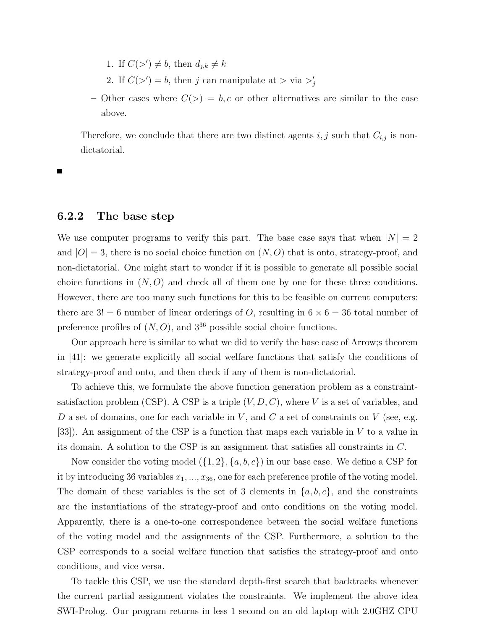- 1. If  $C(\gt') \neq b$ , then  $d_{j,k} \neq k$
- 2. If  $C(\gt') = b$ , then j can manipulate at  $> \text{via } \gt'_{j}$
- Other cases where  $C(>) = b, c$  or other alternatives are similar to the case above.

Therefore, we conclude that there are two distinct agents  $i, j$  such that  $C_{i,j}$  is nondictatorial.

### 6.2.2 The base step

We use computer programs to verify this part. The base case says that when  $|N| = 2$ and  $|O|=3$ , there is no social choice function on  $(N, O)$  that is onto, strategy-proof, and non-dictatorial. One might start to wonder if it is possible to generate all possible social choice functions in  $(N, O)$  and check all of them one by one for these three conditions. However, there are too many such functions for this to be feasible on current computers: there are  $3! = 6$  number of linear orderings of O, resulting in  $6 \times 6 = 36$  total number of preference profiles of  $(N, O)$ , and  $3^{36}$  possible social choice functions.

Our approach here is similar to what we did to verify the base case of Arrow;s theorem in [41]: we generate explicitly all social welfare functions that satisfy the conditions of strategy-proof and onto, and then check if any of them is non-dictatorial.

To achieve this, we formulate the above function generation problem as a constraintsatisfaction problem (CSP). A CSP is a triple  $(V, D, C)$ , where V is a set of variables, and  $D$  a set of domains, one for each variable in  $V$ , and  $C$  a set of constraints on  $V$  (see, e.g. [33]). An assignment of the CSP is a function that maps each variable in V to a value in its domain. A solution to the CSP is an assignment that satisfies all constraints in C.

Now consider the voting model  $(\{1, 2\}, \{a, b, c\})$  in our base case. We define a CSP for it by introducing 36 variables  $x_1, ..., x_{36}$ , one for each preference profile of the voting model. The domain of these variables is the set of 3 elements in  $\{a, b, c\}$ , and the constraints are the instantiations of the strategy-proof and onto conditions on the voting model. Apparently, there is a one-to-one correspondence between the social welfare functions of the voting model and the assignments of the CSP. Furthermore, a solution to the CSP corresponds to a social welfare function that satisfies the strategy-proof and onto conditions, and vice versa.

To tackle this CSP, we use the standard depth-first search that backtracks whenever the current partial assignment violates the constraints. We implement the above idea SWI-Prolog. Our program returns in less 1 second on an old laptop with 2.0GHZ CPU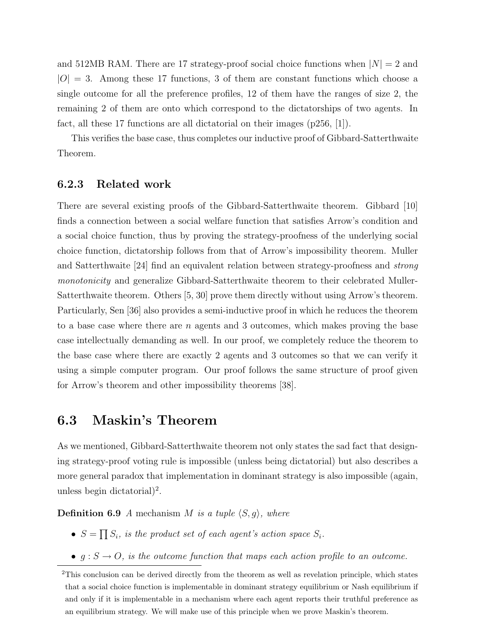and 512MB RAM. There are 17 strategy-proof social choice functions when  $|N| = 2$  and  $|O| = 3$ . Among these 17 functions, 3 of them are constant functions which choose a single outcome for all the preference profiles, 12 of them have the ranges of size 2, the remaining 2 of them are onto which correspond to the dictatorships of two agents. In fact, all these 17 functions are all dictatorial on their images  $(p256, |1|)$ .

This verifies the base case, thus completes our inductive proof of Gibbard-Satterthwaite Theorem.

### 6.2.3 Related work

There are several existing proofs of the Gibbard-Satterthwaite theorem. Gibbard [10] finds a connection between a social welfare function that satisfies Arrow's condition and a social choice function, thus by proving the strategy-proofness of the underlying social choice function, dictatorship follows from that of Arrow's impossibility theorem. Muller and Satterthwaite [24] find an equivalent relation between strategy-proofness and strong monotonicity and generalize Gibbard-Satterthwaite theorem to their celebrated Muller-Satterthwaite theorem. Others [5, 30] prove them directly without using Arrow's theorem. Particularly, Sen [36] also provides a semi-inductive proof in which he reduces the theorem to a base case where there are  $n$  agents and 3 outcomes, which makes proving the base case intellectually demanding as well. In our proof, we completely reduce the theorem to the base case where there are exactly 2 agents and 3 outcomes so that we can verify it using a simple computer program. Our proof follows the same structure of proof given for Arrow's theorem and other impossibility theorems [38].

### 6.3 Maskin's Theorem

As we mentioned, Gibbard-Satterthwaite theorem not only states the sad fact that designing strategy-proof voting rule is impossible (unless being dictatorial) but also describes a more general paradox that implementation in dominant strategy is also impossible (again, unless begin dictatorial)<sup>2</sup>.

**Definition 6.9** A mechanism M is a tuple  $\langle S, g \rangle$ , where

- $\bullet$   $S =$  $\overline{a}$  $S_i$ , is the product set of each agent's action space  $S_i$ .
- $g : S \to O$ , is the outcome function that maps each action profile to an outcome.

<sup>&</sup>lt;sup>2</sup>This conclusion can be derived directly from the theorem as well as revelation principle, which states that a social choice function is implementable in dominant strategy equilibrium or Nash equilibrium if and only if it is implementable in a mechanism where each agent reports their truthful preference as an equilibrium strategy. We will make use of this principle when we prove Maskin's theorem.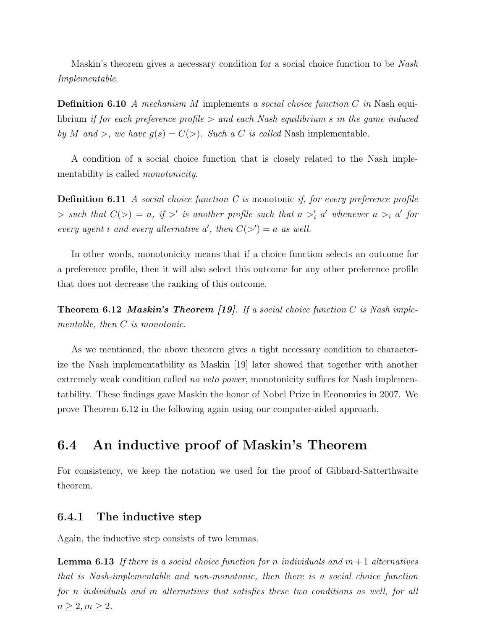Maskin's theorem gives a necessary condition for a social choice function to be Nash Implementable.

**Definition 6.10** A mechanism M implements a social choice function C in Nash equilibrium if for each preference profile  $>$  and each Nash equilibrium s in the game induced by M and >, we have  $g(s) = C(\gt)$ . Such a C is called Nash implementable.

A condition of a social choice function that is closely related to the Nash implementability is called *monotonicity*.

**Definition 6.11** A social choice function C is monotonic if, for every preference profile  $\Rightarrow$  such that  $C(>) = a$ , if  $>'$  is another profile such that  $a >'_i a'$  whenever  $a >_i a'$  for every agent i and every alternative a', then  $C(\gt') = a$  as well.

In other words, monotonicity means that if a choice function selects an outcome for a preference profile, then it will also select this outcome for any other preference profile that does not decrease the ranking of this outcome.

**Theorem 6.12 Maskin's Theorem [19].** If a social choice function C is Nash implementable, then C is monotonic.

As we mentioned, the above theorem gives a tight necessary condition to characterize the Nash implementatbility as Maskin [19] later showed that together with another extremely weak condition called *no veto power*, monotonicity suffices for Nash implementatbility. These findings gave Maskin the honor of Nobel Prize in Economics in 2007. We prove Theorem 6.12 in the following again using our computer-aided approach.

# 6.4 An inductive proof of Maskin's Theorem

For consistency, we keep the notation we used for the proof of Gibbard-Satterthwaite theorem.

### 6.4.1 The inductive step

Again, the inductive step consists of two lemmas.

**Lemma 6.13** If there is a social choice function for n individuals and  $m + 1$  alternatives that is Nash-implementable and non-monotonic, then there is a social choice function for n individuals and m alternatives that satisfies these two conditions as well, for all  $n \geq 2, m \geq 2.$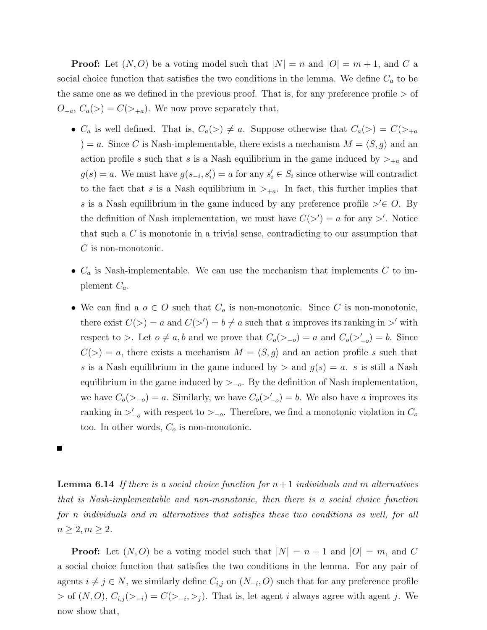**Proof:** Let  $(N, O)$  be a voting model such that  $|N| = n$  and  $|O| = m + 1$ , and C a social choice function that satisfies the two conditions in the lemma. We define  $C_a$  to be the same one as we defined in the previous proof. That is, for any preference profile  $>$  of  $O_{-a}, C_a(\geq) = C(\geq_{+a}).$  We now prove separately that,

- $C_a$  is well defined. That is,  $C_a(\geq) \neq a$ . Suppose otherwise that  $C_a(\geq) = C(\geq_{+a})$ ) = a. Since C is Nash-implementable, there exists a mechanism  $M = \langle S, g \rangle$  and an action profile s such that s is a Nash equilibrium in the game induced by  $>_{+a}$  and  $g(s) = a$ . We must have  $g(s_{-i}, s'_i) = a$  for any  $s'_i \in S_i$  since otherwise will contradict to the fact that s is a Nash equilibrium in  $\gt_{+a}$ . In fact, this further implies that s is a Nash equilibrium in the game induced by any preference profile  $\geq\in O$ . By the definition of Nash implementation, we must have  $C(\gt') = a$  for any  $\gt'$ . Notice that such a C is monotonic in a trivial sense, contradicting to our assumption that  $C$  is non-monotonic.
- $C_a$  is Nash-implementable. We can use the mechanism that implements  $C$  to implement  $C_a$ .
- We can find a  $o \in O$  such that  $C_o$  is non-monotonic. Since C is non-monotonic, there exist  $C(>) = a$  and  $C(>) = b \neq a$  such that a improves its ranking in  $>'$  with respect to >. Let  $o \neq a$ , b and we prove that  $C_o(\gt_{-o}) = a$  and  $C_o(\gt'_{-o}) = b$ . Since  $C(>) = a$ , there exists a mechanism  $M = \langle S, g \rangle$  and an action profile s such that s is a Nash equilibrium in the game induced by  $\geq$  and  $g(s) = a$ . s is still a Nash equilibrium in the game induced by  $>_{-o}$ . By the definition of Nash implementation, we have  $C_o(\gt_{-o}) = a$ . Similarly, we have  $C_o(\gt'_{-o}) = b$ . We also have a improves its ranking in  $\geq_{-\sigma}^{\prime}$  with respect to  $\geq_{-\sigma}$ . Therefore, we find a monotonic violation in  $C_{\sigma}$ too. In other words,  $C<sub>o</sub>$  is non-monotonic.

**Lemma 6.14** If there is a social choice function for  $n+1$  individuals and m alternatives that is Nash-implementable and non-monotonic, then there is a social choice function for n individuals and m alternatives that satisfies these two conditions as well, for all  $n \geq 2, m \geq 2.$ 

**Proof:** Let  $(N, O)$  be a voting model such that  $|N| = n + 1$  and  $|O| = m$ , and C a social choice function that satisfies the two conditions in the lemma. For any pair of agents  $i \neq j \in N$ , we similarly define  $C_{i,j}$  on  $(N_{-i}, O)$  such that for any preference profile  $>$  of  $(N, O), C_{i,j}(\geq i) = C(\geq i, \geq j)$ . That is, let agent *i* always agree with agent *j*. We now show that,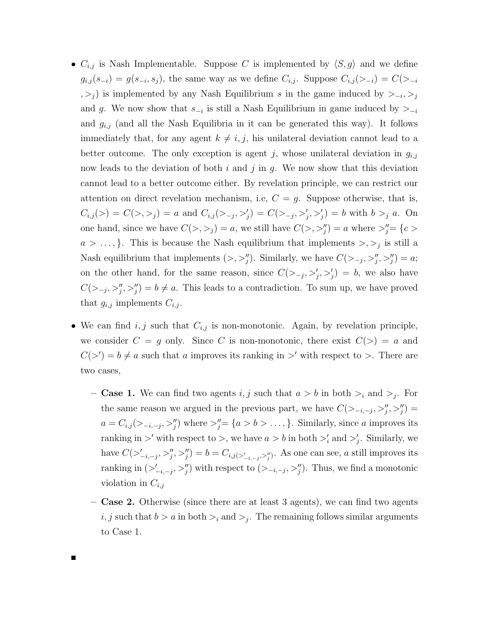- $C_{i,j}$  is Nash Implementable. Suppose C is implemented by  $\langle S, g \rangle$  and we define  $g_{i,j}(s_{-i}) = g(s_{-i}, s_j)$ , the same way as we define  $C_{i,j}$ . Suppose  $C_{i,j}(>_{-i}) = C(\geq_{-i}$ , >j) is implemented by any Nash Equilibrium s in the game induced by ><sub>-i</sub>, >j and g. We now show that  $s_{-i}$  is still a Nash Equilibrium in game induced by  $>_{-i}$ and  $g_{i,j}$  (and all the Nash Equilibria in it can be generated this way). It follows immediately that, for any agent  $k \neq i, j$ , his unilateral deviation cannot lead to a better outcome. The only exception is agent j, whose unilateral deviation in  $g_{i,j}$ now leads to the deviation of both i and j in g. We now show that this deviation cannot lead to a better outcome either. By revelation principle, we can restrict our attention on direct revelation mechanism, i.e,  $C = q$ . Suppose otherwise, that is,  $C_{i,j}(>) = C(>, >j) = a$  and  $C_{i,j}(>-, >'_j) = C(>-, >'_j, >'_j) = b$  with  $b >_j a$ . On one hand, since we have  $C(>, >_j) = a$ , we still have  $C(>, >_j^{\prime\prime}) = a$  where  $>_j^{\prime\prime} = \{c >_j\}$  $a > \ldots,$ . This is because the Nash equilibrium that implements  $\gt, \gt_i$  is still a Nash equilibrium that implements  $(>, \gt;''_j)$ . Similarly, we have  $C(>_{-j}, \gt;''_j, \gt'''_j) = a;$ on the other hand, for the same reason, since  $C(>_{-j}, >'_{j}, >'_{j}) = b$ , we also have  $C(\sum_{j} \sum_{j}^{\prime}, \sum_{j}^{\prime\prime}) = b \neq a$ . This leads to a contradiction. To sum up, we have proved that  $g_{i,j}$  implements  $C_{i,j}$ .
- We can find  $i, j$  such that  $C_{i,j}$  is non-monotonic. Again, by revelation principle, we consider  $C = g$  only. Since C is non-monotonic, there exist  $C(>) = a$  and  $C(\gt') = b \neq a$  such that a improves its ranking in  $\gt'$  with respect to  $\gt$ . There are two cases,
	- **Case 1.** We can find two agents i, j such that  $a > b$  in both  $\geq_i$  and  $\geq_j$ . For the same reason we argued in the previous part, we have  $C(\gt_{-i,-j},\gt_{j}''',\gt_{j}''')$  $a = C_{i,j}(\geq -i, -j, \geq j')$  where  $\geq j' = \{a > b > \ldots, \}$ . Similarly, since a improves its ranking in  $\geq'$  with respect to  $\geq$ , we have  $a > b$  in both  $\geq'_i$  and  $\geq'_j$ . Similarly, we have  $C(\geq'_{-i,-j},\geq''_j,\geq''_j) = b = C_{i,j(\geq'_{-i,-j},\geq''_j)}$ . As one can see, a still improves its ranking in  $(\geq_{-i,-j}^{\prime}, \geq_{j}^{\prime\prime})$  with respect to  $(\geq_{-i,-j}, \geq_{j}^{\prime\prime})$ . Thus, we find a monotonic violation in  $C_{i,j}$
	- Case 2. Otherwise (since there are at least 3 agents), we can find two agents i, j such that  $b > a$  in both  $\geq_i$  and  $\geq_j$ . The remaining follows similar arguments to Case 1.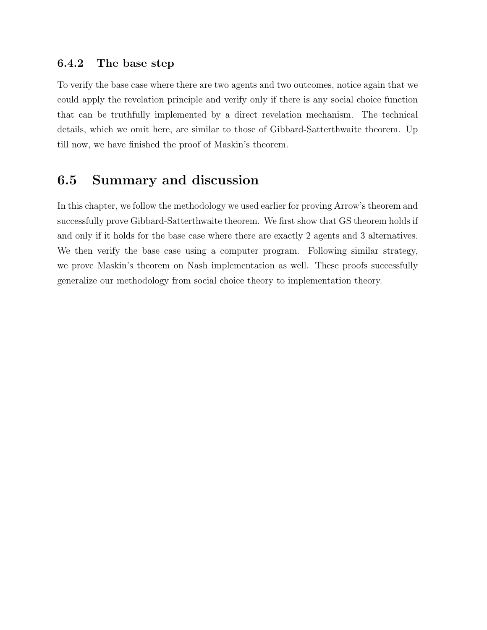## 6.4.2 The base step

To verify the base case where there are two agents and two outcomes, notice again that we could apply the revelation principle and verify only if there is any social choice function that can be truthfully implemented by a direct revelation mechanism. The technical details, which we omit here, are similar to those of Gibbard-Satterthwaite theorem. Up till now, we have finished the proof of Maskin's theorem.

## 6.5 Summary and discussion

In this chapter, we follow the methodology we used earlier for proving Arrow's theorem and successfully prove Gibbard-Satterthwaite theorem. We first show that GS theorem holds if and only if it holds for the base case where there are exactly 2 agents and 3 alternatives. We then verify the base case using a computer program. Following similar strategy, we prove Maskin's theorem on Nash implementation as well. These proofs successfully generalize our methodology from social choice theory to implementation theory.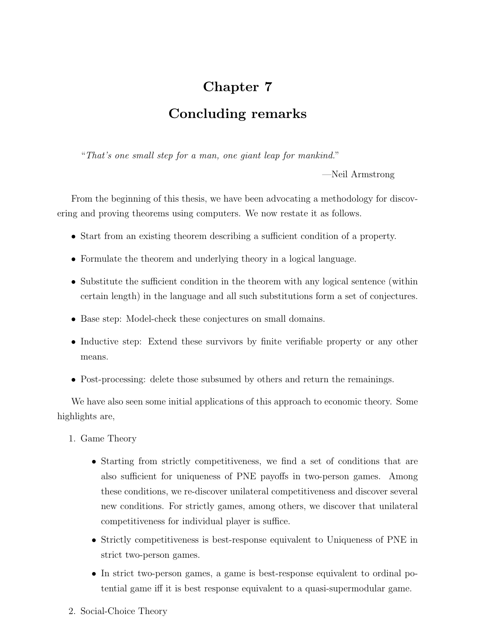## Chapter 7 Concluding remarks

"That's one small step for a man, one giant leap for mankind."

—Neil Armstrong

From the beginning of this thesis, we have been advocating a methodology for discovering and proving theorems using computers. We now restate it as follows.

- Start from an existing theorem describing a sufficient condition of a property.
- Formulate the theorem and underlying theory in a logical language.
- Substitute the sufficient condition in the theorem with any logical sentence (within certain length) in the language and all such substitutions form a set of conjectures.
- Base step: Model-check these conjectures on small domains.
- Inductive step: Extend these survivors by finite verifiable property or any other means.
- Post-processing: delete those subsumed by others and return the remainings.

We have also seen some initial applications of this approach to economic theory. Some highlights are,

- 1. Game Theory
	- Starting from strictly competitiveness, we find a set of conditions that are also sufficient for uniqueness of PNE payoffs in two-person games. Among these conditions, we re-discover unilateral competitiveness and discover several new conditions. For strictly games, among others, we discover that unilateral competitiveness for individual player is suffice.
	- Strictly competitiveness is best-response equivalent to Uniqueness of PNE in strict two-person games.
	- In strict two-person games, a game is best-response equivalent to ordinal potential game iff it is best response equivalent to a quasi-supermodular game.
- 2. Social-Choice Theory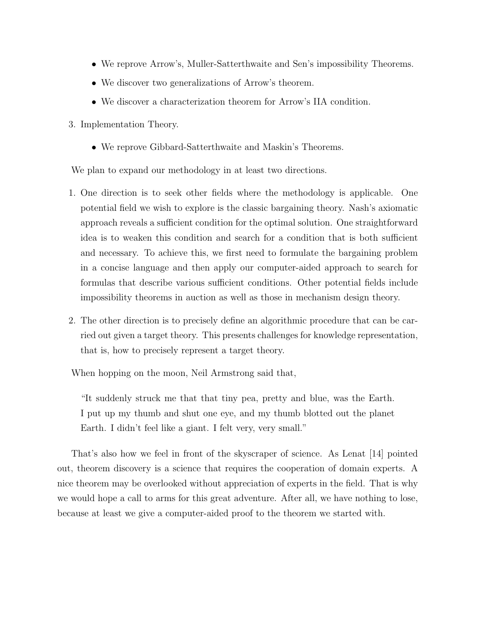- We reprove Arrow's, Muller-Satterthwaite and Sen's impossibility Theorems.
- We discover two generalizations of Arrow's theorem.
- We discover a characterization theorem for Arrow's IIA condition.
- 3. Implementation Theory.
	- We reprove Gibbard-Satterthwaite and Maskin's Theorems.

We plan to expand our methodology in at least two directions.

- 1. One direction is to seek other fields where the methodology is applicable. One potential field we wish to explore is the classic bargaining theory. Nash's axiomatic approach reveals a sufficient condition for the optimal solution. One straightforward idea is to weaken this condition and search for a condition that is both sufficient and necessary. To achieve this, we first need to formulate the bargaining problem in a concise language and then apply our computer-aided approach to search for formulas that describe various sufficient conditions. Other potential fields include impossibility theorems in auction as well as those in mechanism design theory.
- 2. The other direction is to precisely define an algorithmic procedure that can be carried out given a target theory. This presents challenges for knowledge representation, that is, how to precisely represent a target theory.

When hopping on the moon, Neil Armstrong said that,

"It suddenly struck me that that tiny pea, pretty and blue, was the Earth. I put up my thumb and shut one eye, and my thumb blotted out the planet Earth. I didn't feel like a giant. I felt very, very small."

That's also how we feel in front of the skyscraper of science. As Lenat [14] pointed out, theorem discovery is a science that requires the cooperation of domain experts. A nice theorem may be overlooked without appreciation of experts in the field. That is why we would hope a call to arms for this great adventure. After all, we have nothing to lose, because at least we give a computer-aided proof to the theorem we started with.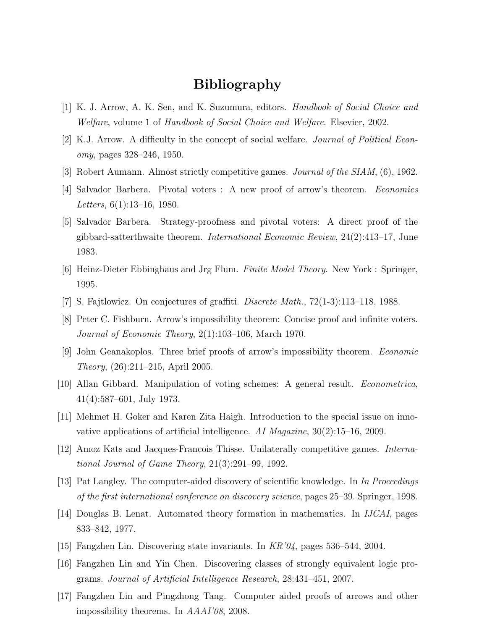## Bibliography

- [1] K. J. Arrow, A. K. Sen, and K. Suzumura, editors. Handbook of Social Choice and Welfare, volume 1 of Handbook of Social Choice and Welfare. Elsevier, 2002.
- [2] K.J. Arrow. A difficulty in the concept of social welfare. Journal of Political Economy, pages 328–246, 1950.
- [3] Robert Aumann. Almost strictly competitive games. Journal of the SIAM, (6), 1962.
- [4] Salvador Barbera. Pivotal voters : A new proof of arrow's theorem. Economics Letters, 6(1):13–16, 1980.
- [5] Salvador Barbera. Strategy-proofness and pivotal voters: A direct proof of the gibbard-satterthwaite theorem. International Economic Review, 24(2):413–17, June 1983.
- [6] Heinz-Dieter Ebbinghaus and Jrg Flum. Finite Model Theory. New York : Springer, 1995.
- [7] S. Fajtlowicz. On conjectures of graffiti. Discrete Math., 72(1-3):113–118, 1988.
- [8] Peter C. Fishburn. Arrow's impossibility theorem: Concise proof and infinite voters. Journal of Economic Theory, 2(1):103–106, March 1970.
- [9] John Geanakoplos. Three brief proofs of arrow's impossibility theorem. Economic Theory, (26):211–215, April 2005.
- [10] Allan Gibbard. Manipulation of voting schemes: A general result. Econometrica, 41(4):587–601, July 1973.
- [11] Mehmet H. Goker and Karen Zita Haigh. Introduction to the special issue on innovative applications of artificial intelligence. AI Magazine,  $30(2)$ :15–16, 2009.
- [12] Amoz Kats and Jacques-Francois Thisse. Unilaterally competitive games. International Journal of Game Theory, 21(3):291–99, 1992.
- [13] Pat Langley. The computer-aided discovery of scientific knowledge. In In Proceedings of the first international conference on discovery science, pages 25–39. Springer, 1998.
- [14] Douglas B. Lenat. Automated theory formation in mathematics. In IJCAI, pages 833–842, 1977.
- [15] Fangzhen Lin. Discovering state invariants. In KR'04, pages 536–544, 2004.
- [16] Fangzhen Lin and Yin Chen. Discovering classes of strongly equivalent logic programs. Journal of Artificial Intelligence Research, 28:431–451, 2007.
- [17] Fangzhen Lin and Pingzhong Tang. Computer aided proofs of arrows and other impossibility theorems. In AAAI'08, 2008.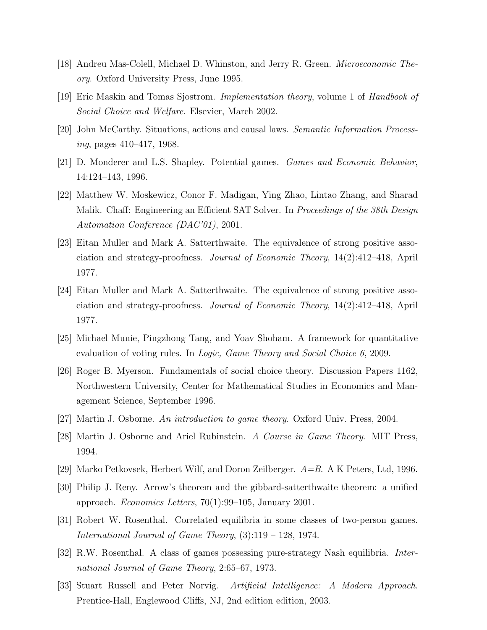- [18] Andreu Mas-Colell, Michael D. Whinston, and Jerry R. Green. Microeconomic Theory. Oxford University Press, June 1995.
- [19] Eric Maskin and Tomas Sjostrom. Implementation theory, volume 1 of Handbook of Social Choice and Welfare. Elsevier, March 2002.
- [20] John McCarthy. Situations, actions and causal laws. Semantic Information Processing, pages 410–417, 1968.
- [21] D. Monderer and L.S. Shapley. Potential games. Games and Economic Behavior, 14:124–143, 1996.
- [22] Matthew W. Moskewicz, Conor F. Madigan, Ying Zhao, Lintao Zhang, and Sharad Malik. Chaff: Engineering an Efficient SAT Solver. In *Proceedings of the 38th Design* Automation Conference (DAC'01), 2001.
- [23] Eitan Muller and Mark A. Satterthwaite. The equivalence of strong positive association and strategy-proofness. Journal of Economic Theory, 14(2):412–418, April 1977.
- [24] Eitan Muller and Mark A. Satterthwaite. The equivalence of strong positive association and strategy-proofness. Journal of Economic Theory, 14(2):412–418, April 1977.
- [25] Michael Munie, Pingzhong Tang, and Yoav Shoham. A framework for quantitative evaluation of voting rules. In *Logic, Game Theory and Social Choice 6,* 2009.
- [26] Roger B. Myerson. Fundamentals of social choice theory. Discussion Papers 1162, Northwestern University, Center for Mathematical Studies in Economics and Management Science, September 1996.
- [27] Martin J. Osborne. An introduction to game theory. Oxford Univ. Press, 2004.
- [28] Martin J. Osborne and Ariel Rubinstein. A Course in Game Theory. MIT Press, 1994.
- [29] Marko Petkovsek, Herbert Wilf, and Doron Zeilberger.  $A=B$ . A K Peters, Ltd, 1996.
- [30] Philip J. Reny. Arrow's theorem and the gibbard-satterthwaite theorem: a unified approach. Economics Letters,  $70(1):99-105$ , January 2001.
- [31] Robert W. Rosenthal. Correlated equilibria in some classes of two-person games. International Journal of Game Theory, (3):119 – 128, 1974.
- [32] R.W. Rosenthal. A class of games possessing pure-strategy Nash equilibria. International Journal of Game Theory, 2:65–67, 1973.
- [33] Stuart Russell and Peter Norvig. Artificial Intelligence: A Modern Approach. Prentice-Hall, Englewood Cliffs, NJ, 2nd edition edition, 2003.